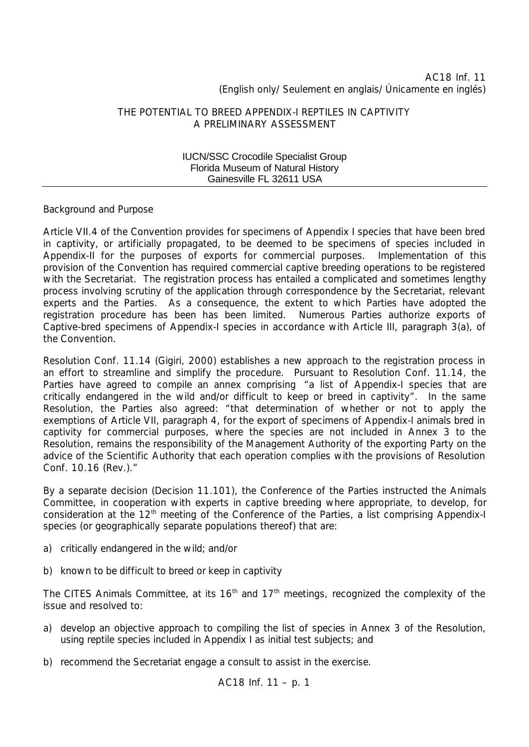# AC18 Inf. 11 (English only/ Seulement en anglais/ Únicamente en inglés)

## THE POTENTIAL TO BREED APPENDIX-I REPTILES IN CAPTIVITY A PRELIMINARY ASSESSMENT

### IUCN/SSC Crocodile Specialist Group Florida Museum of Natural History Gainesville FL 32611 USA

# *Background and Purpose*

Article VII.4 of the Convention provides for specimens of Appendix I species that have been bred in captivity, or artificially propagated, to be deemed to be specimens of species included in Appendix-II for the purposes of exports for commercial purposes. Implementation of this provision of the Convention has required commercial captive breeding operations to be registered with the Secretariat. The registration process has entailed a complicated and sometimes lengthy process involving scrutiny of the application through correspondence by the Secretariat, relevant experts and the Parties. As a consequence, the extent to which Parties have adopted the registration procedure has been has been limited. Numerous Parties authorize exports of Captive-bred specimens of Appendix-I species in accordance with Article III, paragraph 3(a), of the Convention.

Resolution Conf. 11.14 (Gigiri, 2000) establishes a new approach to the registration process in an effort to streamline and simplify the procedure. Pursuant to Resolution Conf. 11.14, the Parties have agreed to compile an annex comprising *"a list of Appendix-I species that are critically endangered in the wild and/or difficult to keep or breed in captivity".* In the same Resolution, the Parties also agreed: *"that determination of whether or not to apply the exemptions of Article VII, paragraph 4, for the export of specimens of Appendix-I animals bred in captivity for commercial purposes, where the species are not included in Annex 3 to the Resolution, remains the responsibility of the Management Authority of the exporting Party on the advice of the Scientific Authority that each operation complies with the provisions of Resolution Conf. 10.16 (Rev.)."*

By a separate decision (Decision 11.101), the Conference of the Parties instructed the Animals Committee, in cooperation with experts in captive breeding where appropriate, to develop, for consideration at the 12<sup>th</sup> meeting of the Conference of the Parties, a list comprising Appendix-I species (or geographically separate populations thereof) that are:

- a) critically endangered in the wild; and/or
- b) known to be difficult to breed or keep in captivity

The CITES Animals Committee, at its  $16<sup>th</sup>$  and  $17<sup>th</sup>$  meetings, recognized the complexity of the issue and resolved to:

- a) develop an objective approach to compiling the list of species in Annex 3 of the Resolution, using reptile species included in Appendix I as initial test subjects; and
- b) recommend the Secretariat engage a consult to assist in the exercise.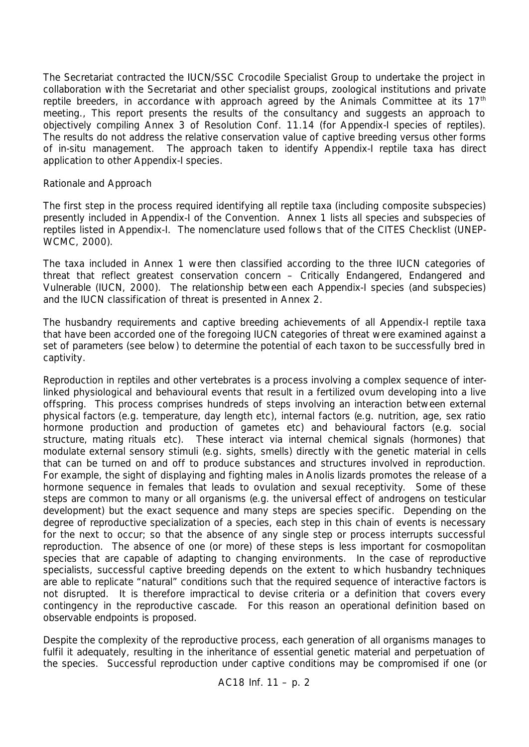The Secretariat contracted the IUCN/SSC Crocodile Specialist Group to undertake the project in collaboration with the Secretariat and other specialist groups, zoological institutions and private reptile breeders, in accordance with approach agreed by the Animals Committee at its  $17<sup>th</sup>$ meeting., This report presents the results of the consultancy and suggests an approach to objectively compiling Annex 3 of Resolution Conf. 11.14 (for Appendix-I species of reptiles). The results do not address the relative conservation value of captive breeding versus other forms of *in-situ* management. The approach taken to identify Appendix-I reptile taxa has direct application to other Appendix-I species.

# *Rationale and Approach*

The first step in the process required identifying all reptile taxa (including composite subspecies) presently included in Appendix-I of the Convention. Annex 1 lists all species and subspecies of reptiles listed in Appendix-I. The nomenclature used follows that of the CITES Checklist (UNEP-WCMC, 2000).

The taxa included in Annex 1 were then classified according to the three IUCN categories of threat that reflect greatest conservation concern – Critically Endangered, Endangered and Vulnerable (IUCN, 2000). The relationship between each Appendix-I species (and subspecies) and the IUCN classification of threat is presented in Annex 2.

The husbandry requirements and captive breeding achievements of all Appendix-I reptile taxa that have been accorded one of the foregoing IUCN categories of threat were examined against a set of parameters (see below) to determine the potential of each taxon to be successfully bred in captivity.

Reproduction in reptiles and other vertebrates is a process involving a complex sequence of interlinked physiological and behavioural events that result in a fertilized ovum developing into a live offspring. This process comprises hundreds of steps involving an interaction between external physical factors (*e.g.* temperature, day length *etc*), internal factors (*e.g.* nutrition, age, sex ratio hormone production and production of gametes *etc*) and behavioural factors (*e.g.* social structure, mating rituals *etc*). These interact via internal chemical signals (hormones) that modulate external sensory stimuli (*e.g*. sights, smells) directly with the genetic material in cells that can be turned on and off to produce substances and structures involved in reproduction. For example, the sight of displaying and fighting males in *Anolis* lizards promotes the release of a hormone sequence in females that leads to ovulation and sexual receptivity. Some of these steps are common to many or all organisms (*e.g.* the universal effect of androgens on testicular development) but the exact sequence and many steps are species specific. Depending on the degree of reproductive specialization of a species, each step in this chain of events is necessary for the next to occur; so that the absence of any single step or process interrupts successful reproduction. The absence of one (or more) of these steps is less important for cosmopolitan species that are capable of adapting to changing environments. In the case of reproductive specialists, successful captive breeding depends on the extent to which husbandry techniques are able to replicate "natural" conditions such that the required sequence of interactive factors is not disrupted. It is therefore impractical to devise criteria or a definition that covers every contingency in the reproductive cascade. For this reason an operational definition based on observable endpoints is proposed.

Despite the complexity of the reproductive process, each generation of all organisms manages to fulfil it adequately, resulting in the inheritance of essential genetic material and perpetuation of the species. Successful reproduction under captive conditions may be compromised if one (or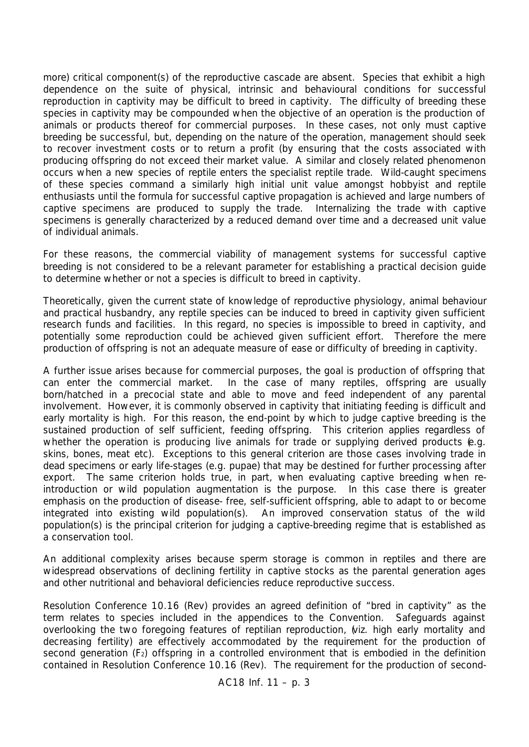more) critical component(s) of the reproductive cascade are absent. Species that exhibit a high dependence on the suite of physical, intrinsic and behavioural conditions for successful reproduction in captivity may be difficult to breed in captivity. The difficulty of breeding these species in captivity may be compounded when the objective of an operation is the production of animals or products thereof for commercial purposes. In these cases, not only must captive breeding be successful, but, depending on the nature of the operation, management should seek to recover investment costs or to return a profit (by ensuring that the costs associated with producing offspring do not exceed their market value. A similar and closely related phenomenon occurs when a new species of reptile enters the specialist reptile trade. Wild-caught specimens of these species command a similarly high initial unit value amongst hobbyist and reptile enthusiasts until the formula for successful captive propagation is achieved and large numbers of captive specimens are produced to supply the trade. Internalizing the trade with captive specimens is generally characterized by a reduced demand over time and a decreased unit value of individual animals.

For these reasons, the commercial viability of management systems for successful captive breeding is not considered to be a relevant parameter for establishing a practical decision guide to determine whether or not a species is difficult to breed in captivity.

Theoretically, given the current state of knowledge of reproductive physiology, animal behaviour and practical husbandry, any reptile species can be induced to breed in captivity given sufficient research funds and facilities. In this regard, no species is impossible to breed in captivity, and potentially some reproduction could be achieved given sufficient effort. Therefore the mere production of offspring is not an adequate measure of ease or difficulty of breeding in captivity.

A further issue arises because for commercial purposes, the goal is production of offspring that can enter the commercial market. In the case of many reptiles, offspring are usually born/hatched in a precocial state and able to move and feed independent of any parental involvement. However, it is commonly observed in captivity that initiating feeding is difficult and early mortality is high. For this reason, the end-point by which to judge captive breeding is the sustained production of self sufficient, feeding offspring. This criterion applies regardless of whether the operation is producing live animals for trade or supplying derived products (*e.g.* skins, bones, meat *etc*). Exceptions to this general criterion are those cases involving trade in dead specimens or early life-stages (*e.g.* pupae) that may be destined for further processing after export. The same criterion holds true, in part, when evaluating captive breeding when reintroduction or wild population augmentation is the purpose. In this case there is greater emphasis on the production of disease- free, self-sufficient offspring, able to adapt to or become integrated into existing wild population(s). An improved conservation status of the wild population(s) is the principal criterion for judging a captive-breeding regime that is established as a conservation tool.

An additional complexity arises because sperm storage is common in reptiles and there are widespread observations of declining fertility in captive stocks as the parental generation ages and other nutritional and behavioral deficiencies reduce reproductive success.

Resolution Conference 10.16 (Rev) provides an agreed definition of "bred in captivity" as the term relates to species included in the appendices to the Convention. Safeguards against overlooking the two foregoing features of reptilian reproduction, (*viz*. high early mortality and decreasing fertility) are effectively accommodated by the requirement for the production of second generation (F<sub>2</sub>) offspring in a controlled environment that is embodied in the definition contained in Resolution Conference 10.16 (Rev). The requirement for the production of second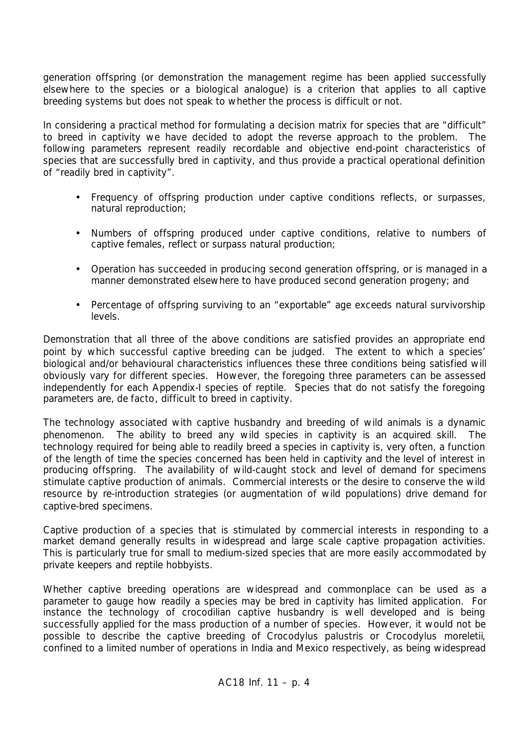generation offspring (or demonstration the management regime has been applied successfully elsewhere to the species or a biological analogue) is a criterion that applies to all captive breeding systems but does not speak to whether the process is difficult or not.

In considering a practical method for formulating a decision matrix for species that are "difficult" to breed in captivity we have decided to adopt the reverse approach to the problem. The following parameters represent readily recordable and objective end-point characteristics of species that are successfully bred in captivity, and thus provide a practical operational definition of "readily bred in captivity".

- Frequency of offspring production under captive conditions reflects, or surpasses, natural reproduction;
- Numbers of offspring produced under captive conditions, relative to numbers of captive females, reflect or surpass natural production;
- Operation has succeeded in producing second generation offspring, or is managed in a manner demonstrated elsewhere to have produced second generation progeny; and
- Percentage of offspring surviving to an "exportable" age exceeds natural survivorship levels.

Demonstration that all three of the above conditions are satisfied provides an appropriate end point by which successful captive breeding can be judged. The extent to which a species' biological and/or behavioural characteristics influences these three conditions being satisfied will obviously vary for different species. However, the foregoing three parameters can be assessed independently for each Appendix-I species of reptile. Species that do not satisfy the foregoing parameters are, *de facto*, difficult to breed in captivity.

The technology associated with captive husbandry and breeding of wild animals is a dynamic phenomenon. The ability to breed any wild species in captivity is an acquired skill. The technology required for being able to readily breed a species in captivity is, very often, a function of the length of time the species concerned has been held in captivity and the level of interest in producing offspring. The availability of wild-caught stock and level of demand for specimens stimulate captive production of animals. Commercial interests or the desire to conserve the wild resource by re-introduction strategies (or augmentation of wild populations) drive demand for captive-bred specimens.

Captive production of a species that is stimulated by commercial interests in responding to a market demand generally results in widespread and large scale captive propagation activities. This is particularly true for small to medium-sized species that are more easily accommodated by private keepers and reptile hobbyists.

Whether captive breeding operations are widespread and commonplace can be used as a parameter to gauge how readily a species may be bred in captivity has limited application. For instance the technology of crocodilian captive husbandry is well developed and is being successfully applied for the mass production of a number of species. However, it would not be possible to describe the captive breeding of *Crocodylus palustris* or *Crocodylus moreletii*, confined to a limited number of operations in India and Mexico respectively, as being widespread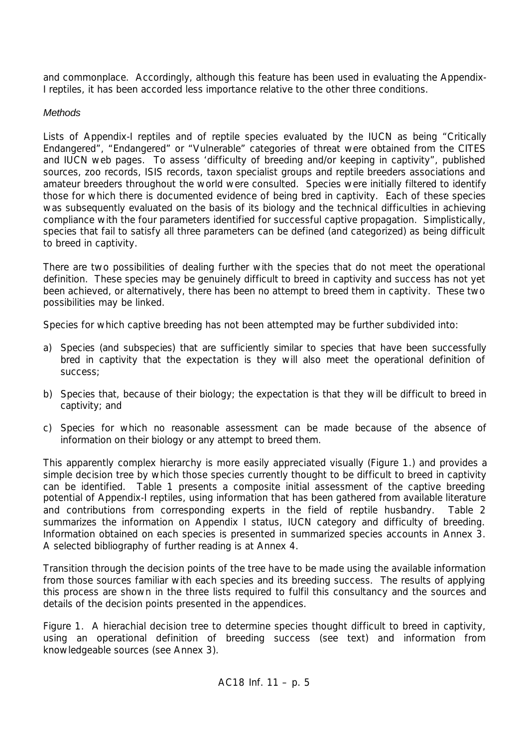and commonplace. Accordingly, although this feature has been used in evaluating the Appendix-I reptiles, it has been accorded less importance relative to the other three conditions.

# *Methods*

Lists of Appendix-I reptiles and of reptile species evaluated by the IUCN as being "Critically Endangered", "Endangered" or "Vulnerable" categories of threat were obtained from the CITES and IUCN web pages. To assess 'difficulty of breeding and/or keeping in captivity", published sources, zoo records, ISIS records, taxon specialist groups and reptile breeders associations and amateur breeders throughout the world were consulted. Species were initially filtered to identify those for which there is documented evidence of being bred in captivity. Each of these species was subsequently evaluated on the basis of its biology and the technical difficulties in achieving compliance with the four parameters identified for successful captive propagation. Simplistically, species that fail to satisfy all three parameters can be defined (and categorized) as being difficult to breed in captivity.

There are two possibilities of dealing further with the species that do not meet the operational definition. These species may be genuinely difficult to breed in captivity and success has not yet been achieved, or alternatively, there has been no attempt to breed them in captivity. These two possibilities may be linked.

Species for which captive breeding has not been attempted may be further subdivided into:

- a) Species (and subspecies) that are sufficiently similar to species that have been successfully bred in captivity that the expectation is they will also meet the operational definition of success;
- b) Species that, because of their biology; the expectation is that they will be difficult to breed in captivity; and
- c) Species for which no reasonable assessment can be made because of the absence of information on their biology or any attempt to breed them.

This apparently complex hierarchy is more easily appreciated visually (Figure 1.) and provides a simple decision tree by which those species currently thought to be difficult to breed in captivity can be identified. Table 1 presents a composite initial assessment of the captive breeding potential of Appendix-I reptiles, using information that has been gathered from available literature and contributions from corresponding experts in the field of reptile husbandry. Table 2 summarizes the information on Appendix I status, IUCN category and difficulty of breeding. Information obtained on each species is presented in summarized species accounts in Annex 3. A selected bibliography of further reading is at Annex 4.

Transition through the decision points of the tree have to be made using the available information from those sources familiar with each species and its breeding success. The results of applying this process are shown in the three lists required to fulfil this consultancy and the sources and details of the decision points presented in the appendices.

Figure 1. A hierachial decision tree to determine species thought difficult to breed in captivity, using an operational definition of breeding success (see text) and information from knowledgeable sources (see Annex 3).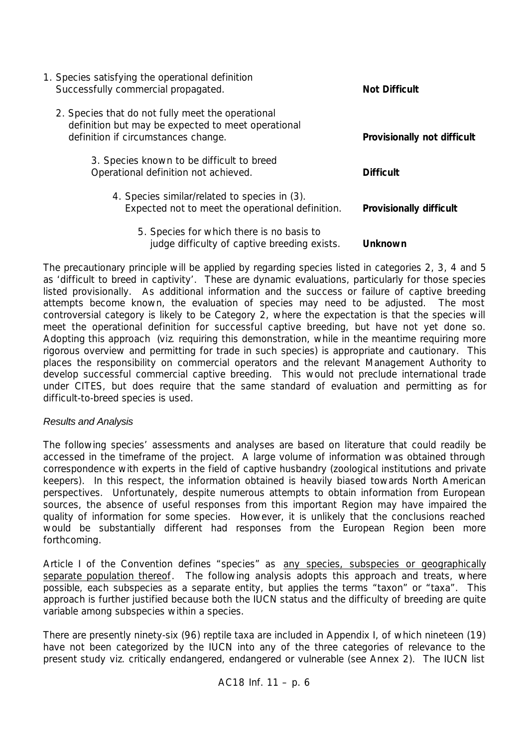| 1. Species satisfying the operational definition<br>Successfully commercial propagated.                                                        | <b>Not Difficult</b>           |
|------------------------------------------------------------------------------------------------------------------------------------------------|--------------------------------|
| 2. Species that do not fully meet the operational<br>definition but may be expected to meet operational<br>definition if circumstances change. | Provisionally not difficult    |
| 3. Species known to be difficult to breed<br>Operational definition not achieved.                                                              | <b>Difficult</b>               |
| 4. Species similar/related to species in (3).<br>Expected not to meet the operational definition.                                              | <b>Provisionally difficult</b> |
| 5. Species for which there is no basis to<br>judge difficulty of captive breeding exists.                                                      | <b>Unknown</b>                 |

The precautionary principle will be applied by regarding species listed in categories 2, 3, 4 and 5 as 'difficult to breed in captivity'. These are dynamic evaluations, particularly for those species listed provisionally. As additional information and the success or failure of captive breeding attempts become known, the evaluation of species may need to be adjusted. The most controversial category is likely to be Category 2, where the expectation is that the species will meet the operational definition for successful captive breeding, but have not yet done so. Adopting this approach (*viz*. requiring this demonstration, while in the meantime requiring more rigorous overview and permitting for trade in such species) is appropriate and cautionary. This places the responsibility on commercial operators and the relevant Management Authority to develop successful commercial captive breeding. This would not preclude international trade under CITES, but does require that the same standard of evaluation and permitting as for difficult-to-breed species is used.

# *Results and Analysis*

The following species' assessments and analyses are based on literature that could readily be accessed in the timeframe of the project. A large volume of information was obtained through correspondence with experts in the field of captive husbandry (zoological institutions and private keepers). In this respect, the information obtained is heavily biased towards North American perspectives. Unfortunately, despite numerous attempts to obtain information from European sources, the absence of useful responses from this important Region may have impaired the quality of information for some species. However, it is unlikely that the conclusions reached would be substantially different had responses from the European Region been more forthcoming.

Article I of the Convention defines "species" as any species, subspecies or geographically separate population thereof. The following analysis adopts this approach and treats, where possible, each subspecies as a separate entity, but applies the terms "taxon" or "taxa". This approach is further justified because both the IUCN status and the difficulty of breeding are quite variable among subspecies within a species.

There are presently ninety-six (96) reptile taxa are included in Appendix I, of which nineteen (19) have not been categorized by the IUCN into any of the three categories of relevance to the present study *viz*. critically endangered, endangered or vulnerable (see Annex 2). The IUCN list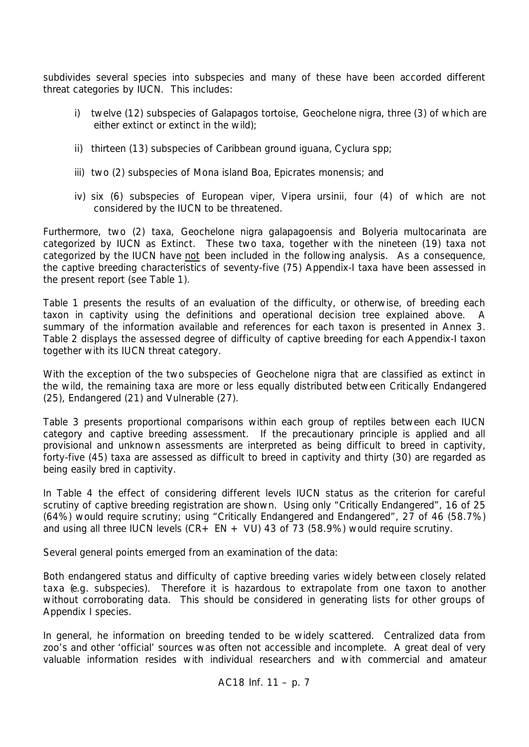subdivides several species into subspecies and many of these have been accorded different threat categories by IUCN. This includes:

- i) twelve (12) subspecies of Galapagos tortoise, *Geochelone nigra,* three (3) of which are either extinct or extinct in the wild);
- ii) thirteen (13) subspecies of Caribbean ground iguana, *Cyclura* spp;
- iii) two (2) subspecies of Mona island Boa, *Epicrates monensis;* and
- iv) six (6) subspecies of European viper, *Vipera ursinii*, four (4) of which are not considered by the IUCN to be threatened.

Furthermore, two (2) taxa, *Geochelone nigra galapagoensis* and *Bolyeria multocarinata* are categorized by IUCN as Extinct. These two taxa, together with the nineteen (19) taxa not categorized by the IUCN have not been included in the following analysis. As a consequence, the captive breeding characteristics of seventy-five (75) Appendix-I taxa have been assessed in the present report (see Table 1).

Table 1 presents the results of an evaluation of the difficulty, or otherwise, of breeding each taxon in captivity using the definitions and operational decision tree explained above. A summary of the information available and references for each taxon is presented in Annex 3. Table 2 displays the assessed degree of difficulty of captive breeding for each Appendix-I taxon together with its IUCN threat category.

With the exception of the two subspecies of *Geochelone nigra* that are classified as extinct in the wild, the remaining taxa are more or less equally distributed between Critically Endangered (25), Endangered (21) and Vulnerable (27).

Table 3 presents proportional comparisons within each group of reptiles between each IUCN category and captive breeding assessment. If the precautionary principle is applied and all provisional and unknown assessments are interpreted as being difficult to breed in captivity, forty-five (45) taxa are assessed as difficult to breed in captivity and thirty (30) are regarded as being easily bred in captivity.

In Table 4 the effect of considering different levels IUCN status as the criterion for careful scrutiny of captive breeding registration are shown. Using only "Critically Endangered", 16 of 25 (64%) would require scrutiny; using "Critically Endangered and Endangered", 27 of 46 (58.7%) and using all three IUCN levels  $(CR + EN + VU)$  43 of 73 (58.9%) would require scrutiny.

Several general points emerged from an examination of the data:

Both endangered status and difficulty of captive breeding varies widely between closely related taxa (*e.g*. subspecies). Therefore it is hazardous to extrapolate from one taxon to another without corroborating data. This should be considered in generating lists for other groups of Appendix I species.

In general, he information on breeding tended to be widely scattered. Centralized data from zoo's and other 'official' sources was often not accessible and incomplete. A great deal of very valuable information resides with individual researchers and with commercial and amateur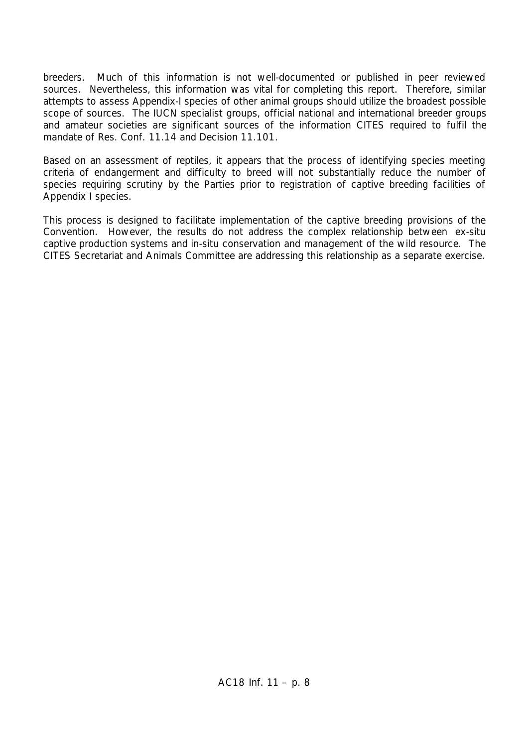breeders. Much of this information is not well-documented or published in peer reviewed sources. Nevertheless, this information was vital for completing this report. Therefore, similar attempts to assess Appendix-I species of other animal groups should utilize the broadest possible scope of sources. The IUCN specialist groups, official national and international breeder groups and amateur societies are significant sources of the information CITES required to fulfil the mandate of Res. Conf. 11.14 and Decision 11.101.

Based on an assessment of reptiles, it appears that the process of identifying species meeting criteria of endangerment and difficulty to breed will not substantially reduce the number of species requiring scrutiny by the Parties prior to registration of captive breeding facilities of Appendix I species.

This process is designed to facilitate implementation of the captive breeding provisions of the Convention. However, the results do not address the complex relationship between *ex-situ* captive production systems and *in-situ* conservation and management of the wild resource. The CITES Secretariat and Animals Committee are addressing this relationship as a separate exercise.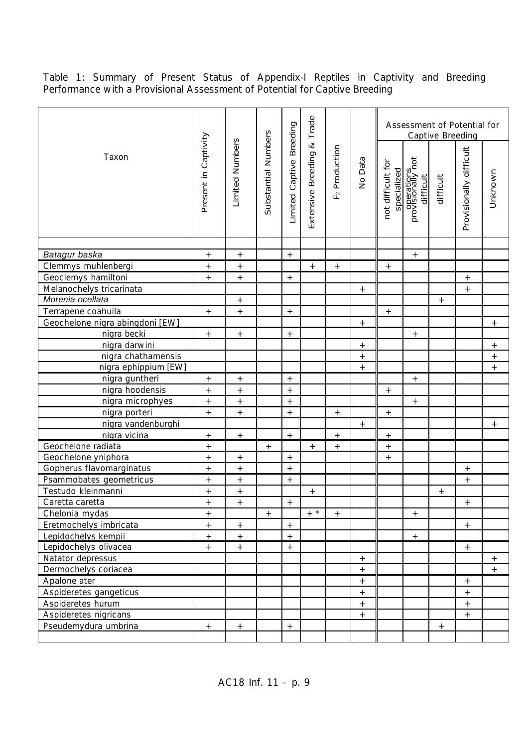Table 1: Summary of Present Status of Appendix-I Reptiles in Captivity and Breeding Performance with a Provisional Assessment of Potential for Captive Breeding

|                                 |                      |                   |                     |                          | Trade                          |                              |                   |                                  |                                            | <b>Captive Breeding</b> | Assessment of Potential for |                  |
|---------------------------------|----------------------|-------------------|---------------------|--------------------------|--------------------------------|------------------------------|-------------------|----------------------------------|--------------------------------------------|-------------------------|-----------------------------|------------------|
| Taxon                           | Present in Captivity | Limited Numbers   | Substantial Numbers | Limited Captive Breeding | $\infty$<br>Extensive Breeding | Production<br>$\overline{F}$ | No Data           | not difficult for<br>specialized | provisionaliyy <sub>not</sub><br>difficult | difficult               | Provisionally difficult     | Unknown          |
|                                 |                      |                   |                     |                          |                                |                              |                   |                                  |                                            |                         |                             |                  |
| Batagur baska                   | $^+$                 | $^+$              |                     | $\boldsymbol{+}$         |                                |                              |                   |                                  | $^{+}$                                     |                         |                             |                  |
| Clemmys muhlenbergi             | $\qquad \qquad +$    | $\qquad \qquad +$ |                     |                          | $+$                            | $\boldsymbol{+}$             |                   |                                  |                                            |                         |                             |                  |
| Geoclemys hamiltoni             | $\qquad \qquad +$    | $^+$              |                     | $\boldsymbol{+}$         |                                |                              |                   |                                  |                                            |                         | $\boldsymbol{+}$            |                  |
| Melanochelys tricarinata        |                      |                   |                     |                          |                                |                              | $+$               |                                  |                                            |                         | $\boldsymbol{+}$            |                  |
| Morenia ocellata                |                      | $\boldsymbol{+}$  |                     |                          |                                |                              |                   |                                  |                                            | $+$                     |                             |                  |
| Terrapene coahuila              | $+$                  | $+$               |                     | $+$                      |                                |                              |                   | $+$                              |                                            |                         |                             |                  |
| Geochelone nigra abingdoni [EW] |                      |                   |                     |                          |                                |                              | $+$               |                                  |                                            |                         |                             | $^{+}$           |
| nigra becki                     | $+$                  | $+$               |                     | $\boldsymbol{+}$         |                                |                              |                   |                                  | $^{+}$                                     |                         |                             |                  |
| nigra darwini                   |                      |                   |                     |                          |                                |                              | $+$               |                                  |                                            |                         |                             | $\boldsymbol{+}$ |
| nigra chathamensis              |                      |                   |                     |                          |                                |                              | $\qquad \qquad +$ |                                  |                                            |                         |                             | $^{+}$           |
| nigra ephippium [EW]            |                      |                   |                     |                          |                                |                              | $^{+}$            |                                  |                                            |                         |                             | $^{+}$           |
| nigra guntheri                  | $^{\mathrm{+}}$      | $^+$              |                     | $\boldsymbol{+}$         |                                |                              |                   |                                  | $+$                                        |                         |                             |                  |
| nigra hoodensis                 | $\boldsymbol{+}$     | $\boldsymbol{+}$  |                     | $\boldsymbol{+}$         |                                |                              |                   | $\boldsymbol{+}$                 |                                            |                         |                             |                  |
| nigra microphyes                | $\qquad \qquad +$    | $\qquad \qquad +$ |                     | $\qquad \qquad +$        |                                |                              |                   |                                  | $\qquad \qquad +$                          |                         |                             |                  |
| nigra porteri                   | $+$                  | $\qquad \qquad +$ |                     | $\ddot{}$                |                                | $+$                          |                   | $\boldsymbol{+}$                 |                                            |                         |                             |                  |
| nigra vandenburghi              |                      |                   |                     |                          |                                |                              | $^{+}$            |                                  |                                            |                         |                             | $^{+}$           |
| nigra vicina                    | $^{+}$               | $\boldsymbol{+}$  |                     | $+$                      |                                | $+$                          |                   |                                  |                                            |                         |                             |                  |
| Geochelone radiata              | $\qquad \qquad +$    |                   | $+$                 |                          | $^{+}$                         | $+$                          |                   | $\qquad \qquad +$                |                                            |                         |                             |                  |
| Geochelone yniphora             | $\qquad \qquad +$    | $^+$              |                     | $^{\mathrm{+}}$          |                                |                              |                   |                                  |                                            |                         |                             |                  |
| Gopherus flavomarginatus        | $\qquad \qquad +$    | $\qquad \qquad +$ |                     | $^{+}$                   |                                |                              |                   |                                  |                                            |                         | $\boldsymbol{+}$            |                  |
| Psammobates geometricus         | $^{\mathrm{+}}$      | $\qquad \qquad +$ |                     | $\qquad \qquad +$        |                                |                              |                   |                                  |                                            |                         | $\boldsymbol{+}$            |                  |
| Testudo kleinmanni              | $\boldsymbol{+}$     | $\boldsymbol{+}$  |                     |                          | $\boldsymbol{+}$               |                              |                   |                                  |                                            | $+$                     |                             |                  |
| Caretta caretta                 | $^{+}$               | $+$               |                     | $+$                      |                                |                              |                   |                                  |                                            |                         | $+$                         |                  |
| Chelonia mydas                  | $+$                  |                   | $\, +$              |                          | $+$ *                          | $+$                          |                   |                                  | $\qquad \qquad +$                          |                         |                             |                  |
| Eretmochelys imbricata          | $\qquad \qquad +$    | $\boldsymbol{+}$  |                     | $+$                      |                                |                              |                   |                                  |                                            |                         | $\boldsymbol{+}$            |                  |
| Lepidochelys kempii             | $+$                  | $+$               |                     | $+$                      |                                |                              |                   |                                  | $^{+}$                                     |                         |                             |                  |
| Lepidochelys olivacea           | $+$                  | $\qquad \qquad +$ |                     | $\boldsymbol{+}$         |                                |                              |                   |                                  |                                            |                         | $\boldsymbol{+}$            |                  |
| Natator depressus               |                      |                   |                     |                          |                                |                              | $^{\mathrm{+}}$   |                                  |                                            |                         |                             |                  |
| Dermochelys coriacea            |                      |                   |                     |                          |                                |                              | $\qquad \qquad +$ |                                  |                                            |                         |                             | $+$              |
| Apalone ater                    |                      |                   |                     |                          |                                |                              | $^+$              |                                  |                                            |                         | $\boldsymbol{+}$            |                  |
| Aspideretes gangeticus          |                      |                   |                     |                          |                                |                              | $\boldsymbol{+}$  |                                  |                                            |                         | $\boldsymbol{+}$            |                  |
| Aspideretes hurum               |                      |                   |                     |                          |                                |                              | $\boldsymbol{+}$  |                                  |                                            |                         | $\qquad \qquad +$           |                  |
| Aspideretes nigricans           |                      |                   |                     |                          |                                |                              | $+$               |                                  |                                            |                         | $\boldsymbol{+}$            |                  |
| Pseudemydura umbrina            | $+$                  | $+$               |                     | $+$                      |                                |                              |                   |                                  |                                            | $^{+}$                  |                             |                  |
|                                 |                      |                   |                     |                          |                                |                              |                   |                                  |                                            |                         |                             |                  |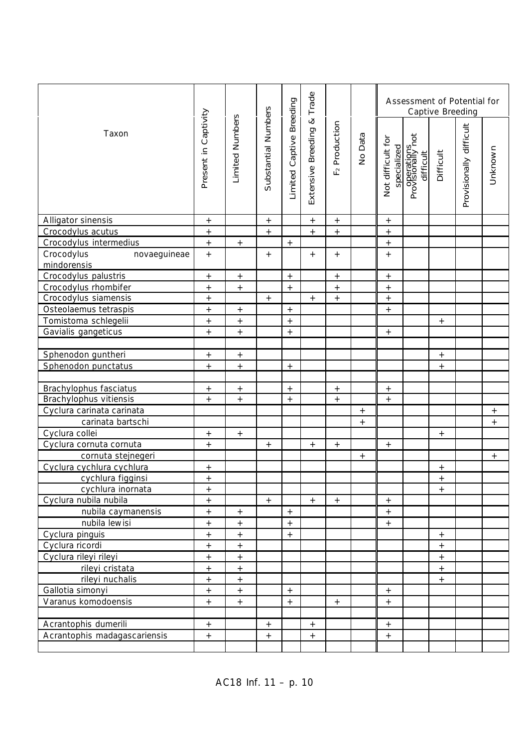|                                           |                      |                   |                     |                          | Trade                |                              |                   |                                  |                                | Captive Breeding  | Assessment of Potential for |                  |
|-------------------------------------------|----------------------|-------------------|---------------------|--------------------------|----------------------|------------------------------|-------------------|----------------------------------|--------------------------------|-------------------|-----------------------------|------------------|
| Taxon                                     | Present in Captivity | Limited Numbers   | Substantial Numbers | Limited Captive Breeding | Extensive Breeding & | Production<br>F <sub>2</sub> | No Data           | Not difficult for<br>specialized | Provisionally not<br>difficult | Difficult         | Provisionally difficult     | Unknown          |
| Alligator sinensis                        | $\boldsymbol{+}$     |                   | $\boldsymbol{+}$    |                          | $\boldsymbol{+}$     | $\qquad \qquad +$            |                   | $\qquad \qquad +$                |                                |                   |                             |                  |
| Crocodylus acutus                         | $\boldsymbol{+}$     |                   |                     |                          | $\boldsymbol{+}$     | $+$                          |                   | $\qquad \qquad +$                |                                |                   |                             |                  |
| Crocodylus intermedius                    | $+$                  | $+$               |                     | $^{+}$                   |                      |                              |                   | $+$                              |                                |                   |                             |                  |
| Crocodylus<br>novaeguineae<br>mindorensis | $+$                  |                   | $+$                 |                          | $+$                  | $+$                          |                   | $+$                              |                                |                   |                             |                  |
| Crocodylus palustris                      | $\boldsymbol{+}$     | $\overline{+}$    |                     | $+$                      |                      | $\boldsymbol{+}$             |                   | $\qquad \qquad +$                |                                |                   |                             |                  |
| Crocodylus rhombifer                      | $\ddot{}$            | $\qquad \qquad +$ |                     | $+$                      |                      | $\qquad \qquad +$            |                   | $\ddot{}$                        |                                |                   |                             |                  |
| Crocodylus siamensis                      | $\qquad \qquad +$    |                   |                     |                          | $\boldsymbol{+}$     | $\! + \!\!\!\!$              |                   | $\qquad \qquad +$                |                                |                   |                             |                  |
| Osteolaemus tetraspis                     | $\qquad \qquad +$    | $\qquad \qquad +$ |                     | $+$                      |                      |                              |                   | $+$                              |                                |                   |                             |                  |
| Tomistoma schlegelii                      | $\qquad \qquad +$    | $^{+}$            |                     | $\boldsymbol{+}$         |                      |                              |                   |                                  |                                | $+$               |                             |                  |
| Gavialis gangeticus                       | $+$                  | $\qquad \qquad +$ |                     | $\boldsymbol{+}$         |                      |                              |                   | $\qquad \qquad +$                |                                |                   |                             |                  |
|                                           |                      |                   |                     |                          |                      |                              |                   |                                  |                                |                   |                             |                  |
| Sphenodon guntheri                        | $\boldsymbol{+}$     | $\boldsymbol{+}$  |                     |                          |                      |                              |                   |                                  |                                | $\qquad \qquad +$ |                             |                  |
| Sphenodon punctatus                       | $+$                  | $\boldsymbol{+}$  |                     | $+$                      |                      |                              |                   |                                  |                                | $+$               |                             |                  |
|                                           |                      |                   |                     |                          |                      |                              |                   |                                  |                                |                   |                             |                  |
| Brachylophus fasciatus                    | $+$                  | $\qquad \qquad +$ |                     | $\qquad \qquad +$        |                      | $\qquad \qquad +$            |                   | $\qquad \qquad +$                |                                |                   |                             |                  |
| Brachylophus vitiensis                    | $+$                  | $\boldsymbol{+}$  |                     | $\boldsymbol{+}$         |                      | $+$                          |                   | $\qquad \qquad +$                |                                |                   |                             |                  |
| Cyclura carinata carinata                 |                      |                   |                     |                          |                      |                              |                   |                                  |                                |                   |                             | $+$              |
| carinata bartschi                         |                      |                   |                     |                          |                      |                              | $\qquad \qquad +$ |                                  |                                |                   |                             | $\boldsymbol{+}$ |
| Cyclura collei                            | $\boldsymbol{+}$     | $\boldsymbol{+}$  |                     |                          |                      |                              |                   |                                  |                                | $\qquad \qquad +$ |                             |                  |
| Cyclura cornuta cornuta                   | $\qquad \qquad +$    |                   | $+$                 |                          | $^+$                 | $+$                          |                   | $\boldsymbol{+}$                 |                                |                   |                             |                  |
| cornuta stejnegeri                        |                      |                   |                     |                          |                      |                              | $\boldsymbol{+}$  |                                  |                                |                   |                             | $+$              |
| Cyclura cychlura cychlura                 | $\overline{+}$       |                   |                     |                          |                      |                              |                   |                                  |                                | $+$               |                             |                  |
| cychlura figginsi                         | $^{+}$               |                   |                     |                          |                      |                              |                   |                                  |                                | $\ddot{}$         |                             |                  |
| cychlura inornata                         | $^{+}$               |                   |                     |                          |                      |                              |                   |                                  |                                | $+$               |                             |                  |
| Cyclura nubila nubila                     | $^{+}$               |                   | $^{+}$              |                          | $+$                  | $^{+}$                       |                   | $\boldsymbol{+}$                 |                                |                   |                             |                  |
| nubila caymanensis                        | $+$                  | $\boldsymbol{+}$  |                     | $+$                      |                      |                              |                   | $+$                              |                                |                   |                             |                  |
| nubila lewisi                             | $\qquad \qquad +$    | $\qquad \qquad +$ |                     | $\boldsymbol{+}$         |                      |                              |                   | $\qquad \qquad +$                |                                |                   |                             |                  |
| Cyclura pinguis                           | $\qquad \qquad +$    | $\boldsymbol{+}$  |                     | $+$                      |                      |                              |                   |                                  |                                | $\qquad \qquad +$ |                             |                  |
| Cyclura ricordi                           | $^{\mathrm{+}}$      | $^{\mathrm{+}}$   |                     |                          |                      |                              |                   |                                  |                                | $^{+}$            |                             |                  |
| Cyclura rileyi rileyi                     | $+$                  | $+$               |                     |                          |                      |                              |                   |                                  |                                | $+$               |                             |                  |
| rileyi cristata                           | $\boldsymbol{+}$     | $\qquad \qquad +$ |                     |                          |                      |                              |                   |                                  |                                | $\qquad \qquad +$ |                             |                  |
| rileyi nuchalis                           | $\qquad \qquad +$    | $\qquad \qquad +$ |                     |                          |                      |                              |                   |                                  |                                | $+$               |                             |                  |
| Gallotia simonyi                          | $+$                  | $\qquad \qquad +$ |                     | $+$                      |                      |                              |                   | $\qquad \qquad +$                |                                |                   |                             |                  |
| Varanus komodoensis                       | $\qquad \qquad +$    | $\boldsymbol{+}$  |                     | $\qquad \qquad +$        |                      | $+$                          |                   | $\boldsymbol{+}$                 |                                |                   |                             |                  |
|                                           |                      |                   |                     |                          |                      |                              |                   |                                  |                                |                   |                             |                  |
| Acrantophis dumerili                      | $\qquad \qquad +$    |                   | $+$                 |                          | $^{\mathrm{+}}$      |                              |                   | $^{\mathrm{+}}$                  |                                |                   |                             |                  |
| Acrantophis madagascariensis              | $\boldsymbol{+}$     |                   | $\boldsymbol{+}$    |                          | $\boldsymbol{+}$     |                              |                   | $\qquad \qquad +$                |                                |                   |                             |                  |
|                                           |                      |                   |                     |                          |                      |                              |                   |                                  |                                |                   |                             |                  |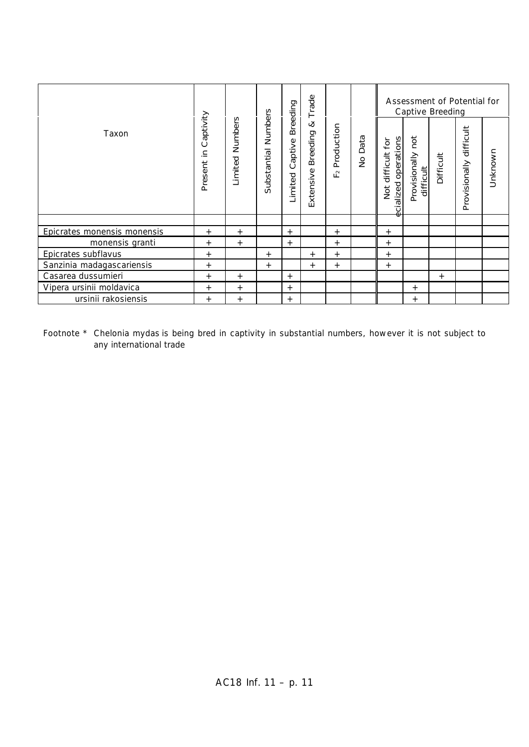|                             |                         |                    |                        | Breeding           | Trade                      |                           |                       |                                                       |                                   | Captive Breeding | Assessment of Potential for |         |
|-----------------------------|-------------------------|--------------------|------------------------|--------------------|----------------------------|---------------------------|-----------------------|-------------------------------------------------------|-----------------------------------|------------------|-----------------------------|---------|
| Taxon                       | Captivity<br>Present in | Numbers<br>Limited | Numbers<br>Substantial | Captive<br>Limited | ∞<br>Breeding<br>Extensive | Production<br>$\sim$<br>ட | Data<br>$\frac{1}{2}$ | operations<br>ίă<br>difficult<br>cialized<br>Not<br>Φ | not<br>Provisionally<br>difficult | Difficult        | difficult<br>Provisionally  | Unknown |
|                             |                         |                    |                        |                    |                            |                           |                       |                                                       |                                   |                  |                             |         |
| Epicrates monensis monensis | $^{+}$                  | $+$                |                        | $^{+}$             |                            | $^+$                      |                       | $^{+}$                                                |                                   |                  |                             |         |
| monensis granti             | $^{+}$                  | $+$                |                        | $^{+}$             |                            | $^{+}$                    |                       | $^{+}$                                                |                                   |                  |                             |         |
| Epicrates subflavus         | $^{+}$                  |                    | $^{+}$                 |                    | $^{+}$                     | $^+$                      |                       | $^{+}$                                                |                                   |                  |                             |         |
| Sanzinia madagascariensis   | $^{+}$                  |                    | $^{+}$                 |                    | $+$                        | $^+$                      |                       | $^{+}$                                                |                                   |                  |                             |         |
| Casarea dussumieri          | $^{+}$                  | $+$                |                        | $^{+}$             |                            |                           |                       |                                                       |                                   | $^{+}$           |                             |         |
| Vipera ursinii moldavica    | $^{+}$                  | $+$                |                        | $^{+}$             |                            |                           |                       |                                                       | $^+$                              |                  |                             |         |
| ursinii rakosiensis         | $^{+}$                  | $^{+}$             |                        | $^{+}$             |                            |                           |                       |                                                       | $^{+}$                            |                  |                             |         |

Footnote \* *Chelonia mydas* is being bred in captivity in substantial numbers, however it is not subject to any international trade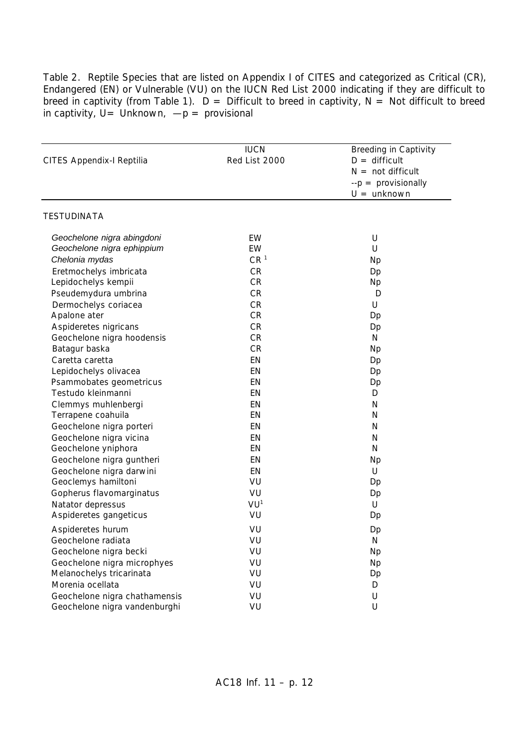Table 2. Reptile Species that are listed on Appendix I of CITES and categorized as Critical (CR), Endangered (EN) or Vulnerable (VU) on the IUCN Red List 2000 indicating if they are difficult to breed in captivity (from Table 1).  $D =$  Difficult to breed in captivity, N = Not difficult to breed in captivity,  $U =$  Unknown,  $-p =$  provisional

| CITES Appendix-I Reptilia     | <b>IUCN</b><br>Red List 2000 | <b>Breeding in Captivity</b><br>$D =$ difficult<br>$N = not difficult$<br>$-p =$ provisionally<br>$U =$ unknown |
|-------------------------------|------------------------------|-----------------------------------------------------------------------------------------------------------------|
| <b>TESTUDINATA</b>            |                              |                                                                                                                 |
| Geochelone nigra abingdoni    | EW                           | U                                                                                                               |
| Geochelone nigra ephippium    | EW                           | U                                                                                                               |
| Chelonia mydas                | CR <sup>1</sup>              | <b>Np</b>                                                                                                       |
| Eretmochelys imbricata        | CR                           | Dp                                                                                                              |
| Lepidochelys kempii           | CR                           | Np                                                                                                              |
| Pseudemydura umbrina          | CR                           | D                                                                                                               |
| Dermochelys coriacea          | CR                           | U                                                                                                               |
| Apalone ater                  | CR                           | Dp                                                                                                              |
| Aspideretes nigricans         | CR                           | Dp                                                                                                              |
| Geochelone nigra hoodensis    | CR                           | N                                                                                                               |
| Batagur baska                 | CR                           | <b>Np</b>                                                                                                       |
| Caretta caretta               | EN                           | Dp                                                                                                              |
| Lepidochelys olivacea         | EN                           | Dp                                                                                                              |
| Psammobates geometricus       | EN                           | Dp                                                                                                              |
| Testudo kleinmanni            | EN                           | D                                                                                                               |
| Clemmys muhlenbergi           | EN                           | N                                                                                                               |
| Terrapene coahuila            | EN                           | N                                                                                                               |
| Geochelone nigra porteri      | EN                           | N                                                                                                               |
| Geochelone nigra vicina       | EN                           | N                                                                                                               |
| Geochelone yniphora           | EN                           | N                                                                                                               |
| Geochelone nigra guntheri     | EN                           | <b>Np</b>                                                                                                       |
| Geochelone nigra darwini      | EN                           | U                                                                                                               |
| Geoclemys hamiltoni           | VU                           | Dp                                                                                                              |
| Gopherus flavomarginatus      | VU                           | Dp                                                                                                              |
| Natator depressus             | VU <sup>1</sup>              | U                                                                                                               |
| Aspideretes gangeticus        | VU                           | Dp                                                                                                              |
|                               |                              |                                                                                                                 |
| Aspideretes hurum             | VU                           | Dp                                                                                                              |
| Geochelone radiata            | VU                           | N                                                                                                               |
| Geochelone nigra becki        | VU                           | <b>Np</b>                                                                                                       |
| Geochelone nigra microphyes   | VU                           | <b>Np</b>                                                                                                       |
| Melanochelys tricarinata      | VU                           | Dp                                                                                                              |
| Morenia ocellata              | VU                           | D                                                                                                               |
| Geochelone nigra chathamensis | VU                           | U                                                                                                               |
| Geochelone nigra vandenburghi | VU                           | U                                                                                                               |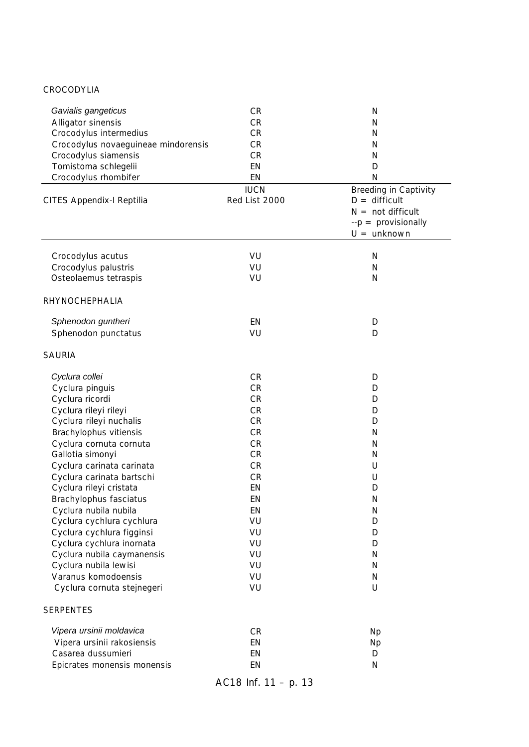#### CROCODYLIA

| Gavialis gangeticus<br>Alligator sinensis<br>Crocodylus intermedius<br>Crocodylus novaeguineae mindorensis<br>Crocodylus siamensis<br>Tomistoma schlegelii<br>Crocodylus rhombifer<br>CITES Appendix-I Reptilia                                                                                                                                                                                                                                                                                                              | <b>CR</b><br><b>CR</b><br>CR<br><b>CR</b><br><b>CR</b><br>EN<br>EN<br><b>IUCN</b><br>Red List 2000                                                                                  | N<br>N<br>N<br>N<br>N<br>D<br>N<br><b>Breeding in Captivity</b><br>$D =$ difficult<br>$N = not difficult$   |
|------------------------------------------------------------------------------------------------------------------------------------------------------------------------------------------------------------------------------------------------------------------------------------------------------------------------------------------------------------------------------------------------------------------------------------------------------------------------------------------------------------------------------|-------------------------------------------------------------------------------------------------------------------------------------------------------------------------------------|-------------------------------------------------------------------------------------------------------------|
|                                                                                                                                                                                                                                                                                                                                                                                                                                                                                                                              |                                                                                                                                                                                     | $-p =$ provisionally<br>$U =$ unknown                                                                       |
| Crocodylus acutus<br>Crocodylus palustris<br>Osteolaemus tetraspis                                                                                                                                                                                                                                                                                                                                                                                                                                                           | VU<br>VU<br>VU                                                                                                                                                                      | $\mathsf{N}$<br>N<br>N                                                                                      |
| RHYNOCHEPHALIA                                                                                                                                                                                                                                                                                                                                                                                                                                                                                                               |                                                                                                                                                                                     |                                                                                                             |
| Sphenodon guntheri<br>Sphenodon punctatus                                                                                                                                                                                                                                                                                                                                                                                                                                                                                    | EN<br>VU                                                                                                                                                                            | D<br>D                                                                                                      |
| <b>SAURIA</b>                                                                                                                                                                                                                                                                                                                                                                                                                                                                                                                |                                                                                                                                                                                     |                                                                                                             |
| Cyclura collei<br>Cyclura pinguis<br>Cyclura ricordi<br>Cyclura rileyi rileyi<br>Cyclura rileyi nuchalis<br>Brachylophus vitiensis<br>Cyclura cornuta cornuta<br>Gallotia simonyi<br>Cyclura carinata carinata<br>Cyclura carinata bartschi<br>Cyclura rileyi cristata<br>Brachylophus fasciatus<br>Cyclura nubila nubila<br>Cyclura cychlura cychlura<br>Cyclura cychlura figginsi<br>Cyclura cychlura inornata<br>Cyclura nubila caymanensis<br>Cyclura nubila lewisi<br>Varanus komodoensis<br>Cyclura cornuta stejnegeri | <b>CR</b><br><b>CR</b><br><b>CR</b><br><b>CR</b><br><b>CR</b><br><b>CR</b><br><b>CR</b><br><b>CR</b><br>CR<br><b>CR</b><br>EN<br>EN<br>EN<br>VU<br>VU<br>VU<br>VU<br>VU<br>VU<br>VU | D<br>D<br>D<br>D<br>D<br>N<br>N<br>N<br>U<br>U<br>D<br>N<br>N<br>D<br>D<br>D<br>N<br>$\mathsf{N}$<br>N<br>U |
| <b>SERPENTES</b>                                                                                                                                                                                                                                                                                                                                                                                                                                                                                                             |                                                                                                                                                                                     |                                                                                                             |
| Vipera ursinii moldavica<br>Vipera ursinii rakosiensis<br>Casarea dussumieri<br>Epicrates monensis monensis                                                                                                                                                                                                                                                                                                                                                                                                                  | <b>CR</b><br>EN<br>EN<br>EN                                                                                                                                                         | <b>Np</b><br><b>Np</b><br>D<br>$\mathsf{N}$                                                                 |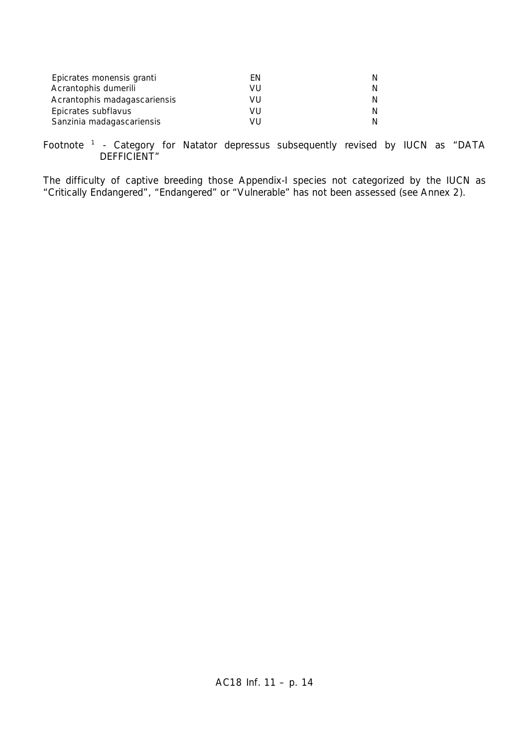| Epicrates monensis granti    | FN    | N. |
|------------------------------|-------|----|
| Acrantophis dumerili         | VU    | N. |
| Acrantophis madagascariensis | VU    | N. |
| Epicrates subflavus          | VU    | N. |
| Sanzinia madagascariensis    | \/I l | N. |

Footnote <sup>1</sup> - Category for *Natator depressus* subsequently revised by IUCN as "DATA DEFFICIENT"

The difficulty of captive breeding those Appendix-I species not categorized by the IUCN as "Critically Endangered", "Endangered" or "Vulnerable" has not been assessed (see Annex 2).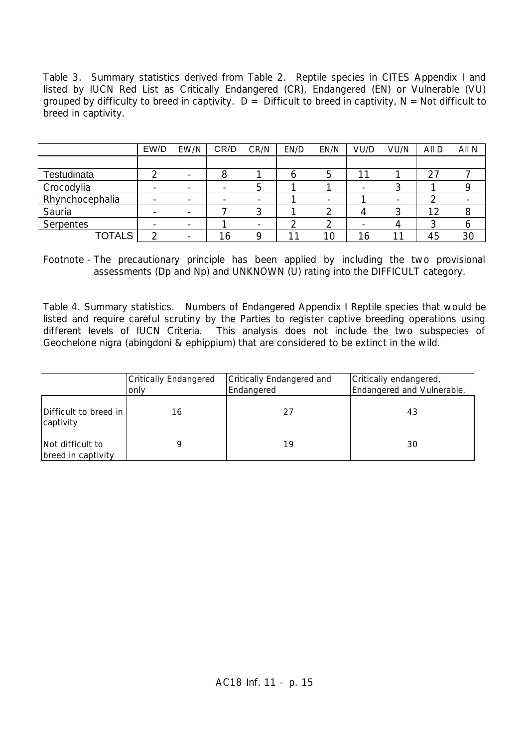Table 3. Summary statistics derived from Table 2. Reptile species in CITES Appendix I and listed by IUCN Red List as Critically Endangered (CR), Endangered (EN) or Vulnerable (VU) grouped by difficulty to breed in captivity.  $D =$  Difficult to breed in captivity,  $N =$ Not difficult to breed in captivity.

|                 | EW/D | EW/N                     | CR/D | CR/N | EN/D | EN/N                     | VU/D | VU/N | All D | All N |
|-----------------|------|--------------------------|------|------|------|--------------------------|------|------|-------|-------|
|                 |      |                          |      |      |      |                          |      |      |       |       |
| Testudinata     |      |                          |      |      | O    | 5                        |      |      | 27    |       |
| Crocodylia      |      |                          |      | 5    |      |                          |      |      |       |       |
| Rhynchocephalia |      | $\overline{\phantom{a}}$ |      |      |      | $\overline{\phantom{a}}$ |      |      |       |       |
| Sauria          |      |                          |      |      |      |                          |      |      | 12    | 8     |
| Serpentes       |      | $\overline{\phantom{a}}$ |      |      |      |                          |      |      |       |       |
| <b>TOTALS</b>   |      | $\overline{\phantom{a}}$ | C    |      |      | 10                       | 16   |      | 45    | 30    |

Footnote - The precautionary principle has been applied by including the two provisional assessments (Dp and Np) and UNKNOWN (U) rating into the DIFFICULT category.

Table 4. Summary statistics. Numbers of Endangered Appendix I Reptile species that would be listed and require careful scrutiny by the Parties to register captive breeding operations using different levels of IUCN Criteria. This analysis does not include the two subspecies of *Geochelone nigra* (*abingdoni* & *ephippium*) that are considered to be extinct in the wild.

|                                        | <b>Critically Endangered</b><br>only | Critically Endangered and<br>Endangered | Critically endangered,<br>Endangered and Vulnerable. |
|----------------------------------------|--------------------------------------|-----------------------------------------|------------------------------------------------------|
| Difficult to breed in<br>captivity     | 16                                   | 27                                      | 43                                                   |
| Not difficult to<br>breed in captivity |                                      | 19                                      | 30                                                   |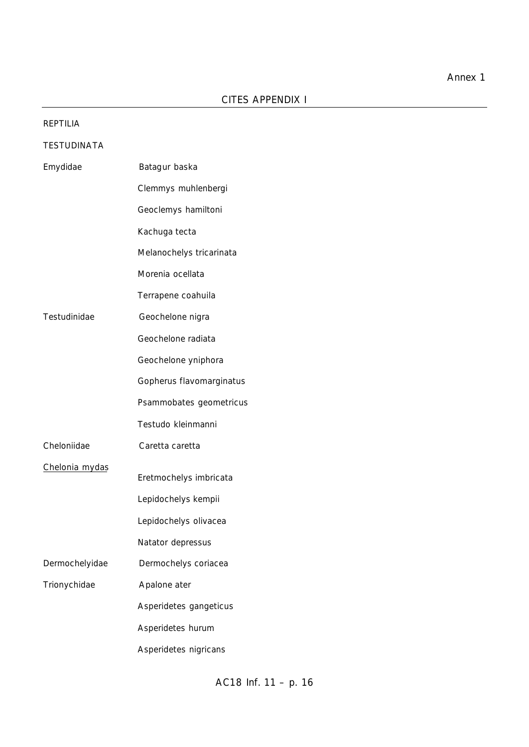| <b>REPTILIA</b>    |                          |
|--------------------|--------------------------|
| <b>TESTUDINATA</b> |                          |
| Emydidae           | Batagur baska            |
|                    | Clemmys muhlenbergi      |
|                    | Geoclemys hamiltoni      |
|                    | Kachuga tecta            |
|                    | Melanochelys tricarinata |
|                    | Morenia ocellata         |
|                    | Terrapene coahuila       |
| Testudinidae       | Geochelone nigra         |
|                    | Geochelone radiata       |
|                    | Geochelone yniphora      |
|                    | Gopherus flavomarginatus |
|                    | Psammobates geometricus  |
|                    | Testudo kleinmanni       |
| Cheloniidae        | Caretta caretta          |
| Chelonia mydas     | Eretmochelys imbricata   |
|                    | Lepidochelys kempii      |
|                    | Lepidochelys olivacea    |
|                    | Natator depressus        |
| Dermochelyidae     | Dermochelys coriacea     |
| Trionychidae       | Apalone ater             |
|                    | Asperidetes gangeticus   |
|                    | Asperidetes hurum        |
|                    | Asperidetes nigricans    |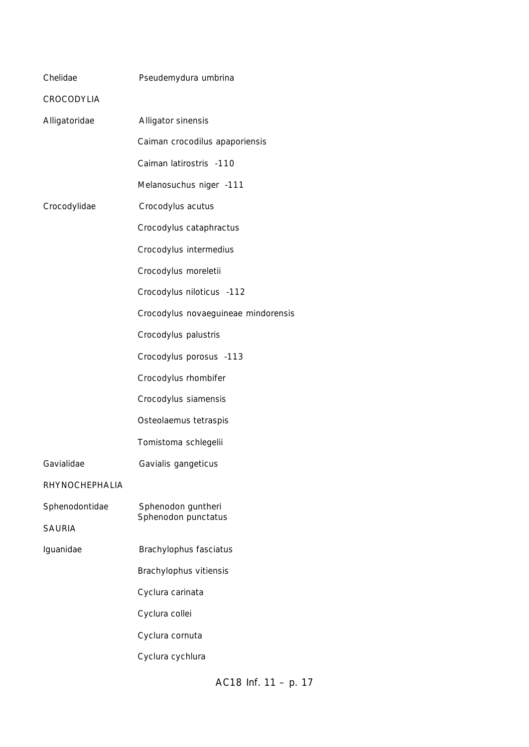| Chelidae              | Pseudemydura umbrina                      |
|-----------------------|-------------------------------------------|
| CROCODYLIA            |                                           |
| Alligatoridae         | Alligator sinensis                        |
|                       | Caiman crocodilus apaporiensis            |
|                       | Caiman latirostris -110                   |
|                       | Melanosuchus niger -111                   |
| Crocodylidae          | Crocodylus acutus                         |
|                       | Crocodylus cataphractus                   |
|                       | Crocodylus intermedius                    |
|                       | Crocodylus moreletii                      |
|                       | Crocodylus niloticus -112                 |
|                       | Crocodylus novaeguineae mindorensis       |
|                       | Crocodylus palustris                      |
|                       | Crocodylus porosus -113                   |
|                       | Crocodylus rhombifer                      |
|                       | Crocodylus siamensis                      |
|                       | Osteolaemus tetraspis                     |
|                       | Tomistoma schlegelii                      |
| Gavialidae            | Gavialis gangeticus                       |
| <b>RHYNOCHEPHALIA</b> |                                           |
| Sphenodontidae        | Sphenodon guntheri<br>Sphenodon punctatus |
| <b>SAURIA</b>         |                                           |
| Iguanidae             | Brachylophus fasciatus                    |
|                       | Brachylophus vitiensis                    |
|                       | Cyclura carinata                          |
|                       | Cyclura collei                            |
|                       | Cyclura cornuta                           |
|                       | Cyclura cychlura                          |
|                       |                                           |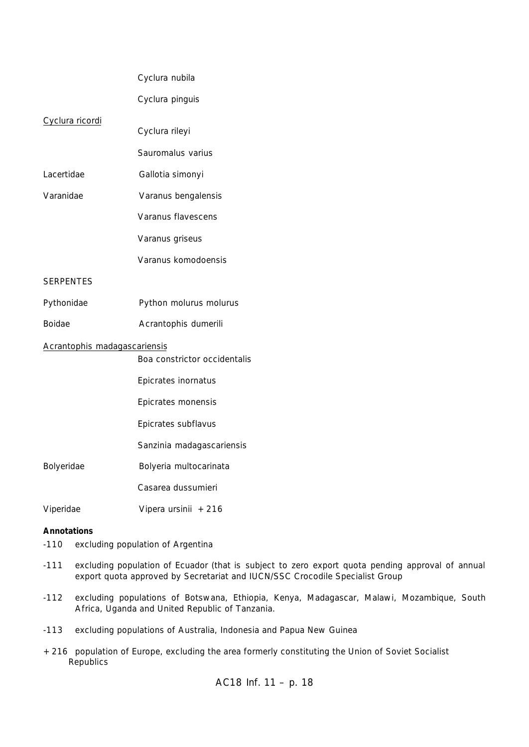|                              | Cyclura nubila               |
|------------------------------|------------------------------|
|                              | Cyclura pinguis              |
| Cyclura ricordi              | Cyclura rileyi               |
|                              | Sauromalus varius            |
| Lacertidae                   | Gallotia simonyi             |
| Varanidae                    | Varanus bengalensis          |
|                              | Varanus flavescens           |
|                              | Varanus griseus              |
|                              | Varanus komodoensis          |
| <b>SERPENTES</b>             |                              |
| Pythonidae                   | Python molurus molurus       |
| Boidae                       | Acrantophis dumerili         |
| Acrantophis madagascariensis | Boa constrictor occidentalis |
|                              | Epicrates inornatus          |
|                              | Epicrates monensis           |
|                              | Epicrates subflavus          |
|                              | Sanzinia madagascariensis    |
| Bolyeridae                   | Bolyeria multocarinata       |
|                              | Casarea dussumieri           |
| Viperidae                    | Vipera ursinii +216          |
|                              |                              |

#### **Annotations**

- -110 excluding population of Argentina
- -111 excluding population of Ecuador (that is subject to zero export quota pending approval of annual export quota approved by Secretariat and IUCN/SSC Crocodile Specialist Group
- -112 excluding populations of Botswana, Ethiopia, Kenya, Madagascar, Malawi, Mozambique, South Africa, Uganda and United Republic of Tanzania.
- -113 excluding populations of Australia, Indonesia and Papua New Guinea
- +216 population of Europe, excluding the area formerly constituting the Union of Soviet Socialist Republics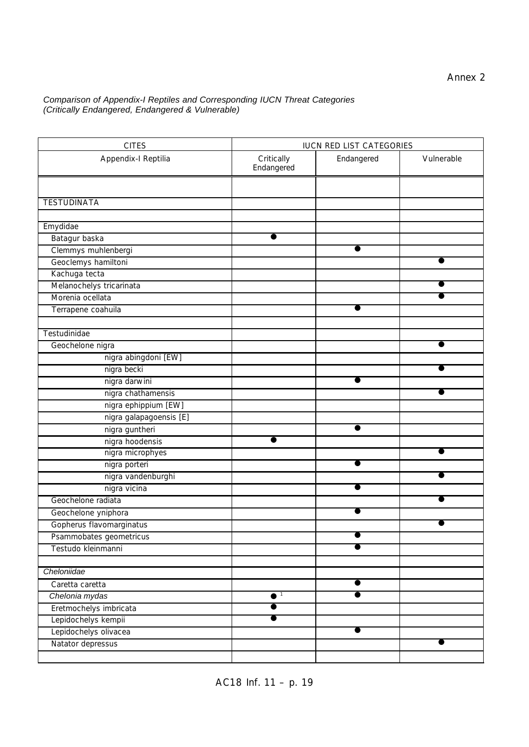#### *Comparison of Appendix-I Reptiles and Corresponding IUCN Threat Categories (Critically Endangered, Endangered & Vulnerable)*

| <b>CITES</b>                         | <b>IUCN RED LIST CATEGORIES</b> |            |            |
|--------------------------------------|---------------------------------|------------|------------|
| Appendix-I Reptilia                  | Critically<br>Endangered        | Endangered | Vulnerable |
| <b>TESTUDINATA</b>                   |                                 |            |            |
| Emydidae                             |                                 |            |            |
|                                      |                                 |            |            |
| Batagur baska<br>Clemmys muhlenbergi |                                 |            |            |
| Geoclemys hamiltoni                  |                                 |            |            |
| Kachuga tecta                        |                                 |            |            |
| Melanochelys tricarinata             |                                 |            |            |
| Morenia ocellata                     |                                 |            |            |
| Terrapene coahuila                   |                                 |            |            |
|                                      |                                 |            |            |
| Testudinidae                         |                                 |            |            |
| Geochelone nigra                     |                                 |            |            |
| nigra abingdoni [EW]                 |                                 |            |            |
| nigra becki                          |                                 |            |            |
|                                      |                                 |            |            |
| nigra darwini                        |                                 |            |            |
| nigra chathamensis                   |                                 |            |            |
| nigra ephippium [EW]                 |                                 |            |            |
| nigra galapagoensis [E]              |                                 |            |            |
| nigra guntheri                       |                                 |            |            |
| nigra hoodensis                      |                                 |            |            |
| nigra microphyes                     |                                 |            |            |
| nigra porteri                        |                                 |            |            |
| nigra vandenburghi                   |                                 |            |            |
| nigra vicina                         |                                 |            |            |
| Geochelone radiata                   |                                 |            |            |
| Geochelone yniphora                  |                                 |            |            |
| Gopherus flavomarginatus             |                                 |            |            |
| Psammobates geometricus              |                                 |            |            |
| Testudo kleinmanni                   |                                 |            |            |
|                                      |                                 |            |            |
| Cheloniidae                          |                                 |            |            |
| Caretta caretta                      |                                 |            |            |
| Chelonia mydas                       | $\bullet$ <sup>1</sup>          |            |            |
| Eretmochelys imbricata               |                                 |            |            |
| Lepidochelys kempii                  |                                 |            |            |
| Lepidochelys olivacea                |                                 |            |            |
| Natator depressus                    |                                 |            |            |
|                                      |                                 |            |            |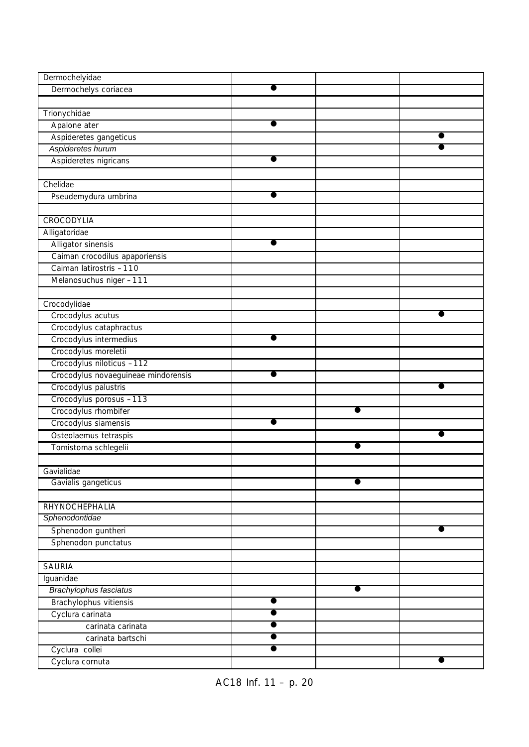| Dermochelyidae                             |   |           |           |
|--------------------------------------------|---|-----------|-----------|
| Dermochelys coriacea                       |   |           |           |
|                                            |   |           |           |
| Trionychidae                               |   |           |           |
| Apalone ater                               |   |           |           |
| Aspideretes gangeticus                     |   |           |           |
| Aspideretes hurum                          |   |           |           |
| Aspideretes nigricans                      |   |           |           |
|                                            |   |           |           |
| Chelidae                                   |   |           |           |
| Pseudemydura umbrina                       |   |           |           |
|                                            |   |           |           |
| CROCODYLIA                                 |   |           |           |
| Alligatoridae                              |   |           |           |
| Alligator sinensis                         |   |           |           |
| Caiman crocodilus apaporiensis             |   |           |           |
| Caiman latirostris -110                    |   |           |           |
| Melanosuchus niger -111                    |   |           |           |
|                                            |   |           |           |
| Crocodylidae                               |   |           |           |
| Crocodylus acutus                          |   |           |           |
| Crocodylus cataphractus                    |   |           |           |
| Crocodylus intermedius                     |   |           |           |
| Crocodylus moreletii                       |   |           |           |
| Crocodylus niloticus -112                  |   |           |           |
| Crocodylus novaeguineae mindorensis        |   |           |           |
| Crocodylus palustris                       |   |           |           |
| Crocodylus porosus -113                    |   |           |           |
| Crocodylus rhombifer                       |   |           |           |
| Crocodylus siamensis                       |   |           |           |
| Osteolaemus tetraspis                      |   |           | ●         |
| Tomistoma schlegelii                       |   |           |           |
|                                            |   |           |           |
| Gavialidae                                 |   |           |           |
| Gavialis gangeticus                        |   | $\bullet$ |           |
|                                            |   |           |           |
| RHYNOCHEPHALIA                             |   |           |           |
| Sphenodontidae                             |   |           | $\bullet$ |
| Sphenodon guntheri                         |   |           |           |
| Sphenodon punctatus                        |   |           |           |
| <b>SAURIA</b>                              |   |           |           |
|                                            |   |           |           |
| Iguanidae<br><b>Brachylophus fasciatus</b> |   | $\bullet$ |           |
|                                            | ● |           |           |
| Brachylophus vitiensis                     | ● |           |           |
| Cyclura carinata                           |   |           |           |
| carinata carinata<br>carinata bartschi     |   |           |           |
| Cyclura collei                             |   |           |           |
| Cyclura cornuta                            |   |           |           |
|                                            |   |           |           |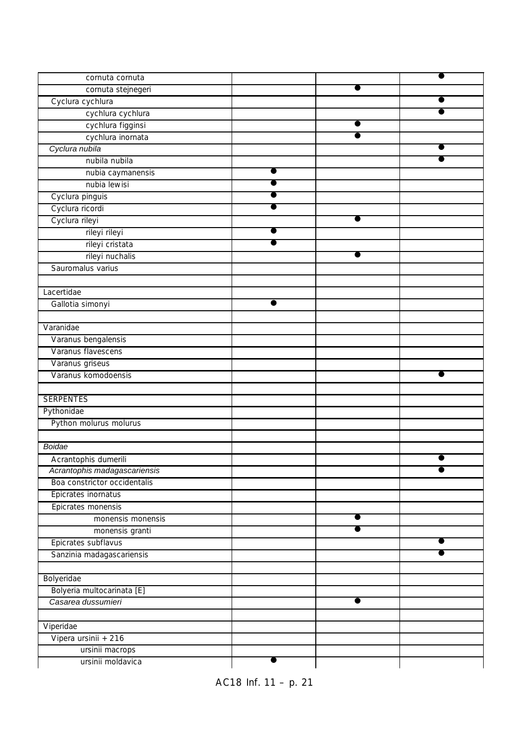| cornuta cornuta              |           |  |
|------------------------------|-----------|--|
| cornuta stejnegeri           |           |  |
| Cyclura cychlura             |           |  |
| cychlura cychlura            |           |  |
| cychlura figginsi            |           |  |
| cychlura inornata            | ●         |  |
| Cyclura nubila               |           |  |
| nubila nubila                |           |  |
| nubia caymanensis            |           |  |
| nubia lewisi                 |           |  |
| Cyclura pinguis              |           |  |
| Cyclura ricordi              |           |  |
| Cyclura rileyi               |           |  |
| rileyi rileyi                |           |  |
| rileyi cristata              |           |  |
| rileyi nuchalis              |           |  |
| Sauromalus varius            |           |  |
|                              |           |  |
| Lacertidae                   |           |  |
| Gallotia simonyi             |           |  |
|                              |           |  |
| Varanidae                    |           |  |
| Varanus bengalensis          |           |  |
| Varanus flavescens           |           |  |
| Varanus griseus              |           |  |
| Varanus komodoensis          |           |  |
|                              |           |  |
| <b>SERPENTES</b>             |           |  |
| Pythonidae                   |           |  |
| Python molurus molurus       |           |  |
|                              |           |  |
| Boidae                       |           |  |
| Acrantophis dumerili         |           |  |
| Acrantophis madagascariensis |           |  |
| Boa constrictor occidentalis |           |  |
| Epicrates inornatus          |           |  |
| Epicrates monensis           |           |  |
| monensis monensis            |           |  |
| monensis granti              |           |  |
| Epicrates subflavus          |           |  |
| Sanzinia madagascariensis    |           |  |
|                              |           |  |
| Bolyeridae                   |           |  |
| Bolyeria multocarinata [E]   |           |  |
| Casarea dussumieri           | $\bullet$ |  |
|                              |           |  |
| Viperidae                    |           |  |
| Vipera ursinii + 216         |           |  |
| ursinii macrops              |           |  |
| ursinii moldavica            |           |  |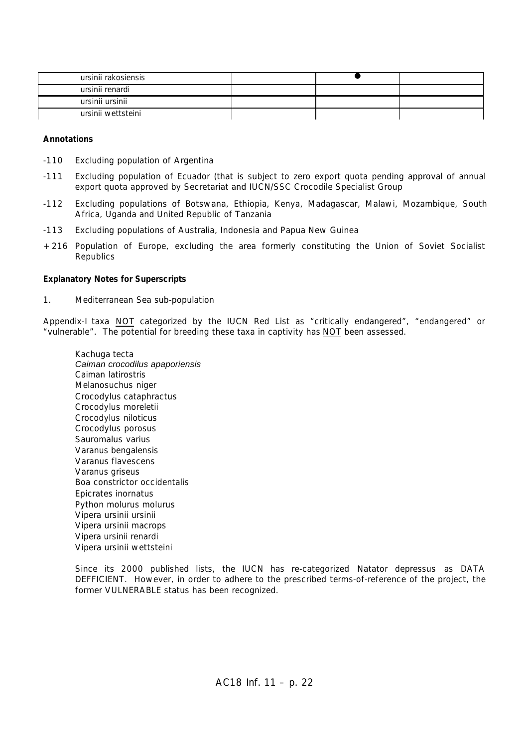| ursinii rakosiensis |  |  |
|---------------------|--|--|
| ursinii renardi     |  |  |
| ursinii ursinii     |  |  |
| ursinii wettsteini  |  |  |

#### **Annotations**

- -110 Excluding population of Argentina
- -111 Excluding population of Ecuador (that is subject to zero export quota pending approval of annual export quota approved by Secretariat and IUCN/SSC Crocodile Specialist Group
- -112 Excluding populations of Botswana, Ethiopia, Kenya, Madagascar, Malawi, Mozambique, South Africa, Uganda and United Republic of Tanzania
- -113 Excluding populations of Australia, Indonesia and Papua New Guinea
- +216 Population of Europe, excluding the area formerly constituting the Union of Soviet Socialist **Republics**

#### **Explanatory Notes for Superscripts**

1. Mediterranean Sea sub-population

Appendix-I taxa NOT categorized by the IUCN Red List as "critically endangered", "endangered" or "vulnerable". The potential for breeding these taxa in captivity has NOT been assessed.

*Kachuga tecta Caiman crocodilus apaporiensis Caiman latirostris Melanosuchus niger Crocodylus cataphractus Crocodylus moreletii Crocodylus niloticus Crocodylus porosus Sauromalus varius Varanus bengalensis Varanus flavescens Varanus griseus Boa constrictor occidentalis Epicrates inornatus Python molurus molurus Vipera ursinii ursinii Vipera ursinii macrops Vipera ursinii renardi Vipera ursinii wettsteini*

Since its 2000 published lists, the IUCN has re-categorized *Natator depressus* as DATA DEFFICIENT. However, in order to adhere to the prescribed terms-of-reference of the project, the former VULNERABLE status has been recognized.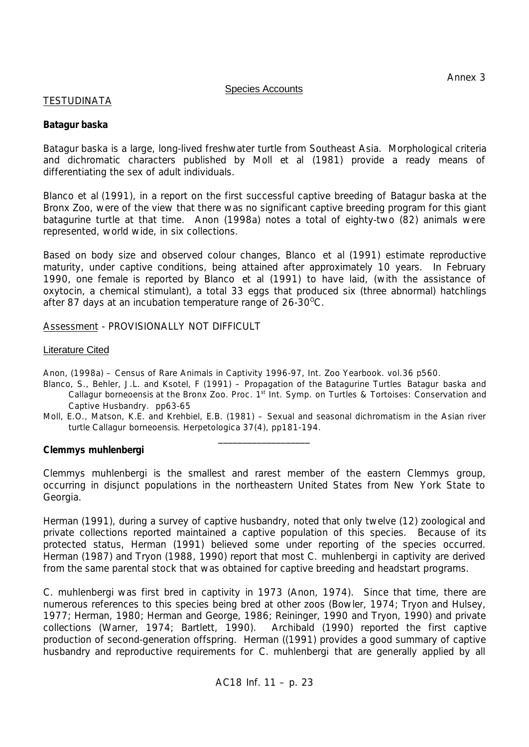## Species Accounts

# TESTUDINATA

## *Batagur baska*

*Batagur baska* is a large, long-lived freshwater turtle from Southeast Asia. Morphological criteria and dichromatic characters published by Moll *et al* (1981) provide a ready means of differentiating the sex of adult individuals.

Blanco *et al* (1991), in a report on the first successful captive breeding of *Batagur baska* at the Bronx Zoo, were of the view that there was no significant captive breeding program for this giant batagurine turtle at that time. Anon (1998a) notes a total of eighty-two (82) animals were represented, world wide, in six collections.

Based on body size and observed colour changes, Blanco *et al* (1991) estimate reproductive maturity, under captive conditions, being attained after approximately 10 years. In February 1990, one female is reported by Blanco *et al* (1991) to have laid, (with the assistance of oxytocin, a chemical stimulant), a total 33 eggs that produced six (three abnormal) hatchlings after 87 days at an incubation temperature range of  $26-30^{\circ}$ C.

Assessment - PROVISIONALLY NOT DIFFICULT

### Literature Cited

Anon, (1998a) – Census of Rare Animals in Captivity 1996-97, Int. Zoo Yearbook. vol.36 p560.

- Blanco, S., Behler, J.L. and Ksotel, F (1991) Propagation of the Batagurine Turtles *Batagur baska* and *Callagur borneoensis* at the Bronx Zoo. Proc. 1<sup>st</sup> Int. Symp. on Turtles & Tortoises: Conservation and Captive Husbandry. pp63-65
- Moll, E.O., Matson, K.E. and Krehbiel, E.B. (1981) Sexual and seasonal dichromatism in the Asian river turtle *Callagur borneoensis*. Herpetologica 37(4), pp181-194. \_\_\_\_\_\_\_\_\_\_\_\_\_\_\_\_\_\_\_

## *Clemmys muhlenbergi*

*Clemmys muhlenbergi* is the smallest and rarest member of the eastern *Clemmys* group, occurring in disjunct populations in the northeastern United States from New York State to Georgia.

Herman (1991), during a survey of captive husbandry, noted that only twelve (12) zoological and private collections reported maintained a captive population of this species. Because of its protected status, Herman (1991) believed some under reporting of the species occurred. Herman (1987) and Tryon (1988, 1990) report that most *C. muhlenbergi* in captivity are derived from the same parental stock that was obtained for captive breeding and headstart programs.

*C. muhlenbergi* was first bred in captivity in 1973 (Anon, 1974). Since that time, there are numerous references to this species being bred at other zoos (Bowler, 1974; Tryon and Hulsey, 1977; Herman, 1980; Herman and George, 1986; Reininger, 1990 and Tryon, 1990) and private collections (Warner, 1974; Bartlett, 1990). Archibald (1990) reported the first captive production of second-generation offspring. Herman ((1991) provides a good summary of captive husbandry and reproductive requirements for *C. muhlenbergi* that are generally applied by all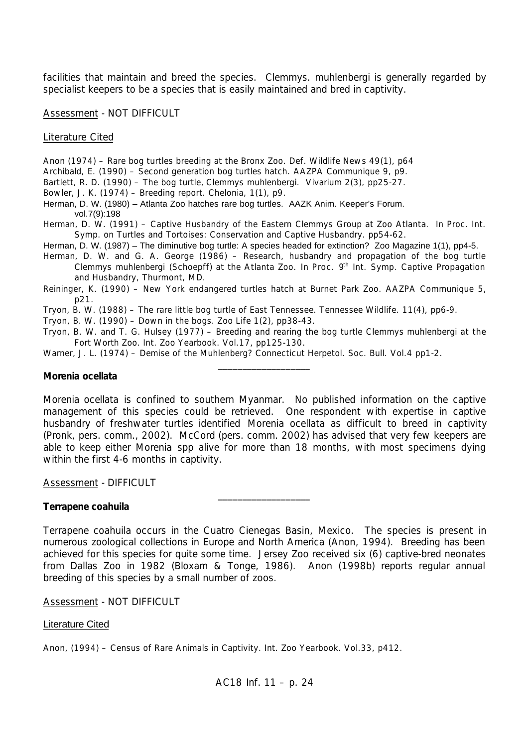facilities that maintain and breed the species. *Clemmys. muhlenbergi* is generally regarded by specialist keepers to be a species that is easily maintained and bred in captivity.

Assessment - NOT DIFFICULT

Literature Cited

- Anon (1974) Rare bog turtles breeding at the Bronx Zoo. Def. Wildlife News 49(1), p64
- Archibald, E. (1990) Second generation bog turtles hatch. AAZPA Communique 9, p9.
- Bartlett, R. D. (1990) The bog turtle, *Clemmys muhlenbergi*. Vivarium 2(3), pp25-27.
- Bowler, J. K. (1974) Breeding report. Chelonia, 1(1), p9.
- Herman, D. W. (1980) Atlanta Zoo hatches rare bog turtles. AAZK Anim. Keeper's Forum. vol.7(9):198
- Herman, D. W. (1991) Captive Husbandry of the Eastern *Clemmys* Group at Zoo Atlanta. In Proc. Int. Symp. on Turtles and Tortoises: Conservation and Captive Husbandry. pp54-62.
- Herman, D. W. (1987) The diminutive bog turtle: A species headed for extinction? Zoo Magazine 1(1), pp4-5.
- Herman, D. W. and G. A. George (1986) Research, husbandry and propagation of the bog turtle *Clemmys muhlenbergi* (Schoepff) at the Atlanta Zoo. *In* Proc. 9<sup>th</sup> Int. Symp. Captive Propagation and Husbandry, Thurmont, MD.
- Reininger, K. (1990) New York endangered turtles hatch at Burnet Park Zoo. AAZPA Communique 5, p21.
- Tryon, B. W. (1988) The rare little bog turtle of East Tennessee. Tennessee Wildlife. 11(4), pp6-9.
- Tryon, B. W. (1990) Down in the bogs. Zoo Life 1(2), pp38-43.
- Tryon, B. W. and T. G. Hulsey (1977) Breeding and rearing the bog turtle *Clemmys muhlenbergi* at the Fort Worth Zoo. Int. Zoo Yearbook. Vol.17, pp125-130.

\_\_\_\_\_\_\_\_\_\_\_\_\_\_\_\_\_\_\_

Warner, J. L. (1974) - Demise of the Muhlenberg? Connecticut Herpetol. Soc. Bull. Vol.4 pp1-2.

### *Morenia ocellata*

*Morenia ocellata* is confined to southern Myanmar. No published information on the captive management of this species could be retrieved. One respondent with expertise in captive husbandry of freshwater turtles identified *Morenia ocellata* as difficult to breed in captivity (Pronk, pers. comm., 2002). McCord (pers. comm. 2002) has advised that very few keepers are able to keep either *Morenia* spp alive for more than 18 months, with most specimens dying within the first 4-6 months in captivity.

Assessment - DIFFICULT

#### *Terrapene coahuila*

*Terrapene coahuila* occurs in the Cuatro Cienegas Basin, Mexico. The species is present in numerous zoological collections in Europe and North America (Anon, 1994). Breeding has been achieved for this species for quite some time. Jersey Zoo received six (6) captive-bred neonates from Dallas Zoo in 1982 (Bloxam & Tonge, 1986). Anon (1998b) reports regular annual breeding of this species by a small number of zoos.

\_\_\_\_\_\_\_\_\_\_\_\_\_\_\_\_\_\_\_

Assessment - NOT DIFFICULT

#### Literature Cited

Anon, (1994) – Census of Rare Animals in Captivity. Int. Zoo Yearbook. Vol.33, p412.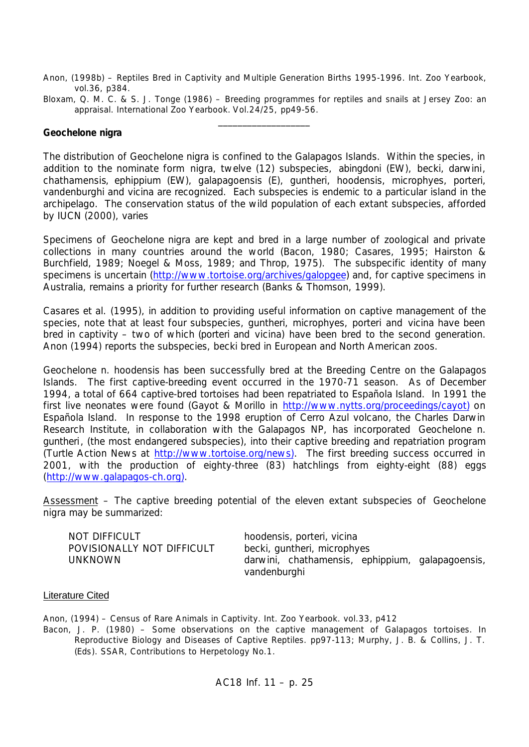- Anon, (1998b) Reptiles Bred in Captivity and Multiple Generation Births 1995-1996. Int. Zoo Yearbook, vol.36, p384.
- Bloxam, Q. M. C. & S. J. Tonge (1986) Breeding programmes for reptiles and snails at Jersey Zoo: an appraisal. International Zoo Yearbook. Vol.24/25, pp49-56.  $\frac{1}{2}$  ,  $\frac{1}{2}$  ,  $\frac{1}{2}$  ,  $\frac{1}{2}$  ,  $\frac{1}{2}$  ,  $\frac{1}{2}$  ,  $\frac{1}{2}$  ,  $\frac{1}{2}$  ,  $\frac{1}{2}$

### *Geochelone nigra*

The distribution of Geochelone nigra is confined to the Galapagos Islands. Within the species, in addition to the nominate form *nigra*, twelve (12) subspecies, *abingdoni* (EW), *becki, darwini*, *chathamensis*, *ephippium* (EW), *galapagoensis* (E), *guntheri, hoodensis, microphyes, porteri, vandenburghi* and *vicina* are recognized. Each subspecies is endemic to a particular island in the archipelago. The conservation status of the wild population of each extant subspecies, afforded by IUCN (2000), varies

Specimens of *Geochelone nigra* are kept and bred in a large number of zoological and private collections in many countries around the world (Bacon, 1980; Casares, 1995; Hairston & Burchfield, 1989; Noegel & Moss, 1989; and Throp, 1975). The subspecific identity of many specimens is uncertain (http://www.tortoise.org/archives/galopgee) and, for captive specimens in Australia, remains a priority for further research (Banks & Thomson, 1999).

Casares et al. (1995), in addition to providing useful information on captive management of the species, note that at least four subspecies, *guntheri, microphyes, porteri* and *vicina* have been bred in captivity – two of which (*porteri* and *vicina*) have been bred to the second generation. Anon (1994) reports the subspecies, *becki* bred in European and North American zoos.

*Geochelone n. hoodensis* has been successfully bred at the Breeding Centre on the Galapagos Islands. The first captive-breeding event occurred in the 1970-71 season. As of December 1994, a total of 664 captive-bred tortoises had been repatriated to Española Island. In 1991 the first live neonates were found (Gayot & Morillo in http://www.nytts.org/proceedings/cayot) on Española Island. In response to the 1998 eruption of Cerro Azul volcano, the Charles Darwin Research Institute, in collaboration with the Galapagos NP, has incorporated *Geochelone n. guntheri*, (the most endangered subspecies), into their captive breeding and repatriation program (Turtle Action News at http://www.tortoise.org/news). The first breeding success occurred in 2001, with the production of eighty-three (83) hatchlings from eighty-eight (88) eggs (http://www.galapagos-ch.org).

Assessment – The captive breeding potential of the eleven extant subspecies of *Geochelone nigra* may be summarized:

| NOT DIFFICULT              | hoodensis, porteri, vicina                       |
|----------------------------|--------------------------------------------------|
| POVISIONALLY NOT DIFFICULT | becki, guntheri, microphyes                      |
| UNKNOWN                    | darwini, chathamensis, ephippium, galapagoensis, |
|                            | vandenburghi                                     |

#### Literature Cited

Anon, (1994) – Census of Rare Animals in Captivity. Int. Zoo Yearbook. vol.33, p412

Bacon, J. P. (1980) – Some observations on the captive management of Galapagos tortoises. *In* Reproductive Biology and Diseases of Captive Reptiles. pp97-113; Murphy, J. B. & Collins, J. T. (*Eds*). SSAR, Contributions to Herpetology No.1.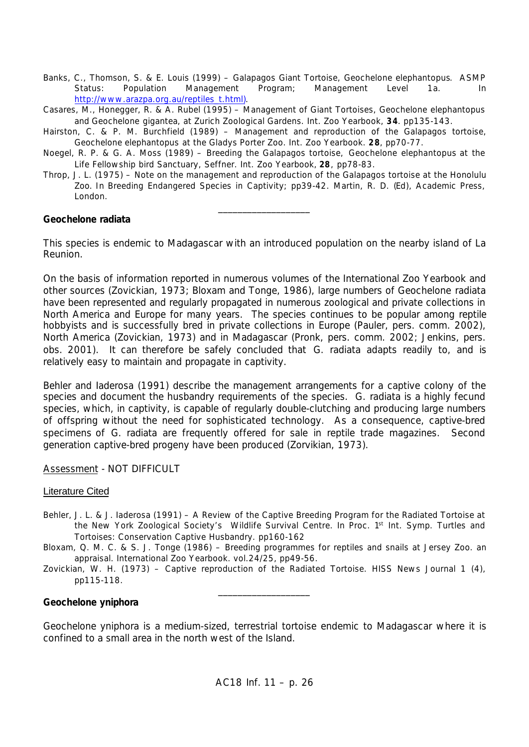- Banks, C., Thomson, S. & E. Louis (1999) Galapagos Giant Tortoise, *Geochelone elephantopus*. ASMP Status: Population Management Program; Management Level 1a. *In* http://www.arazpa.org.au/reptiles\_t.html).
- Casares, M., Honegger, R. & A. Rubel (1995) Management of Giant Tortoises, *Geochelone elephantopus* and *Geochelone gigantea*, at Zurich Zoological Gardens. Int. Zoo Yearbook, **34**. pp135-143.
- Hairston, C. & P. M. Burchfield (1989) Management and reproduction of the Galapagos tortoise, *Geochelone elephantopus* at the Gladys Porter Zoo. Int. Zoo Yearbook. **28**, pp70-77.
- Noegel, R. P. & G. A. Moss (1989) Breeding the Galapagos tortoise, *Geochelone elephantopus* at the Life Fellowship bird Sanctuary, Seffner. Int. Zoo Yearbook, **28**, pp78-83.
- Throp, J. L. (1975) Note on the management and reproduction of the Galapagos tortoise at the Honolulu Zoo. *In* Breeding Endangered Species in Captivity; pp39-42. Martin, R. D. (*Ed*), Academic Press, London.

\_\_\_\_\_\_\_\_\_\_\_\_\_\_\_\_\_\_\_

## *Geochelone radiata*

This species is endemic to Madagascar with an introduced population on the nearby island of La Reunion.

On the basis of information reported in numerous volumes of the International Zoo Yearbook and other sources (Zovickian, 1973; Bloxam and Tonge, 1986), large numbers of *Geochelone radiata* have been represented and regularly propagated in numerous zoological and private collections in North America and Europe for many years. The species continues to be popular among reptile hobbyists and is successfully bred in private collections in Europe (Pauler, pers. comm. 2002), North America (Zovickian, 1973) and in Madagascar (Pronk, pers. comm. 2002; Jenkins, pers. obs. 2001). It can therefore be safely concluded that *G. radiata* adapts readily to, and is relatively easy to maintain and propagate in captivity.

Behler and Iaderosa (1991) describe the management arrangements for a captive colony of the species and document the husbandry requirements of the species. *G. radiata* is a highly fecund species, which, in captivity, is capable of regularly double-clutching and producing large numbers of offspring without the need for sophisticated technology. As a consequence, captive-bred specimens of *G. radiata* are frequently offered for sale in reptile trade magazines. Second generation captive-bred progeny have been produced (Zorvikian, 1973).

## Assessment - NOT DIFFICULT

## Literature Cited

- Behler, J. L. & J. Iaderosa (1991) A Review of the Captive Breeding Program for the Radiated Tortoise at the New York Zoological Society's Wildlife Survival Centre. In Proc. 1<sup>st</sup> Int. Symp. Turtles and Tortoises: Conservation Captive Husbandry. pp160-162
- Bloxam, Q. M. C. & S. J. Tonge (1986) Breeding programmes for reptiles and snails at Jersey Zoo. an appraisal. International Zoo Yearbook. vol.24/25, pp49-56.
- Zovickian, W. H. (1973) Captive reproduction of the Radiated Tortoise. HISS News Journal 1 (4), pp115-118. \_\_\_\_\_\_\_\_\_\_\_\_\_\_\_\_\_\_\_

## *Geochelone yniphora*

*Geochelone yniphora* is a medium-sized, terrestrial tortoise endemic to Madagascar where it is confined to a small area in the north west of the Island.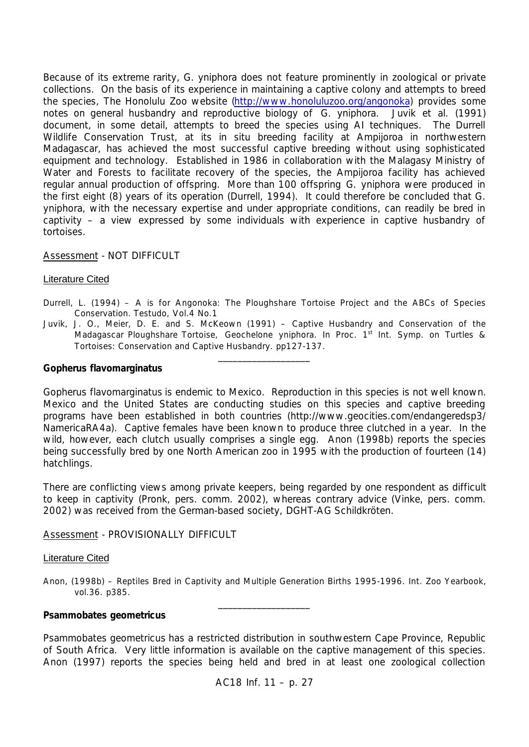Because of its extreme rarity, *G. yniphora* does not feature prominently in zoological or private collections. On the basis of its experience in maintaining a captive colony and attempts to breed the species, The Honolulu Zoo website (http://www.honoluluzoo.org/angonoka) provides some notes on general husbandry and reproductive biology of *G. yniphora*. Juvik et al. (1991) document, in some detail, attempts to breed the species using AI techniques. The Durrell Wildlife Conservation Trust, at its in situ breeding facility at Ampijoroa in northwestern Madagascar, has achieved the most successful captive breeding without using sophisticated equipment and technology. Established in 1986 in collaboration with the Malagasy Ministry of Water and Forests to facilitate recovery of the species, the Ampijoroa facility has achieved regular annual production of offspring. More than 100 offspring *G. yniphora* were produced in the first eight (8) years of its operation (Durrell, 1994). It could therefore be concluded that *G. yniphora*, with the necessary expertise and under appropriate conditions, can readily be bred in captivity – a view expressed by some individuals with experience in captive husbandry of tortoises.

## Assessment - NOT DIFFICULT

### Literature Cited

- Durrell, L. (1994) A is for Angonoka: The Ploughshare Tortoise Project and the ABCs of Species Conservation. Testudo, Vol.4 No.1
- Juvik, J. O., Meier, D. E. and S. McKeown (1991) Captive Husbandry and Conservation of the Madagascar Ploughshare Tortoise, *Geochelone yniphora*. In Proc. 1<sup>st</sup> Int. Symp. on Turtles & Tortoises: Conservation and Captive Husbandry. pp127-137. \_\_\_\_\_\_\_\_\_\_\_\_\_\_\_\_\_\_\_

#### *Gopherus flavomarginatus*

*Gopherus flavomarginatus* is endemic to Mexico. Reproduction in this species is not well known. Mexico and the United States are conducting studies on this species and captive breeding programs have been established in both countries (http://www.geocities.com/endangeredsp3/ NamericaRA4a). Captive females have been known to produce three clutched in a year. In the wild, however, each clutch usually comprises a single egg. Anon (1998b) reports the species being successfully bred by one North American zoo in 1995 with the production of fourteen (14) hatchlings.

There are conflicting views among private keepers, being regarded by one respondent as difficult to keep in captivity (Pronk, pers. comm. 2002), whereas contrary advice (Vinke, pers. comm. 2002) was received from the German-based society, DGHT-AG Schildkröten.

#### Assessment - PROVISIONALLY DIFFICULT

#### Literature Cited

Anon, (1998b) – Reptiles Bred in Captivity and Multiple Generation Births 1995-1996. Int. Zoo Yearbook, vol.36. p385. \_\_\_\_\_\_\_\_\_\_\_\_\_\_\_\_\_\_\_

#### *Psammobates geometricus*

*Psammobates geometricus* has a restricted distribution in southwestern Cape Province, Republic of South Africa. Very little information is available on the captive management of this species. Anon (1997) reports the species being held and bred in at least one zoological collection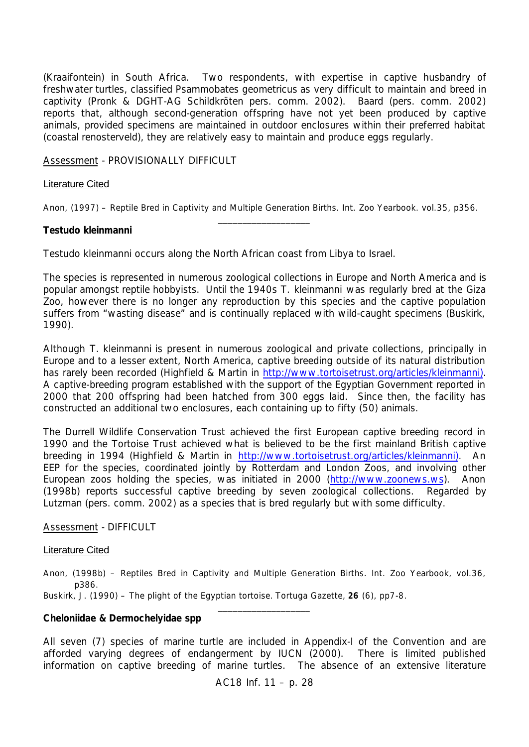(Kraaifontein) in South Africa. Two respondents, with expertise in captive husbandry of freshwater turtles, classified *Psammobates geometricus* as very difficult to maintain and breed in captivity (Pronk & DGHT-AG Schildkröten pers. comm. 2002). Baard (pers. comm. 2002) reports that, although second-generation offspring have not yet been produced by captive animals, provided specimens are maintained in outdoor enclosures within their preferred habitat (coastal renosterveld), they are relatively easy to maintain and produce eggs regularly.

Assessment - PROVISIONALLY DIFFICULT

## Literature Cited

Anon, (1997) – Reptile Bred in Captivity and Multiple Generation Births. Int. Zoo Yearbook. vol.35, p356. \_\_\_\_\_\_\_\_\_\_\_\_\_\_\_\_\_\_\_

### *Testudo kleinmanni*

*Testudo kleinmanni* occurs along the North African coast from Libya to Israel.

The species is represented in numerous zoological collections in Europe and North America and is popular amongst reptile hobbyists. Until the 1940s *T. kleinmanni* was regularly bred at the Giza Zoo, however there is no longer any reproduction by this species and the captive population suffers from "wasting disease" and is continually replaced with wild-caught specimens (Buskirk, 1990).

Although *T. kleinmanni* is present in numerous zoological and private collections, principally in Europe and to a lesser extent, North America, captive breeding outside of its natural distribution has rarely been recorded (Highfield & Martin in http://www.tortoisetrust.org/articles/kleinmanni). A captive-breeding program established with the support of the Egyptian Government reported in 2000 that 200 offspring had been hatched from 300 eggs laid. Since then, the facility has constructed an additional two enclosures, each containing up to fifty (50) animals.

The Durrell Wildlife Conservation Trust achieved the first European captive breeding record in 1990 and the Tortoise Trust achieved what is believed to be the first mainland British captive breeding in 1994 (Highfield & Martin in http://www.tortoisetrust.org/articles/kleinmanni). An EEP for the species, coordinated jointly by Rotterdam and London Zoos, and involving other European zoos holding the species, was initiated in 2000 (http://www.zoonews.ws). Anon (1998b) reports successful captive breeding by seven zoological collections. Regarded by Lutzman (pers. comm. 2002) as a species that is bred regularly but with some difficulty.

## Assessment - DIFFICULT

#### Literature Cited

Anon, (1998b) – Reptiles Bred in Captivity and Multiple Generation Births. Int. Zoo Yearbook, vol.36, p386.

\_\_\_\_\_\_\_\_\_\_\_\_\_\_\_\_\_\_\_

Buskirk, J. (1990) – The plight of the Egyptian tortoise. Tortuga Gazette, **26** (6), pp7-8.

#### *Cheloniidae* **&** *Dermochelyidae* **spp**

All seven (7) species of marine turtle are included in Appendix-I of the Convention and are afforded varying degrees of endangerment by IUCN (2000). There is limited published information on captive breeding of marine turtles. The absence of an extensive literature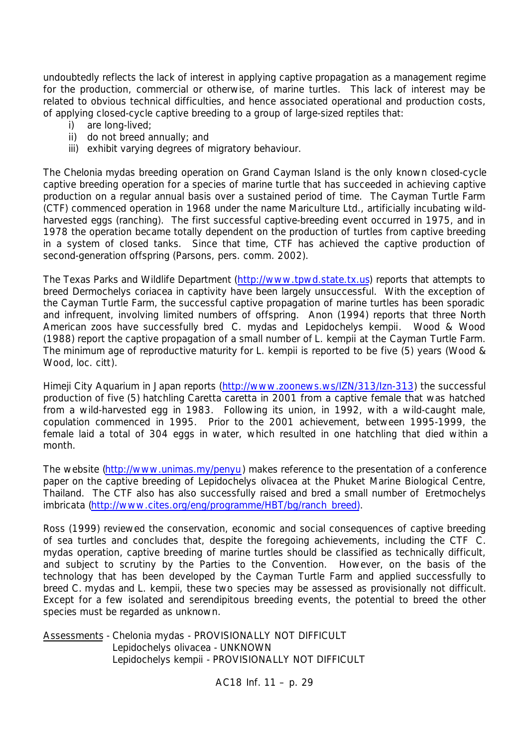undoubtedly reflects the lack of interest in applying captive propagation as a management regime for the production, commercial or otherwise, of marine turtles. This lack of interest may be related to obvious technical difficulties, and hence associated operational and production costs, of applying closed-cycle captive breeding to a group of large-sized reptiles that:

- i) are long-lived;
- ii) do not breed annually; and
- iii) exhibit varying degrees of migratory behaviour.

The *Chelonia mydas* breeding operation on Grand Cayman Island is the only known closed-cycle captive breeding operation for a species of marine turtle that has succeeded in achieving captive production on a regular annual basis over a sustained period of time. The Cayman Turtle Farm (CTF) commenced operation in 1968 under the name Mariculture Ltd., artificially incubating wildharvested eggs (ranching). The first successful captive-breeding event occurred in 1975, and in 1978 the operation became totally dependent on the production of turtles from captive breeding in a system of closed tanks. Since that time, CTF has achieved the captive production of second-generation offspring (Parsons, pers. comm. 2002).

The Texas Parks and Wildlife Department (http://www.tpwd.state.tx.us) reports that attempts to breed *Dermochelys coriacea* in captivity have been largely unsuccessful. With the exception of the Cayman Turtle Farm, the successful captive propagation of marine turtles has been sporadic and infrequent, involving limited numbers of offspring. Anon (1994) reports that three North American zoos have successfully bred *C. mydas* and *Lepidochelys kempii*. Wood & Wood (1988) report the captive propagation of a small number of *L. kempii* at the Cayman Turtle Farm. The minimum age of reproductive maturity for *L. kempii* is reported to be five (5) years (Wood & Wood, *loc. citt*).

Himeji City Aquarium in Japan reports (http://www.zoonews.ws/IZN/313/Izn-313) the successful production of five (5) hatchling *Caretta caretta* in 2001 from a captive female that was hatched from a wild-harvested egg in 1983. Following its union, in 1992, with a wild-caught male, copulation commenced in 1995. Prior to the 2001 achievement, between 1995-1999, the female laid a total of 304 eggs in water, which resulted in one hatchling that died within a month.

The website (http://www.unimas.my/penyu) makes reference to the presentation of a conference paper on the captive breeding of *Lepidochelys olivacea* at the Phuket Marine Biological Centre, Thailand. The CTF also has also successfully raised and bred a small number of *Eretmochelys imbricata* (http://www.cites.org/eng/programme/HBT/bg/ranch\_breed).

Ross (1999) reviewed the conservation, economic and social consequences of captive breeding of sea turtles and concludes that, despite the foregoing achievements, including the CTF *C. mydas* operation, captive breeding of marine turtles should be classified as technically difficult, and subject to scrutiny by the Parties to the Convention. However, on the basis of the technology that has been developed by the Cayman Turtle Farm and applied successfully to breed *C. mydas* and *L. kempii*, these two species may be assessed as provisionally not difficult. Except for a few isolated and serendipitous breeding events, the potential to breed the other species must be regarded as unknown.

Assessments - *Chelonia mydas* - PROVISIONALLY NOT DIFFICULT *Lepidochelys olivacea* - UNKNOWN *Lepidochelys kempii* - PROVISIONALLY NOT DIFFICULT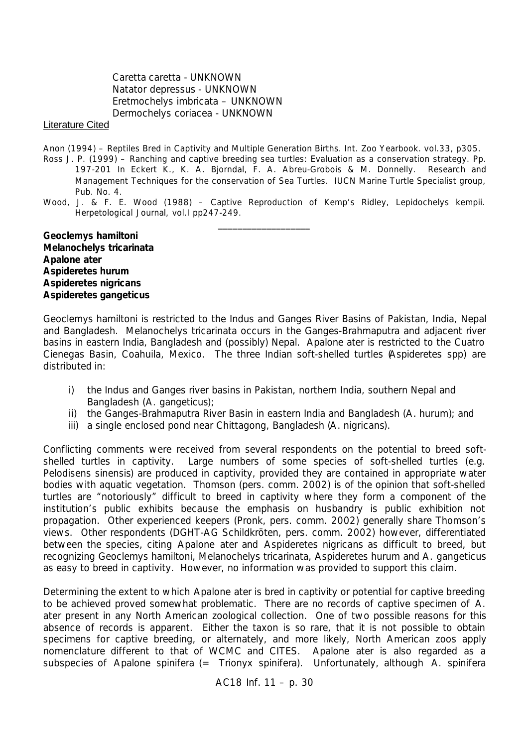*Caretta caretta* - UNKNOWN *Natator depressus* - UNKNOWN *Eretmochelys imbricata* – UNKNOWN *Dermochelys coriacea* - UNKNOWN

## Literature Cited

- Anon (1994) Reptiles Bred in Captivity and Multiple Generation Births. Int. Zoo Yearbook. vol.33, p305.
- Ross J. P. (1999) Ranching and captive breeding sea turtles: Evaluation as a conservation strategy. Pp. 197-201 In Eckert K., K. A. Bjorndal, F. A. Abreu-Grobois & M. Donnelly. Research and Management Techniques for the conservation of Sea Turtles. IUCN Marine Turtle Specialist group, Pub. No. 4.
- Wood, J. & F. E. Wood (1988) Captive Reproduction of Kemp's Ridley, *Lepidochelys kempii*. Herpetological Journal, vol.I pp247-249. \_\_\_\_\_\_\_\_\_\_\_\_\_\_\_\_\_\_\_

*Geoclemys hamiltoni Melanochelys tricarinata Apalone ater Aspideretes hurum Aspideretes nigricans Aspideretes gangeticus*

*Geoclemys hamiltoni* is restricted to the Indus and Ganges River Basins of Pakistan, India, Nepal and Bangladesh. *Melanochelys tricarinata* occurs in the Ganges-Brahmaputra and adjacent river basins in eastern India, Bangladesh and (possibly) Nepal. *Apalone ater* is restricted to the Cuatro Cienegas Basin, Coahuila, Mexico. The three Indian soft-shelled turtles (*Aspideretes* spp) are distributed in:

- i) the Indus and Ganges river basins in Pakistan, northern India, southern Nepal and Bangladesh (*A. gangeticus*);
- ii) the Ganges-Brahmaputra River Basin in eastern India and Bangladesh (*A. hurum*); and
- iii) a single enclosed pond near Chittagong, Bangladesh (*A. nigricans*).

Conflicting comments were received from several respondents on the potential to breed softshelled turtles in captivity. Large numbers of some species of soft-shelled turtles (*e.g. Pelodisens sinensis*) are produced in captivity, provided they are contained in appropriate water bodies with aquatic vegetation. Thomson (pers. comm. 2002) is of the opinion that soft-shelled turtles are "notoriously" difficult to breed in captivity where they form a component of the institution's public exhibits because the emphasis on husbandry is public exhibition not propagation. Other experienced keepers (Pronk, pers. comm. 2002) generally share Thomson's views. Other respondents (DGHT-AG Schildkröten, pers. comm. 2002) however, differentiated between the species, citing *Apalone ater* and *Aspideretes nigricans* as difficult to breed, but recognizing *Geoclemys hamiltoni, Melanochelys tricarinata, Aspideretes hurum* and *A. gangeticus* as easy to breed in captivity. However, no information was provided to support this claim.

Determining the extent to which *Apalone ater* is bred in captivity or potential for captive breeding to be achieved proved somewhat problematic. There are no records of captive specimen of *A. ater* present in any North American zoological collection. One of two possible reasons for this absence of records is apparent. Either the taxon is so rare, that it is not possible to obtain specimens for captive breeding, or alternately, and more likely, North American zoos apply nomenclature different to that of WCMC and CITES. *Apalone ater* is also regarded as a subspecies of *Apalone spinifera* (= *Trionyx spinifera*). Unfortunately, although *A. spinifera*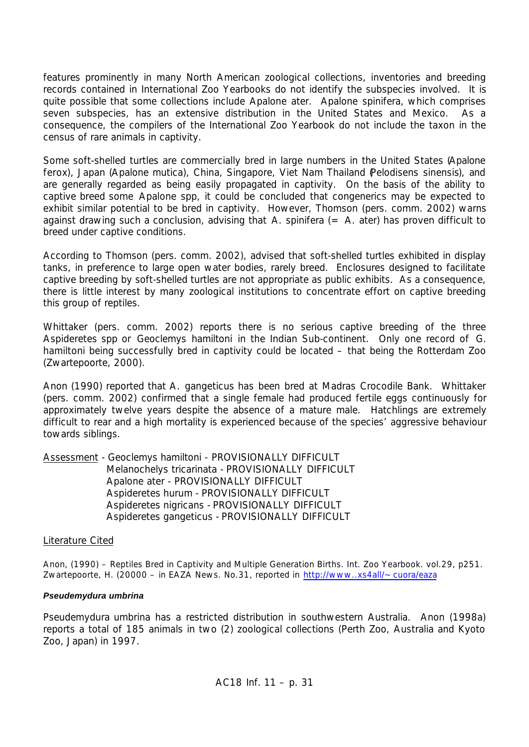features prominently in many North American zoological collections, inventories and breeding records contained in International Zoo Yearbooks do not identify the subspecies involved. It is quite possible that some collections include *Apalone ater*. *Apalone spinifera*, which comprises seven subspecies, has an extensive distribution in the United States and Mexico. As a consequence, the compilers of the International Zoo Yearbook do not include the taxon in the census of rare animals in captivity.

Some soft-shelled turtles are commercially bred in large numbers in the United States (*Apalone ferox*), Japan (*Apalone mutica*), China, Singapore, Viet Nam Thailand (*Pelodisens sinensis*), and are generally regarded as being easily propagated in captivity. On the basis of the ability to captive breed some *Apalone* spp, it could be concluded that congenerics may be expected to exhibit similar potential to be bred in captivity. However, Thomson (pers. comm. 2002) warns against drawing such a conclusion, advising that *A. spinifera* (= *A. ater*) has proven difficult to breed under captive conditions.

According to Thomson (pers. comm. 2002), advised that soft-shelled turtles exhibited in display tanks, in preference to large open water bodies, rarely breed. Enclosures designed to facilitate captive breeding by soft-shelled turtles are not appropriate as public exhibits. As a consequence, there is little interest by many zoological institutions to concentrate effort on captive breeding this group of reptiles.

Whittaker (pers. comm. 2002) reports there is no serious captive breeding of the three *Aspideretes* spp or *Geoclemys hamiltoni* in the Indian Sub-continent. Only one record of *G. hamiltoni* being successfully bred in captivity could be located – that being the Rotterdam Zoo (Zwartepoorte, 2000).

Anon (1990) reported that *A. gangeticus* has been bred at Madras Crocodile Bank. Whittaker (pers. comm. 2002) confirmed that a single female had produced fertile eggs continuously for approximately twelve years despite the absence of a mature male. Hatchlings are extremely difficult to rear and a high mortality is experienced because of the species' aggressive behaviour towards siblings.

Assessment *- Geoclemys hamiltoni -* PROVISIONALLY DIFFICULT *Melanochelys tricarinata -* PROVISIONALLY DIFFICULT *Apalone ater -* PROVISIONALLY DIFFICULT *Aspideretes hurum -* PROVISIONALLY DIFFICULT *Aspideretes nigricans -* PROVISIONALLY DIFFICULT *Aspideretes gangeticus -* PROVISIONALLY DIFFICULT

## Literature Cited

Anon, (1990) – Reptiles Bred in Captivity and Multiple Generation Births. Int. Zoo Yearbook. vol.29, p251. Zwartepoorte, H. (20000 – in EAZA News. No.31, reported in http://www..xs4all/~cuora/eaza

## *Pseudemydura umbrina*

*Pseudemydura umbrina* has a restricted distribution in southwestern Australia. Anon (1998a) reports a total of 185 animals in two (2) zoological collections (Perth Zoo, Australia and Kyoto Zoo, Japan) in 1997.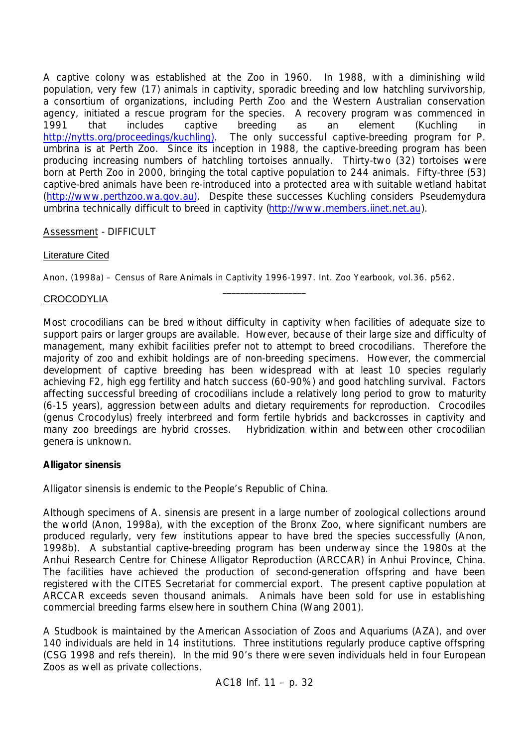A captive colony was established at the Zoo in 1960. In 1988, with a diminishing wild population, very few (17) animals in captivity, sporadic breeding and low hatchling survivorship, a consortium of organizations, including Perth Zoo and the Western Australian conservation agency, initiated a rescue program for the species. A recovery program was commenced in 1991 that includes captive breeding as an element (Kuchling in http://nytts.org/proceedings/kuchling). The only successful captive-breeding program for *P. umbrina* is at Perth Zoo. Since its inception in 1988, the captive-breeding program has been producing increasing numbers of hatchling tortoises annually. Thirty-two (32) tortoises were born at Perth Zoo in 2000, bringing the total captive population to 244 animals. Fifty-three (53) captive-bred animals have been re-introduced into a protected area with suitable wetland habitat (http://www.perthzoo.wa.gov.au). Despite these successes Kuchling considers *Pseudemydura umbrina* technically difficult to breed in captivity (http://www.members.iinet.net.au).

# Assessment - DIFFICULT

## Literature Cited

Anon, (1998a) – Census of Rare Animals in Captivity 1996-1997. Int. Zoo Yearbook, vol.36. p562.

 $\_$ 

# **CROCODYLIA**

Most crocodilians can be bred without difficulty in captivity when facilities of adequate size to support pairs or larger groups are available. However, because of their large size and difficulty of management, many exhibit facilities prefer not to attempt to breed crocodilians. Therefore the majority of zoo and exhibit holdings are of non-breeding specimens. However, the commercial development of captive breeding has been widespread with at least 10 species regularly achieving F2, high egg fertility and hatch success (60-90%) and good hatchling survival. Factors affecting successful breeding of crocodilians include a relatively long period to grow to maturity (6-15 years), aggression between adults and dietary requirements for reproduction. Crocodiles (genus *Crocodylus*) freely interbreed and form fertile hybrids and backcrosses in captivity and many zoo breedings are hybrid crosses. Hybridization within and between other crocodilian genera is unknown.

# *Alligator sinensis*

*Alligator sinensis* is endemic to the People's Republic of China.

Although specimens of *A. sinensis* are present in a large number of zoological collections around the world (Anon, 1998a), with the exception of the Bronx Zoo, where significant numbers are produced regularly, very few institutions appear to have bred the species successfully (Anon, 1998b). A substantial captive-breeding program has been underway since the 1980s at the Anhui Research Centre for Chinese Alligator Reproduction (ARCCAR) in Anhui Province, China. The facilities have achieved the production of second-generation offspring and have been registered with the CITES Secretariat for commercial export. The present captive population at ARCCAR exceeds seven thousand animals. Animals have been sold for use in establishing commercial breeding farms elsewhere in southern China (Wang 2001).

A Studbook is maintained by the American Association of Zoos and Aquariums (AZA), and over 140 individuals are held in 14 institutions. Three institutions regularly produce captive offspring (CSG 1998 and refs therein). In the mid 90's there were seven individuals held in four European Zoos as well as private collections.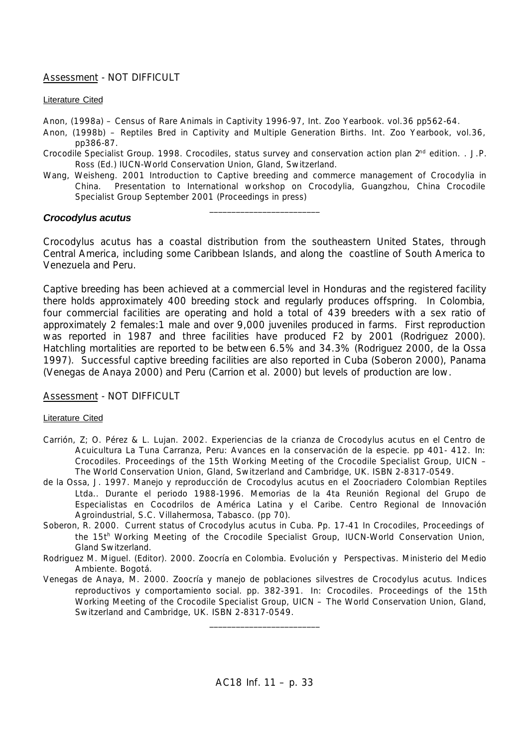### Assessment - NOT DIFFICULT

#### Literature Cited

Anon, (1998a) – Census of Rare Animals in Captivity 1996-97, Int. Zoo Yearbook. vol.36 pp562-64.

- Anon, (1998b) Reptiles Bred in Captivity and Multiple Generation Births. Int. Zoo Yearbook, vol.36, pp386-87.
- Crocodile Specialist Group. 1998. Crocodiles, status survey and conservation action plan  $2^{nd}$  edition. . J.P. Ross (Ed.) IUCN-World Conservation Union, Gland, Switzerland.
- Wang, Weisheng. 2001 Introduction to Captive breeding and commerce management of Crocodylia in China. Presentation to International workshop on Crocodylia, Guangzhou, China Crocodile Specialist Group September 2001 (Proceedings in press)

\_\_\_\_\_\_\_\_\_\_\_\_\_\_\_\_\_\_\_\_\_\_\_\_\_

#### *Crocodylus acutus*

*Crocodylus acutus* has a coastal distribution from the southeastern United States, through Central America, including some Caribbean Islands, and along the coastline of South America to Venezuela and Peru.

Captive breeding has been achieved at a commercial level in Honduras and the registered facility there holds approximately 400 breeding stock and regularly produces offspring. In Colombia, four commercial facilities are operating and hold a total of 439 breeders with a sex ratio of approximately 2 females:1 male and over 9,000 juveniles produced in farms. First reproduction was reported in 1987 and three facilities have produced F2 by 2001 (Rodriguez 2000). Hatchling mortalities are reported to be between 6.5% and 34.3% (Rodriguez 2000, de la Ossa 1997). Successful captive breeding facilities are also reported in Cuba (Soberon 2000), Panama (Venegas de Anaya 2000) and Peru (Carrion et al. 2000) but levels of production are low.

Assessment - NOT DIFFICULT

#### Literature Cited

- Carrión, Z; O. Pérez & L. Lujan. 2002. Experiencias de la crianza de Crocodylus acutus en el Centro de Acuicultura La Tuna Carranza, Peru: Avances en la conservación de la especie. pp 401- 412. In: Crocodiles. Proceedings of the 15th Working Meeting of the Crocodile Specialist Group, UICN – The World Conservation Union, Gland, Switzerland and Cambridge, UK. ISBN 2-8317-0549.
- de la Ossa, J. 1997. Manejo y reproducción de *Crocodylus acutus* en el Zoocriadero Colombian Reptiles Ltda.. Durante el periodo 1988-1996. Memorias de la 4ta Reunión Regional del Grupo de Especialistas en Cocodrilos de América Latina y el Caribe. Centro Regional de Innovación Agroindustrial, S.C. Villahermosa, Tabasco. (pp 70).
- Soberon, R. 2000. Current status of *Crocodylus acutus* in Cuba. Pp. 17-41 In Crocodiles, Proceedings of the 15th Working Meeting of the Crocodile Specialist Group, IUCN-World Conservation Union, Gland Switzerland.
- Rodriguez M. Miguel. (Editor). 2000. Zoocría en Colombia. Evolución y Perspectivas. Ministerio del Medio Ambiente. Bogotá.
- Venegas de Anaya, M. 2000. Zoocría y manejo de poblaciones silvestres de *Crocodylus acutus*. Indices reproductivos y comportamiento social. pp. 382-391. In: Crocodiles. Proceedings of the 15th Working Meeting of the Crocodile Specialist Group, UICN – The World Conservation Union, Gland, Switzerland and Cambridge, UK. ISBN 2-8317-0549.

\_\_\_\_\_\_\_\_\_\_\_\_\_\_\_\_\_\_\_\_\_\_\_\_\_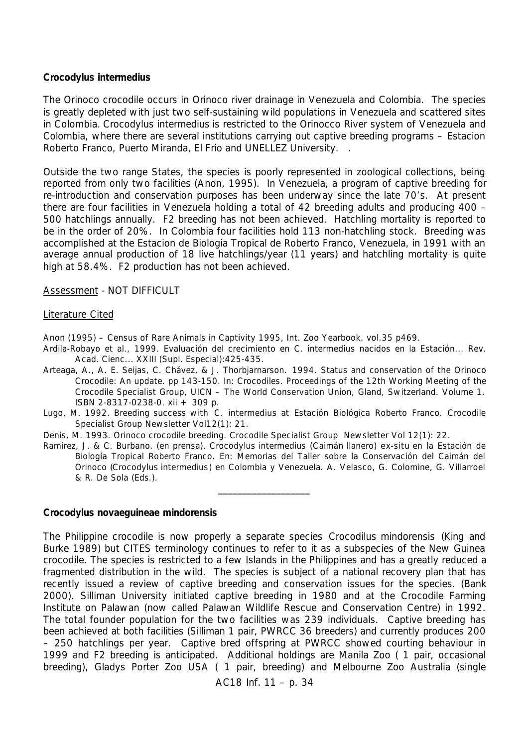### *Crocodylus intermedius*

The Orinoco crocodile occurs in Orinoco river drainage in Venezuela and Colombia. The species is greatly depleted with just two self-sustaining wild populations in Venezuela and scattered sites in Colombia. *Crocodylus intermedius* is restricted to the Orinocco River system of Venezuela and Colombia, where there are several institutions carrying out captive breeding programs – Estacion Roberto Franco, Puerto Miranda, El Frio and UNELLEZ University. .

Outside the two range States, the species is poorly represented in zoological collections, being reported from only two facilities (Anon, 1995). In Venezuela, a program of captive breeding for re-introduction and conservation purposes has been underway since the late 70's. At present there are four facilities in Venezuela holding a total of 42 breeding adults and producing 400 – 500 hatchlings annually. F2 breeding has not been achieved. Hatchling mortality is reported to be in the order of 20%. In Colombia four facilities hold 113 non-hatchling stock. Breeding was accomplished at the Estacion de Biologia Tropical de Roberto Franco, Venezuela, in 1991 with an average annual production of 18 live hatchlings/year (11 years) and hatchling mortality is quite high at 58.4%. F2 production has not been achieved.

Assessment - NOT DIFFICULT

## Literature Cited

Anon (1995) – Census of Rare Animals in Captivity 1995, Int. Zoo Yearbook. vol.35 p469.

- Ardila-Robayo et al., 1999. Evaluación del crecimiento en C. intermedius nacidos en la Estación... Rev. Acad. Cienc... XXIII (Supl. Especial):425-435.
- Arteaga, A., A. E. Seijas, C. Chávez, & J. Thorbjarnarson. 1994. Status and conservation of the Orinoco Crocodile: An update. pp 143-150. In: Crocodiles. Proceedings of the 12th Working Meeting of the Crocodile Specialist Group, UICN – The World Conservation Union, Gland, Switzerland. Volume 1. ISBN 2-8317-0238-0. xii + 309 p.
- Lugo, M. 1992. Breeding success with *C. intermedius* at Estación Biológica Roberto Franco. Crocodile Specialist Group Newsletter Vol12(1): 21.
- Denis, M. 1993. Orinoco crocodile breeding. Crocodile Specialist Group Newsletter Vol 12(1): 22.
- Ramírez, J. & C. Burbano. (en prensa). *Crocodylus intermedius* (Caimán llanero) *ex*-*situ* en la Estación de Biología Tropical Roberto Franco. En: Memorias del Taller sobre la Conservación del Caimán del Orinoco (*Crocodylus intermedius*) en Colombia y Venezuela. A. Velasco, G. Colomine, G. Villarroel & R. De Sola (Eds.).

\_\_\_\_\_\_\_\_\_\_\_\_\_\_\_\_\_\_\_

## *Crocodylus novaeguineae mindorensis*

The Philippine crocodile is now properly a separate species *Crocodilus mindorensis* (King and Burke 1989) but CITES terminology continues to refer to it as a subspecies of the New Guinea crocodile. The species is restricted to a few Islands in the Philippines and has a greatly reduced a fragmented distribution in the wild. The species is subject of a national recovery plan that has recently issued a review of captive breeding and conservation issues for the species. (Bank 2000). Silliman University initiated captive breeding in 1980 and at the Crocodile Farming Institute on Palawan (now called Palawan Wildlife Rescue and Conservation Centre) in 1992. The total founder population for the two facilities was 239 individuals. Captive breeding has been achieved at both facilities (Silliman 1 pair, PWRCC 36 breeders) and currently produces 200 – 250 hatchlings per year. Captive bred offspring at PWRCC showed courting behaviour in 1999 and F2 breeding is anticipated. Additional holdings are Manila Zoo ( 1 pair, occasional breeding), Gladys Porter Zoo USA ( 1 pair, breeding) and Melbourne Zoo Australia (single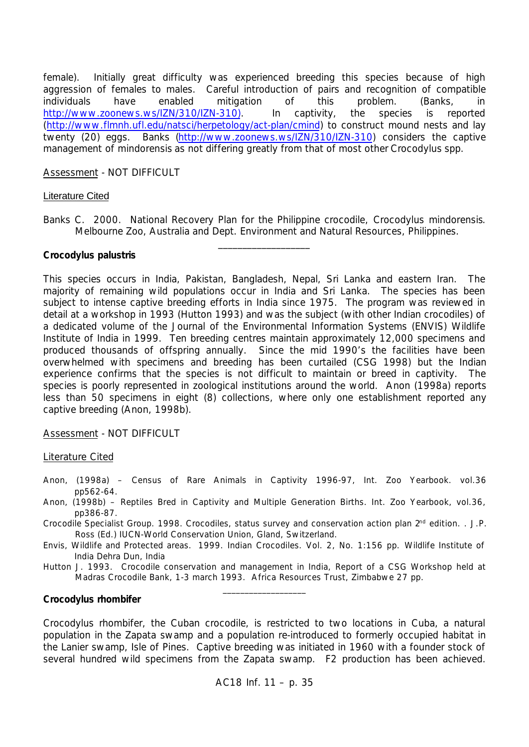female). Initially great difficulty was experienced breeding this species because of high aggression of females to males. Careful introduction of pairs and recognition of compatible individuals have enabled mitigation of this problem. (Banks, in http://www.zoonews.ws/IZN/310/IZN-310). In captivity, the species is reported (http://www.flmnh.ufl.edu/natsci/herpetology/act-plan/cmind) to construct mound nests and lay twenty (20) eggs. Banks (http://www.zoonews.ws/IZN/310/IZN-310) considers the captive management of *mindorensis* as not differing greatly from that of most other *Crocodylus* spp.

## Assessment - NOT DIFFICULT

### Literature Cited

Banks C. 2000. National Recovery Plan for the Philippine crocodile, *Crocodylus mindorensis*. Melbourne Zoo, Australia and Dept. Environment and Natural Resources, Philippines. \_\_\_\_\_\_\_\_\_\_\_\_\_\_\_\_\_\_\_

### *Crocodylus palustris*

This species occurs in India, Pakistan, Bangladesh, Nepal, Sri Lanka and eastern Iran. The majority of remaining wild populations occur in India and Sri Lanka. The species has been subject to intense captive breeding efforts in India since 1975. The program was reviewed in detail at a workshop in 1993 (Hutton 1993) and was the subject (with other Indian crocodiles) of a dedicated volume of the Journal of the Environmental Information Systems (ENVIS) Wildlife Institute of India in 1999. Ten breeding centres maintain approximately 12,000 specimens and produced thousands of offspring annually. Since the mid 1990's the facilities have been overwhelmed with specimens and breeding has been curtailed (CSG 1998) but the Indian experience confirms that the species is not difficult to maintain or breed in captivity. The species is poorly represented in zoological institutions around the world. Anon (1998a) reports less than 50 specimens in eight (8) collections, where only one establishment reported any captive breeding (Anon, 1998b).

Assessment - NOT DIFFICULT

## Literature Cited

- Anon, (1998a) Census of Rare Animals in Captivity 1996-97, Int. Zoo Yearbook. vol.36 pp562-64.
- Anon, (1998b) Reptiles Bred in Captivity and Multiple Generation Births. Int. Zoo Yearbook, vol.36, pp386-87.
- Crocodile Specialist Group. 1998. Crocodiles, status survey and conservation action plan 2<sup>nd</sup> edition. . J.P. Ross (Ed.) IUCN-World Conservation Union, Gland, Switzerland.
- Envis, Wildlife and Protected areas. 1999. Indian Crocodiles. Vol. 2, No. 1:156 pp. Wildlife Institute of India Dehra Dun, India
- Hutton J. 1993. Crocodile conservation and management in India, Report of a CSG Workshop held at Madras Crocodile Bank, 1-3 march 1993. Africa Resources Trust, Zimbabwe 27 pp. \_\_\_\_\_\_\_\_\_\_\_\_\_\_\_\_\_\_\_

## *Crocodylus rhombifer*

*Crocodylus rhombifer*, the Cuban crocodile, is restricted to two locations in Cuba, a natural population in the Zapata swamp and a population re-introduced to formerly occupied habitat in the Lanier swamp, Isle of Pines. Captive breeding was initiated in 1960 with a founder stock of several hundred wild specimens from the Zapata swamp. F2 production has been achieved.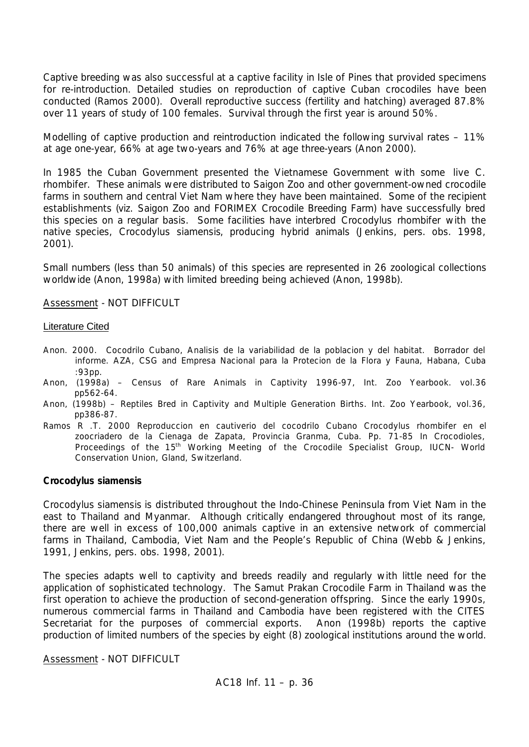Captive breeding was also successful at a captive facility in Isle of Pines that provided specimens for re-introduction. Detailed studies on reproduction of captive Cuban crocodiles have been conducted (Ramos 2000). Overall reproductive success (fertility and hatching) averaged 87.8% over 11 years of study of 100 females. Survival through the first year is around 50%.

Modelling of captive production and reintroduction indicated the following survival rates – 11% at age one-year, 66% at age two-years and 76% at age three-years (Anon 2000).

In 1985 the Cuban Government presented the Vietnamese Government with some *live C. rhombifer.* These animals were distributed to Saigon Zoo and other government-owned crocodile farms in southern and central Viet Nam where they have been maintained. Some of the recipient establishments (*viz.* Saigon Zoo and FORIMEX Crocodile Breeding Farm) have successfully bred this species on a regular basis. Some facilities have interbred *Crocodylus rhombifer* with the native species, *Crocodylus siamensis*, producing hybrid animals (Jenkins, pers. obs. 1998, 2001).

Small numbers (less than 50 animals) of this species are represented in 26 zoological collections worldwide (Anon, 1998a) with limited breeding being achieved (Anon, 1998b).

### Assessment - NOT DIFFICULT

#### Literature Cited

- Anon. 2000. Cocodrilo Cubano, Analisis de la variabilidad de la poblacion y del habitat. Borrador del informe. AZA, CSG and Empresa Nacional para la Protecion de la Flora y Fauna, Habana, Cuba :93pp.
- Anon, (1998a) Census of Rare Animals in Captivity 1996-97, Int. Zoo Yearbook. vol.36 pp562-64.
- Anon, (1998b) Reptiles Bred in Captivity and Multiple Generation Births. Int. Zoo Yearbook, vol.36, pp386-87.
- Ramos R .T. 2000 Reproduccion en cautiverio del cocodrilo Cubano Crocodylus rhombifer en el zoocriadero de la Cienaga de Zapata, Provincia Granma, Cuba. Pp. 71-85 In Crocodioles, Proceedings of the 15<sup>th</sup> Working Meeting of the Crocodile Specialist Group, IUCN- World Conservation Union, Gland, Switzerland.

#### *Crocodylus siamensis*

*Crocodylus siamensis* is distributed throughout the Indo-Chinese Peninsula from Viet Nam in the east to Thailand and Myanmar. Although critically endangered throughout most of its range, there are well in excess of 100,000 animals captive in an extensive network of commercial farms in Thailand, Cambodia, Viet Nam and the People's Republic of China (Webb & Jenkins, 1991, Jenkins, pers. obs. 1998, 2001).

The species adapts well to captivity and breeds readily and regularly with little need for the application of sophisticated technology. The Samut Prakan Crocodile Farm in Thailand was the first operation to achieve the production of second-generation offspring. Since the early 1990s, numerous commercial farms in Thailand and Cambodia have been registered with the CITES Secretariat for the purposes of commercial exports. Anon (1998b) reports the captive production of limited numbers of the species by eight (8) zoological institutions around the world.

Assessment - NOT DIFFICULT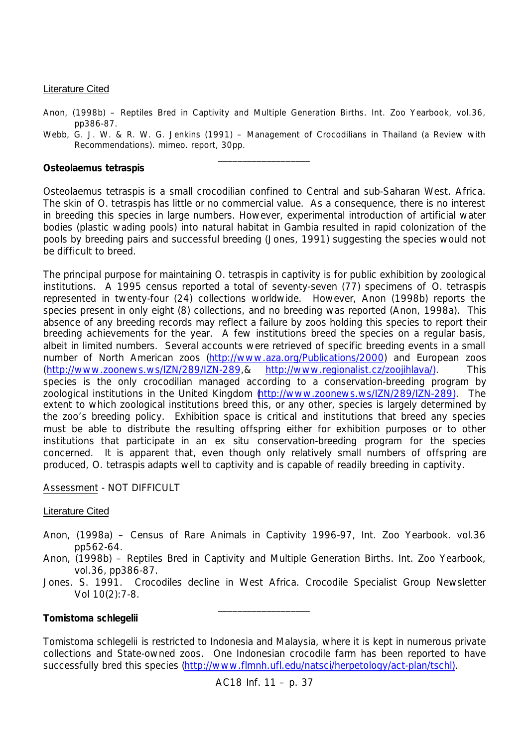## Literature Cited

Anon, (1998b) – Reptiles Bred in Captivity and Multiple Generation Births. Int. Zoo Yearbook, vol.36, pp386-87.

Webb, G. J. W. & R. W. G. Jenkins (1991) – Management of Crocodilians in Thailand (a Review with Recommendations). mimeo. report, 30pp. \_\_\_\_\_\_\_\_\_\_\_\_\_\_\_\_\_\_\_

## *Osteolaemus tetraspis*

*Osteolaemus tetraspis* is a small crocodilian confined to Central and sub-Saharan West. Africa. The skin of *O. tetraspis* has little or no commercial value. As a consequence, there is no interest in breeding this species in large numbers. However, experimental introduction of artificial water bodies (plastic wading pools) into natural habitat in Gambia resulted in rapid colonization of the pools by breeding pairs and successful breeding (Jones, 1991) suggesting the species would not be difficult to breed.

The principal purpose for maintaining *O. tetraspis* in captivity is for public exhibition by zoological institutions. A 1995 census reported a total of seventy-seven (77) specimens of *O. tetraspis* represented in twenty-four (24) collections worldwide. However, Anon (1998b) reports the species present in only eight (8) collections, and no breeding was reported (Anon, 1998a). This absence of any breeding records may reflect a failure by zoos holding this species to report their breeding achievements for the year. A few institutions breed the species on a regular basis, albeit in limited numbers. Several accounts were retrieved of specific breeding events in a small number of North American zoos (http://www.aza.org/Publications/2000) and European zoos (http://www.zoonews.ws/IZN/289/IZN-289,& http://www.regionalist.cz/zoojihlava/). This species is the only crocodilian managed according to a conservation-breeding program by zoological institutions in the United Kingdom (http://www.zoonews.ws/IZN/289/IZN-289). The extent to which zoological institutions breed this, or any other, species is largely determined by the zoo's breeding policy. Exhibition space is critical and institutions that breed any species must be able to distribute the resulting offspring either for exhibition purposes or to other institutions that participate in an *ex situ* conservation-breeding program for the species concerned. It is apparent that, even though only relatively small numbers of offspring are produced, *O. tetraspis* adapts well to captivity and is capable of readily breeding in captivity.

Assessment - NOT DIFFICULT

## Literature Cited

- Anon, (1998a) Census of Rare Animals in Captivity 1996-97, Int. Zoo Yearbook. vol.36 pp562-64.
- Anon, (1998b) Reptiles Bred in Captivity and Multiple Generation Births. Int. Zoo Yearbook, vol.36, pp386-87.
- Jones. S. 1991. Crocodiles decline in West Africa. Crocodile Specialist Group Newsletter Vol 10(2):7-8.

\_\_\_\_\_\_\_\_\_\_\_\_\_\_\_\_\_\_\_

## *Tomistoma schlegelii*

*Tomistoma schlegelii* is restricted to Indonesia and Malaysia, where it is kept in numerous private collections and State-owned zoos. One Indonesian crocodile farm has been reported to have successfully bred this species (http://www.flmnh.ufl.edu/natsci/herpetology/act-plan/tschl).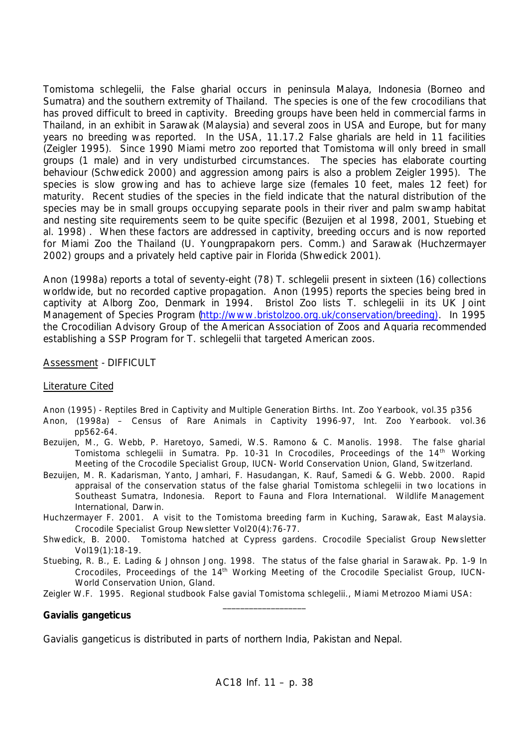*Tomistoma schlegelii,* the False gharial occurs in peninsula Malaya, Indonesia (Borneo and Sumatra) and the southern extremity of Thailand. The species is one of the few crocodilians that has proved difficult to breed in captivity. Breeding groups have been held in commercial farms in Thailand, in an exhibit in Sarawak (Malaysia) and several zoos in USA and Europe, but for many years no breeding was reported. In the USA, 11.17.2 False gharials are held in 11 facilities (Zeigler 1995). Since 1990 Miami metro zoo reported that Tomistoma will only breed in small groups (1 male) and in very undisturbed circumstances. The species has elaborate courting behaviour (Schwedick 2000) and aggression among pairs is also a problem Zeigler 1995). The species is slow growing and has to achieve large size (females 10 feet, males 12 feet) for maturity. Recent studies of the species in the field indicate that the natural distribution of the species may be in small groups occupying separate pools in their river and palm swamp habitat and nesting site requirements seem to be quite specific (Bezuijen et al 1998, 2001, Stuebing et al. 1998) . When these factors are addressed in captivity, breeding occurs and is now reported for Miami Zoo the Thailand (U. Youngprapakorn pers. Comm.) and Sarawak (Huchzermayer 2002) groups and a privately held captive pair in Florida (Shwedick 2001).

Anon (1998a) reports a total of seventy-eight (78) *T. schlegelii* present in sixteen (16) collections worldwide, but no recorded captive propagation. Anon (1995) reports the species being bred in captivity at Alborg Zoo, Denmark in 1994. Bristol Zoo lists *T. schlegelii* in its UK Joint Management of Species Program (http://www.bristolzoo.org.uk/conservation/breeding). In 1995 the Crocodilian Advisory Group of the American Association of Zoos and Aquaria recommended establishing a SSP Program for *T. schlegelii* that targeted American zoos.

# Assessment - DIFFICULT

## Literature Cited

- Anon (1995) Reptiles Bred in Captivity and Multiple Generation Births. Int. Zoo Yearbook, vol.35 p356
- Anon, (1998a) Census of Rare Animals in Captivity 1996-97, Int. Zoo Yearbook. vol.36 pp562-64.
- Bezuijen, M., G. Webb, P. Haretoyo, Samedi, W.S. Ramono & C. Manolis. 1998. The false gharial *Tomistoma schlegelii* in Sumatra. Pp. 10-31 In Crocodiles, Proceedings of the 14th Working Meeting of the Crocodile Specialist Group, IUCN- World Conservation Union, Gland, Switzerland.
- Bezuijen, M. R. Kadarisman, Yanto, Jamhari, F. Hasudangan, K. Rauf, Samedi & G. Webb. 2000. Rapid appraisal of the conservation status of the false gharial *Tomistoma schlegelii* in two locations in Southeast Sumatra, Indonesia. Report to Fauna and Flora International. Wildlife Management International, Darwin.
- Huchzermayer F. 2001. A visit to the Tomistoma breeding farm in Kuching, Sarawak, East Malaysia. Crocodile Specialist Group Newsletter Vol20(4):76-77.
- Shwedick, B. 2000. Tomistoma hatched at Cypress gardens. Crocodile Specialist Group Newsletter Vol19(1):18-19.
- Stuebing, R. B., E. Lading & Johnson Jong. 1998. The status of the false gharial in Sarawak. Pp. 1-9 In Crocodiles, Proceedings of the 14<sup>th</sup> Working Meeting of the Crocodile Specialist Group, IUCN-World Conservation Union, Gland.

Zeigler W.F. 1995. Regional studbook False gavial Tomistoma schlegelii., Miami Metrozoo Miami USA: \_\_\_\_\_\_\_\_\_\_\_\_\_\_\_\_\_\_\_

## *Gavialis gangeticus*

*Gavialis gangeticus* is distributed in parts of northern India, Pakistan and Nepal.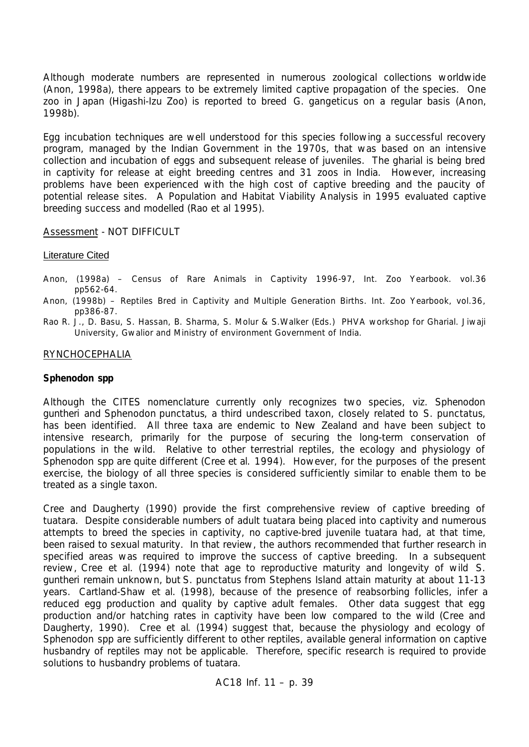Although moderate numbers are represented in numerous zoological collections worldwide (Anon, 1998a), there appears to be extremely limited captive propagation of the species. One zoo in Japan (Higashi-Izu Zoo) is reported to breed *G. gangeticus* on a regular basis (Anon, 1998b).

Egg incubation techniques are well understood for this species following a successful recovery program, managed by the Indian Government in the 1970s, that was based on an intensive collection and incubation of eggs and subsequent release of juveniles. The gharial is being bred in captivity for release at eight breeding centres and 31 zoos in India. However, increasing problems have been experienced with the high cost of captive breeding and the paucity of potential release sites. A Population and Habitat Viability Analysis in 1995 evaluated captive breeding success and modelled (Rao et al 1995).

Assessment - NOT DIFFICULT

### Literature Cited

- Anon, (1998a) Census of Rare Animals in Captivity 1996-97, Int. Zoo Yearbook. vol.36 pp562-64.
- Anon, (1998b) Reptiles Bred in Captivity and Multiple Generation Births. Int. Zoo Yearbook, vol.36, pp386-87.
- Rao R. J., D. Basu, S. Hassan, B. Sharma, S. Molur & S.Walker (Eds.) PHVA workshop for Gharial. Jiwaji University, Gwalior and Ministry of environment Government of India.

### RYNCHOCEPHALIA

### *Sphenodon* **spp**

Although the CITES nomenclature currently only recognizes two species, *viz. Sphenodon guntheri* and *Sphenodon punctatus*, a third undescribed taxon, closely related to *S. punctatus*, has been identified. All three taxa are endemic to New Zealand and have been subject to intensive research, primarily for the purpose of securing the long-term conservation of populations in the wild. Relative to other terrestrial reptiles, the ecology and physiology of *Sphenodon* spp are quite different (Cree *et al.* 1994). However, for the purposes of the present exercise, the biology of all three species is considered sufficiently similar to enable them to be treated as a single taxon.

Cree and Daugherty (1990) provide the first comprehensive review of captive breeding of tuatara. Despite considerable numbers of adult tuatara being placed into captivity and numerous attempts to breed the species in captivity, no captive-bred juvenile tuatara had, at that time, been raised to sexual maturity. In that review, the authors recommended that further research in specified areas was required to improve the success of captive breeding. In a subsequent review, Cree *et al.* (1994) note that age to reproductive maturity and longevity of wild *S. guntheri* remain unknown, but *S. punctatus* from Stephens Island attain maturity at about 11-13 years. Cartland-Shaw *et al.* (1998), because of the presence of reabsorbing follicles, infer a reduced egg production and quality by captive adult females. Other data suggest that egg production and/or hatching rates in captivity have been low compared to the wild (Cree and Daugherty, 1990). Cree *et al*. (1994) suggest that, because the physiology and ecology of *Sphenodon* spp are sufficiently different to other reptiles, available general information on captive husbandry of reptiles may not be applicable. Therefore, specific research is required to provide solutions to husbandry problems of tuatara.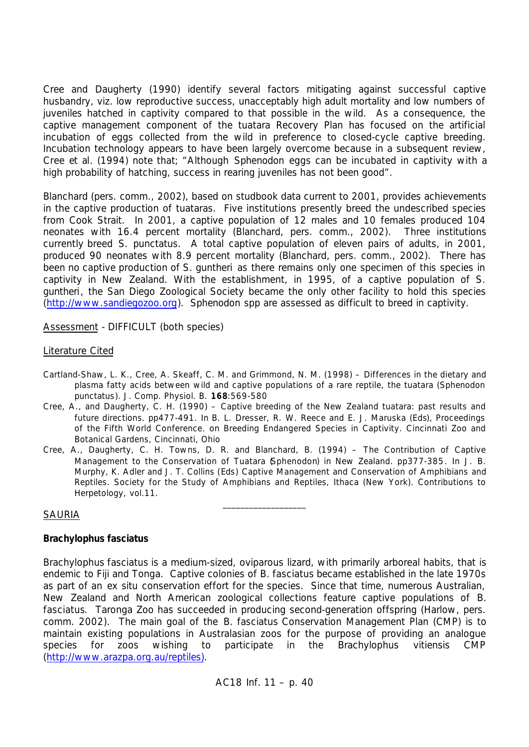Cree and Daugherty (1990) identify several factors mitigating against successful captive husbandry, *viz.* low reproductive success, unacceptably high adult mortality and low numbers of juveniles hatched in captivity compared to that possible in the wild. As a consequence, the captive management component of the tuatara Recovery Plan has focused on the artificial incubation of eggs collected from the wild in preference to closed-cycle captive breeding. Incubation technology appears to have been largely overcome because in a subsequent review, Cree *et al*. (1994) note that; "Although *Sphenodon* eggs can be incubated in captivity with a high probability of hatching, success in rearing juveniles has not been good".

Blanchard (pers. comm., 2002), based on studbook data current to 2001, provides achievements in the captive production of tuataras. Five institutions presently breed the undescribed species from Cook Strait. In 2001, a captive population of 12 males and 10 females produced 104 neonates with 16.4 percent mortality (Blanchard, pers. comm., 2002). Three institutions currently breed *S. punctatus.* A total captive population of eleven pairs of adults, in 2001, produced 90 neonates with 8.9 percent mortality (Blanchard, pers. comm., 2002). There has been no captive production of *S. guntheri* as there remains only one specimen of this species in captivity in New Zealand. With the establishment, in 1995, of a captive population of *S. guntheri*, the San Diego Zoological Society became the only other facility to hold this species (http://www.sandiegozoo.org). *Sphenodon* spp are assessed as difficult to breed in captivity.

Assessment - DIFFICULT (both species)

## Literature Cited

- Cartland-Shaw, L. K., Cree, A. Skeaff, C. M. and Grimmond, N. M. (1998) Differences in the dietary and plasma fatty acids between wild and captive populations of a rare reptile, the tuatara (*Sphenodon punctatus*). J. Comp. Physiol. B. **168**:569-580
- Cree, A., and Daugherty, C. H. (1990) Captive breeding of the New Zealand tuatara: past results and future directions. pp477-491. *In* B. L. Dresser, R. W. Reece and E. J. Maruska (*Eds*), Proceedings of the Fifth World Conference. on Breeding Endangered Species in Captivity. Cincinnati Zoo and Botanical Gardens, Cincinnati, Ohio
- Cree, A., Daugherty, C. H. Towns, D. R. and Blanchard, B. (1994) The Contribution of Captive Management to the Conservation of Tuatara (*Sphenodon*) in New Zealand. pp377-385*. In* J. B. Murphy, K. Adler and J. T. Collins (*Eds*) Captive Management and Conservation of Amphibians and Reptiles. Society for the Study of Amphibians and Reptiles, Ithaca (New York). Contributions to Herpetology, vol.11.

\_\_\_\_\_\_\_\_\_\_\_\_\_\_\_\_\_\_\_

## SAURIA

## *Brachylophus fasciatus*

*Brachylophus fasciatus* is a medium-sized, oviparous lizard, with primarily arboreal habits, that is endemic to Fiji and Tonga. Captive colonies of *B. fasciatus* became established in the late 1970s as part of an *ex situ* conservation effort for the species. Since that time, numerous Australian, New Zealand and North American zoological collections feature captive populations of *B. fasciatus*. Taronga Zoo has succeeded in producing second-generation offspring (Harlow, pers. comm. 2002). The main goal of the *B. fasciatus* Conservation Management Plan (CMP) is to maintain existing populations in Australasian zoos for the purpose of providing an analogue species for zoos wishing to participate in the *Brachylophus vitiensis* CMP (http://www.arazpa.org.au/reptiles).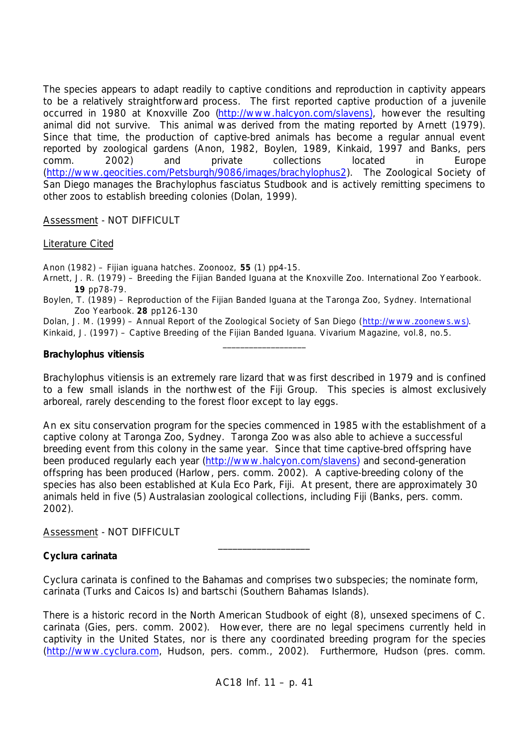The species appears to adapt readily to captive conditions and reproduction in captivity appears to be a relatively straightforward process. The first reported captive production of a juvenile occurred in 1980 at Knoxville Zoo (http://www.halcyon.com/slavens), however the resulting animal did not survive. This animal was derived from the mating reported by Arnett (1979). Since that time, the production of captive-bred animals has become a regular annual event reported by zoological gardens (Anon, 1982, Boylen, 1989, Kinkaid, 1997 and Banks, pers comm. 2002) and private collections located in Europe (http://www.geocities.com/Petsburgh/9086/images/brachylophus2). The Zoological Society of San Diego manages the *Brachylophus fasciatus* Studbook and is actively remitting specimens to other zoos to establish breeding colonies (Dolan, 1999).

## Assessment - NOT DIFFICULT

## Literature Cited

Anon (1982) – Fijian iguana hatches. Zoonooz, **55** (1) pp4-15.

- Arnett, J. R. (1979) Breeding the Fijian Banded Iguana at the Knoxville Zoo. International Zoo Yearbook. **19** pp78-79.
- Boylen, T. (1989) Reproduction of the Fijian Banded Iguana at the Taronga Zoo, Sydney. International Zoo Yearbook. **28** pp126-130

Dolan, J. M. (1999) – Annual Report of the Zoological Society of San Diego (http://www.zoonews.ws). Kinkaid, J. (1997) – Captive Breeding of the Fijian Banded Iguana. Vivarium Magazine, vol.8, no.5.

 $\_$ 

## *Brachylophus vitiensis*

*Brachylophus vitiensis* is an extremely rare lizard that was first described in 1979 and is confined to a few small islands in the northwest of the Fiji Group. This species is almost exclusively arboreal, rarely descending to the forest floor except to lay eggs.

An *ex situ* conservation program for the species commenced in 1985 with the establishment of a captive colony at Taronga Zoo, Sydney. Taronga Zoo was also able to achieve a successful breeding event from this colony in the same year. Since that time captive-bred offspring have been produced regularly each year (http://www.halcyon.com/slavens) and second-generation offspring has been produced (Harlow, pers. comm. 2002). A captive-breeding colony of the species has also been established at Kula Eco Park, Fiji. At present, there are approximately 30 animals held in five (5) Australasian zoological collections, including Fiji (Banks, pers. comm. 2002).

Assessment - NOT DIFFICULT

## *Cyclura carinata*

*Cyclura carinata* is confined to the Bahamas and comprises two subspecies; the nominate form, *carinata* (Turks and Caicos Is) and *bartschi* (Southern Bahamas Islands).

\_\_\_\_\_\_\_\_\_\_\_\_\_\_\_\_\_\_\_

There is a historic record in the North American Studbook of eight (8), unsexed specimens of *C. carinata* (Gies, pers. comm. 2002). However, there are no legal specimens currently held in captivity in the United States, nor is there any coordinated breeding program for the species (http://www.cyclura.com, Hudson, pers. comm., 2002). Furthermore, Hudson (pres. comm.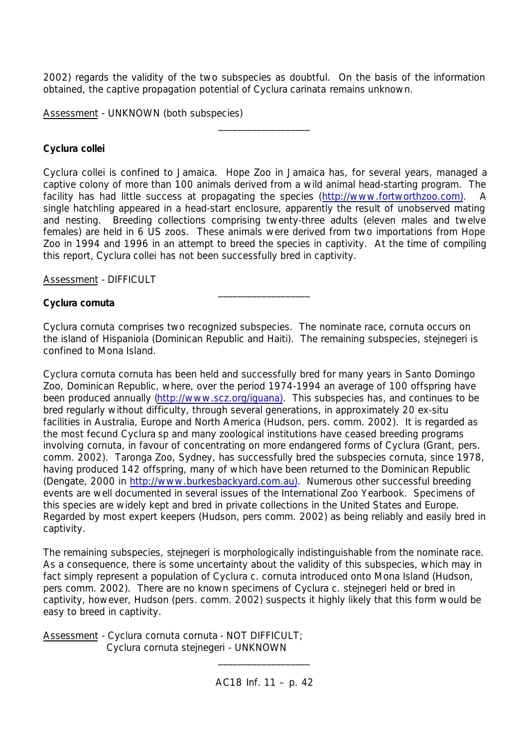2002) regards the validity of the two subspecies as doubtful. On the basis of the information obtained, the captive propagation potential of *Cyclura carinata* remains unknown.

\_\_\_\_\_\_\_\_\_\_\_\_\_\_\_\_\_\_\_

Assessment - UNKNOWN (both subspecies)

# *Cyclura collei*

*Cyclura collei* is confined to Jamaica. Hope Zoo in Jamaica has, for several years, managed a captive colony of more than 100 animals derived from a wild animal head-starting program. The facility has had little success at propagating the species (http://www.fortworthzoo.com). single hatchling appeared in a head-start enclosure, apparently the result of unobserved mating and nesting. Breeding collections comprising twenty-three adults (eleven males and twelve females) are held in 6 US zoos. These animals were derived from two importations from Hope Zoo in 1994 and 1996 in an attempt to breed the species in captivity. At the time of compiling this report, *Cyclura collei* has not been successfully bred in captivity.

Assessment - DIFFICULT

# *Cyclura cornuta*

*Cyclura cornuta* comprises two recognized subspecies. The nominate race, *cornuta* occurs on the island of Hispaniola (Dominican Republic and Haiti). The remaining subspecies, *stejnegeri* is confined to Mona Island.

\_\_\_\_\_\_\_\_\_\_\_\_\_\_\_\_\_\_\_

*Cyclura cornuta cornuta* has been held and successfully bred for many years in Santo Domingo Zoo, Dominican Republic, where, over the period 1974-1994 an average of 100 offspring have been produced annually (http://www.scz.org/iguana). This subspecies has, and continues to be bred regularly without difficulty, through several generations, in approximately 20 *ex-situ* facilities in Australia, Europe and North America (Hudson, pers. comm. 2002). It is regarded as the most fecund *Cyclura* sp and many zoological institutions have ceased breeding programs involving *cornuta*, in favour of concentrating on more endangered forms of *Cyclura* (Grant, pers. comm. 2002). Taronga Zoo, Sydney, has successfully bred the subspecies *cornuta*, since 1978, having produced 142 offspring, many of which have been returned to the Dominican Republic (Dengate, 2000 in http://www.burkesbackyard.com.au). Numerous other successful breeding events are well documented in several issues of the International Zoo Yearbook. Specimens of this species are widely kept and bred in private collections in the United States and Europe. Regarded by most expert keepers (Hudson, pers comm. 2002) as being reliably and easily bred in captivity.

The remaining subspecies, *stejnegeri* is morphologically indistinguishable from the nominate race. As a consequence, there is some uncertainty about the validity of this subspecies, which may in fact simply represent a population of *Cyclura c. cornuta* introduced onto Mona Island (Hudson, pers comm. 2002). There are no known specimens of *Cyclura c. stejnegeri* held or bred in captivity, however, Hudson (pers. comm. 2002) suspects it highly likely that this form would be easy to breed in captivity.

Assessment - *Cyclura cornuta cornuta* - NOT DIFFICULT; *Cyclura cornuta stejnegeri* - UNKNOWN

\_\_\_\_\_\_\_\_\_\_\_\_\_\_\_\_\_\_\_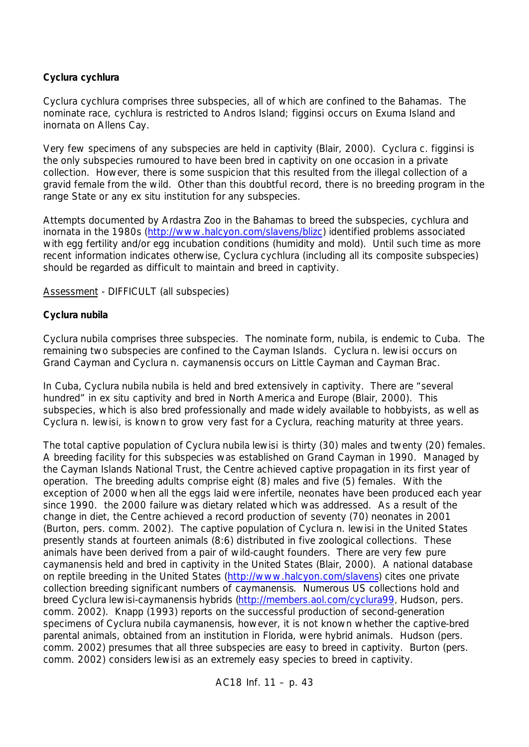# *Cyclura cychlura*

*Cyclura cychlura* comprises three subspecies, all of which are confined to the Bahamas. The nominate race, *cychlura* is restricted to Andros Island; *figginsi* occurs on Exuma Island and *inornata* on Allens Cay.

Very few specimens of any subspecies are held in captivity (Blair, 2000). *Cyclura c. figginsi is the only subspecies* rumoured to have been bred in captivity on one occasion in a private collection. However, there is some suspicion that this resulted from the illegal collection of a gravid female from the wild. Other than this doubtful record, there is no breeding program in the range State or any *ex situ* institution for any subspecies.

Attempts documented by Ardastra Zoo in the Bahamas to breed the subspecies, *cychlura* and *inornata* in the 1980s (http://www.halcyon.com/slavens/blizc) identified problems associated with egg fertility and/or egg incubation conditions (humidity and mold). Until such time as more recent information indicates otherwise, *Cyclura cychlura* (including all its composite subspecies) should be regarded as difficult to maintain and breed in captivity.

# Assessment - DIFFICULT (all subspecies)

# *Cyclura nubila*

*Cyclura nubila* comprises three subspecies. The nominate form, *nubila*, is endemic to Cuba. The remaining two subspecies are confined to the Cayman Islands. *Cyclura n. lewisi* occurs on Grand Cayman and *Cyclura n. caymanensis* occurs on Little Cayman and Cayman Brac.

In Cuba, *Cyclura nubila nubila* is held and bred extensively in captivity. There are "several hundred" in *ex situ* captivity and bred in North America and Europe (Blair, 2000). This subspecies, which is also bred professionally and made widely available to hobbyists, as well as *Cyclura n. lewisi*, is known to grow very fast for a *Cyclura,* reaching maturity at three years.

The total captive population of *Cyclura nubila lewisi* is thirty (30) males and twenty (20) females. A breeding facility for this subspecies was established on Grand Cayman in 1990. Managed by the Cayman Islands National Trust, the Centre achieved captive propagation in its first year of operation. The breeding adults comprise eight (8) males and five (5) females. With the exception of 2000 when all the eggs laid were infertile, neonates have been produced each year since 1990. the 2000 failure was dietary related which was addressed. As a result of the change in diet, the Centre achieved a record production of seventy (70) neonates in 2001 (Burton, pers. comm. 2002). The captive population of *Cyclura n. lewisi* in the United States presently stands at fourteen animals (8:6) distributed in five zoological collections. These animals have been derived from a pair of wild-caught founders. There are very few pure *caymanensis* held and bred in captivity in the United States (Blair, 2000). A national database on reptile breeding in the United States (http://www.halcyon.com/slavens) cites one private collection breeding significant numbers of *caymanensis*. Numerous US collections hold and breed *Cyclura lewisi-caymanensis* hybrids (http://members.aol.com/cyclura99, Hudson, pers. comm. 2002). Knapp (1993) reports on the successful production of second-generation specimens of *Cyclura nubila caymanensis*, however, it is not known whether the captive-bred parental animals, obtained from an institution in Florida, were hybrid animals. Hudson (pers. comm. 2002) presumes that all three subspecies are easy to breed in captivity. Burton (pers. comm. 2002) considers *lewisi* as an extremely easy species to breed in captivity.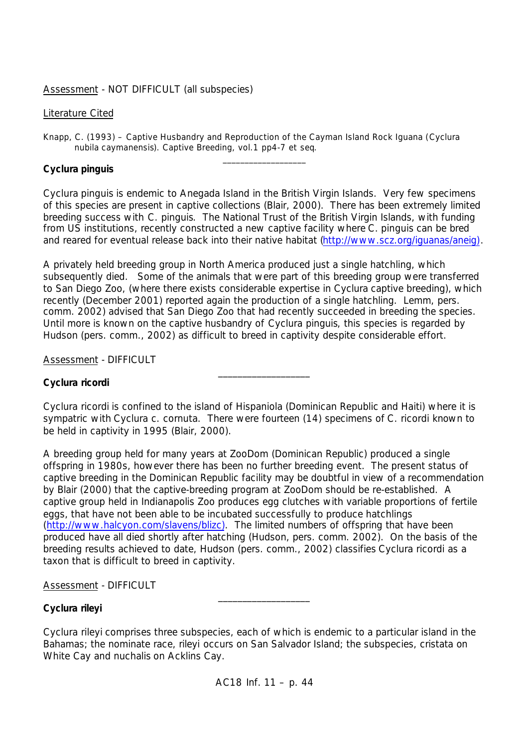# Assessment - NOT DIFFICULT (all subspecies)

## Literature Cited

Knapp, C. (1993) – Captive Husbandry and Reproduction of the Cayman Island Rock Iguana (*Cyclura nubila caymanensis*). Captive Breeding, vol.1 pp4-7 *et seq*.

# *Cyclura pinguis*

*Cyclura pinguis* is endemic to Anegada Island in the British Virgin Islands. Very few specimens of this species are present in captive collections (Blair, 2000). There has been extremely limited breeding success with *C. pinguis*. The National Trust of the British Virgin Islands, with funding from US institutions, recently constructed a new captive facility where *C. pinguis* can be bred and reared for eventual release back into their native habitat (http://www.scz.org/iguanas/aneig).

\_\_\_\_\_\_\_\_\_\_\_\_\_\_\_\_\_\_\_

A privately held breeding group in North America produced just a single hatchling, which subsequently died. Some of the animals that were part of this breeding group were transferred to San Diego Zoo, (where there exists considerable expertise in *Cyclura* captive breeding), which recently (December 2001) reported again the production of a single hatchling. Lemm, pers. comm. 2002) advised that San Diego Zoo that had recently succeeded in breeding the species. Until more is known on the captive husbandry of *Cyclura pinguis*, this species is regarded by Hudson (pers. comm., 2002) as difficult to breed in captivity despite considerable effort.

Assessment - DIFFICULT

# *Cyclura ricordi*

*Cyclura ricordi* is confined to the island of Hispaniola (Dominican Republic and Haiti) where it is sympatric with *Cyclura c. cornuta*. There were fourteen (14) specimens of *C. ricordi* known to be held in captivity in 1995 (Blair, 2000).

\_\_\_\_\_\_\_\_\_\_\_\_\_\_\_\_\_\_\_

A breeding group held for many years at ZooDom (Dominican Republic) produced a single offspring in 1980s, however there has been no further breeding event. The present status of captive breeding in the Dominican Republic facility may be doubtful in view of a recommendation by Blair (2000) that the captive-breeding program at ZooDom should be re-established. A captive group held in Indianapolis Zoo produces egg clutches with variable proportions of fertile eggs, that have not been able to be incubated successfully to produce hatchlings (http://www.halcyon.com/slavens/blizc). The limited numbers of offspring that have been produced have all died shortly after hatching (Hudson, pers. comm. 2002). On the basis of the breeding results achieved to date, Hudson (pers. comm., 2002) classifies *Cyclura ricordi* as a taxon that is difficult to breed in captivity.

## Assessment - DIFFICULT

# *Cyclura rileyi*

*Cyclura rileyi* comprises three subspecies, each of which is endemic to a particular island in the Bahamas; the nominate race, *rileyi* occurs on San Salvador Island; the subspecies, *cristata* on White Cay and *nuchalis* on Acklins Cay.

\_\_\_\_\_\_\_\_\_\_\_\_\_\_\_\_\_\_\_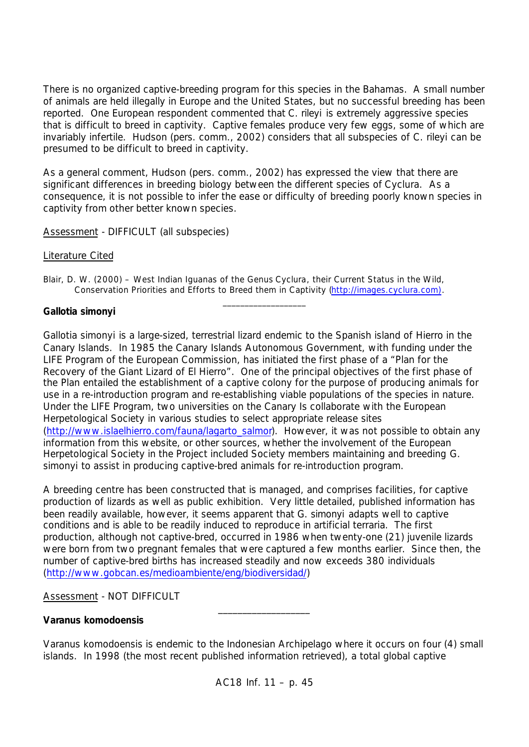There is no organized captive-breeding program for this species in the Bahamas. A small number of animals are held illegally in Europe and the United States, but no successful breeding has been reported. One European respondent commented that *C. rileyi* is extremely aggressive species that is difficult to breed in captivity. Captive females produce very few eggs, some of which are invariably infertile. Hudson (pers. comm., 2002) considers that all subspecies of *C. rileyi* can be presumed to be difficult to breed in captivity.

As a general comment, Hudson (pers. comm., 2002) has expressed the view that there are significant differences in breeding biology between the different species of *Cyclura.* As a consequence, it is not possible to infer the ease or difficulty of breeding poorly known species in captivity from other better known species.

Assessment - DIFFICULT (all subspecies)

# Literature Cited

Blair, D. W. (2000) – West Indian Iguanas of the Genus *Cyclura*, their Current Status in the Wild, Conservation Priorities and Efforts to Breed them in Captivity (http://images.cyclura.com).

# *Gallotia simonyi*

*Gallotia simonyi* is a large-sized, terrestrial lizard endemic to the Spanish island of Hierro in the Canary Islands. In 1985 the Canary Islands Autonomous Government, with funding under the LIFE Program of the European Commission, has initiated the first phase of a "Plan for the Recovery of the Giant Lizard of El Hierro". One of the principal objectives of the first phase of the Plan entailed the establishment of a captive colony for the purpose of producing animals for use in a re-introduction program and re-establishing viable populations of the species in nature. Under the LIFE Program, two universities on the Canary Is collaborate with the European Herpetological Society in various studies to select appropriate release sites (http://www.islaelhierro.com/fauna/lagarto\_salmor). However, it was not possible to obtain any information from this website, or other sources, whether the involvement of the European Herpetological Society in the Project included Society members maintaining and breeding *G. simonyi* to assist in producing captive-bred animals for re-introduction program.

 $\_$ 

A breeding centre has been constructed that is managed, and comprises facilities, for captive production of lizards as well as public exhibition. Very little detailed, published information has been readily available, however, it seems apparent that *G. simonyi* adapts well to captive conditions and is able to be readily induced to reproduce in artificial terraria. The first production, although not captive-bred, occurred in 1986 when twenty-one (21) juvenile lizards were born from two pregnant females that were captured a few months earlier. Since then, the number of captive-bred births has increased steadily and now exceeds 380 individuals (http://www.gobcan.es/medioambiente/eng/biodiversidad/)

# Assessment - NOT DIFFICULT

# *Varanus komodoensis*

Varanus komodoensis is endemic to the Indonesian Archipelago where it occurs on four (4) small islands. In 1998 (the most recent published information retrieved), a total global captive

\_\_\_\_\_\_\_\_\_\_\_\_\_\_\_\_\_\_\_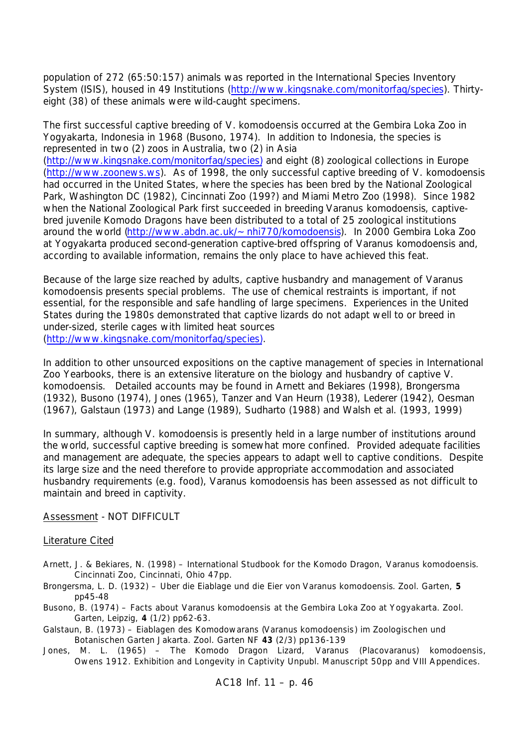population of 272 (65:50:157) animals was reported in the International Species Inventory System (ISIS), housed in 49 Institutions (http://www.kingsnake.com/monitorfaq/species). Thirtyeight (38) of these animals were wild-caught specimens.

The first successful captive breeding of *V. komodoensis* occurred at the Gembira Loka Zoo in Yogyakarta, Indonesia in 1968 (Busono, 1974). In addition to Indonesia, the species is represented in two (2) zoos in Australia, two (2) in Asia (http://www.kingsnake.com/monitorfaq/species) and eight (8) zoological collections in Europe (http://www.zoonews.ws). As of 1998, the only successful captive breeding of *V. komodoensis* had occurred in the United States, where the species has been bred by the National Zoological Park, Washington DC (1982), Cincinnati Zoo (199?) and Miami Metro Zoo (1998). Since 1982 when the National Zoological Park first succeeded in breeding *Varanus komodoensis*, captivebred juvenile Komodo Dragons have been distributed to a total of 25 zoological institutions around the world (http://www.abdn.ac.uk/~nhi770/komodoensis). In 2000 Gembira Loka Zoo at Yogyakarta produced second-generation captive-bred offspring of *Varanus komodoensis* and, according to available information, remains the only place to have achieved this feat.

Because of the large size reached by adults, captive husbandry and management of *Varanus komodoensis* presents special problems. The use of chemical restraints is important, if not essential, for the responsible and safe handling of large specimens. Experiences in the United States during the 1980s demonstrated that captive lizards do not adapt well to or breed in under-sized, sterile cages with limited heat sources (http://www.kingsnake.com/monitorfaq/species).

In addition to other unsourced expositions on the captive management of species in International Zoo Yearbooks, there is an extensive literature on the biology and husbandry of captive *V. komodoensis*. Detailed accounts may be found in Arnett and Bekiares (1998), Brongersma (1932), Busono (1974), Jones (1965), Tanzer and Van Heurn (1938), Lederer (1942), Oesman (1967), Galstaun (1973) and Lange (1989), Sudharto (1988) and Walsh et al. (1993, 1999)

In summary, although *V. komodoensis* is presently held in a large number of institutions around the world, successful captive breeding is somewhat more confined. Provided adequate facilities and management are adequate, the species appears to adapt well to captive conditions. Despite its large size and the need therefore to provide appropriate accommodation and associated husbandry requirements (*e.g*. food), *Varanus komodoensis* has been assessed as not difficult to maintain and breed in captivity.

Assessment - NOT DIFFICULT

## Literature Cited

- Arnett, J. & Bekiares, N. (1998) International Studbook for the Komodo Dragon, *Varanus komodoensis*. Cincinnati Zoo, Cincinnati, Ohio 47pp.
- Brongersma, L. D. (1932) Uber die Eiablage und die Eier von *Varanus komodoensis*. Zool. Garten, **5** pp45-48
- Busono, B. (1974) Facts about *Varanus komodoensis* at the Gembira Loka Zoo at Yogyakarta. Zool. Garten, Leipzig, **4** (1/2) pp62-63.
- Galstaun, B. (1973) Eiablagen des Komodowarans (*Varanus komodoensis*) im Zoologischen und Botanischen Garten Jakarta. Zool. Garten NF **43** (2/3) pp136-139
- Jones, M. L. (1965) The Komodo Dragon Lizard, *Varanus (Placovaranus) komodoensis*, Owens 1912. Exhibition and Longevity in Captivity Unpubl. Manuscript 50pp and VIII Appendices.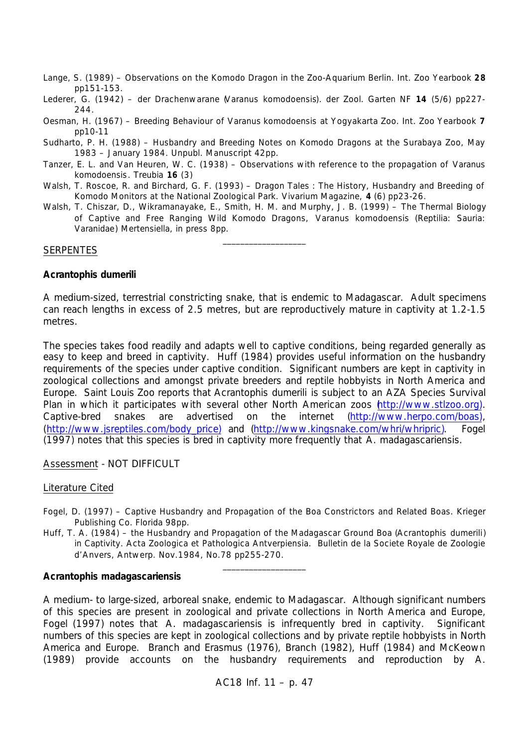- Lange, S. (1989) Observations on the Komodo Dragon in the Zoo-Aquarium Berlin. Int. Zoo Yearbook **28** pp151-153.
- Lederer, G. (1942) der Drachenwarane (*Varanus komodoensis*). der Zool. Garten NF **14** (5/6) pp227- 244.
- Oesman, H. (1967) Breeding Behaviour of *Varanus komodoensis* at Yogyakarta Zoo. Int. Zoo Yearbook **7** pp10-11
- Sudharto, P. H. (1988) Husbandry and Breeding Notes on Komodo Dragons at the Surabaya Zoo, May 1983 – January 1984. Unpubl. Manuscript 42pp.
- Tanzer, E. L. and Van Heuren, W. C. (1938) Observations with reference to the propagation of *Varanus komodoensis*. Treubia **16** (3)
- Walsh, T. Roscoe, R. and Birchard, G. F. (1993) Dragon Tales : The History, Husbandry and Breeding of Komodo Monitors at the National Zoological Park. Vivarium Magazine, **4** (6) pp23-26.
- Walsh, T. Chiszar, D., Wikramanayake, E., Smith, H. M. and Murphy, J. B. (1999) The Thermal Biology of Captive and Free Ranging Wild Komodo Dragons, *Varanus komodoensis* (Reptilia: Sauria: *Varanidae*) Mertensiella, in press 8pp.

 $\_$ 

#### **SERPENTES**

### *Acrantophis dumerili*

A medium-sized, terrestrial constricting snake, that is endemic to Madagascar. Adult specimens can reach lengths in excess of 2.5 metres, but are reproductively mature in captivity at 1.2-1.5 metres.

The species takes food readily and adapts well to captive conditions, being regarded generally as easy to keep and breed in captivity. Huff (1984) provides useful information on the husbandry requirements of the species under captive condition. Significant numbers are kept in captivity in zoological collections and amongst private breeders and reptile hobbyists in North America and Europe. Saint Louis Zoo reports that *Acrantophis dumerili* is subject to an AZA Species Survival Plan in which it participates with several other North American zoos http://www.stlzoo.org). Captive-bred snakes are advertised on the internet (http://www.herpo.com/boas), (http://www.jsreptiles.com/body\_price) and (http://www.kingsnake.com/whri/whripric). Fogel (1997) notes that this species is bred in captivity more frequently that *A. madagascariensis.*

## Assessment - NOT DIFFICULT

#### Literature Cited

- Fogel, D. (1997) Captive Husbandry and Propagation of the Boa Constrictors and Related Boas. Krieger Publishing Co. Florida 98pp.
- Huff, T. A. (1984) the Husbandry and Propagation of the Madagascar Ground Boa (*Acrantophis dumerili*) in Captivity. Acta Zoologica et Pathologica Antverpiensia. Bulletin de la Societe Royale de Zoologie d'Anvers, Antwerp. Nov.1984, No.78 pp255-270.

\_\_\_\_\_\_\_\_\_\_\_\_\_\_\_\_\_\_\_

#### *Acrantophis madagascariensis*

A medium- to large-sized, arboreal snake, endemic to Madagascar. Although significant numbers of this species are present in zoological and private collections in North America and Europe, Fogel (1997) notes that *A. madagascariensis* is infrequently bred in captivity. Significant numbers of this species are kept in zoological collections and by private reptile hobbyists in North America and Europe. Branch and Erasmus (1976), Branch (1982), Huff (1984) and McKeown (1989) provide accounts on the husbandry requirements and reproduction by *A.*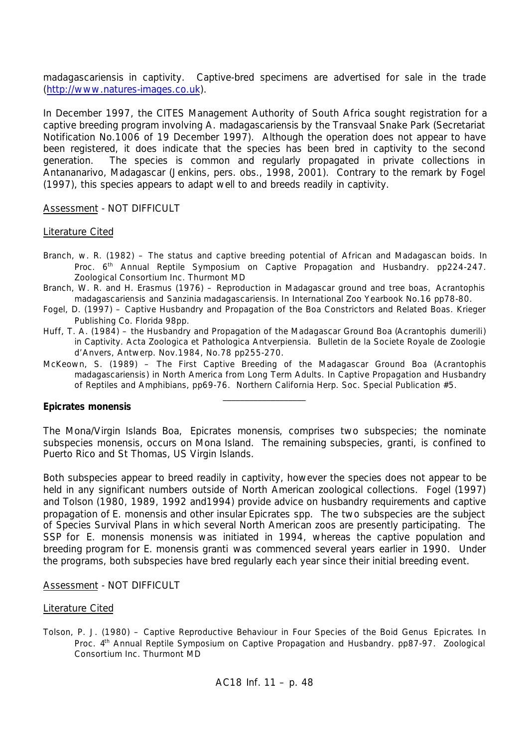*madagascariensis* in captivity. Captive-bred specimens are advertised for sale in the trade (http://www.natures-images.co.uk).

In December 1997, the CITES Management Authority of South Africa sought registration for a captive breeding program involving *A. madagascariensis* by the Transvaal Snake Park (Secretariat Notification No.1006 of 19 December 1997). Although the operation does not appear to have been registered, it does indicate that the species has been bred in captivity to the second generation. The species is common and regularly propagated in private collections in Antananarivo, Madagascar (Jenkins, pers. obs., 1998, 2001). Contrary to the remark by Fogel (1997), this species appears to adapt well to and breeds readily in captivity.

Assessment - NOT DIFFICULT

#### Literature Cited

- Branch, w. R. (1982) The status and captive breeding potential of African and Madagascan boids. In Proc. 6<sup>th</sup> Annual Reptile Symposium on Captive Propagation and Husbandry. pp224-247. Zoological Consortium Inc. Thurmont MD
- Branch, W. R. and H. Erasmus (1976) Reproduction in Madagascar ground and tree boas, *Acrantophis madagascariensis* and *Sanzinia madagascariensis*. *In* International Zoo Yearbook No.16 pp78-80.
- Fogel, D. (1997) Captive Husbandry and Propagation of the Boa Constrictors and Related Boas. Krieger Publishing Co. Florida 98pp.
- Huff, T. A. (1984) the Husbandry and Propagation of the Madagascar Ground Boa (*Acrantophis dumerili*) in Captivity. Acta Zoologica et Pathologica Antverpiensia. Bulletin de la Societe Royale de Zoologie d'Anvers, Antwerp. Nov.1984, No.78 pp255-270.
- McKeown, S. (1989) The First Captive Breeding of the Madagascar Ground Boa (*Acrantophis madagascariensis*) in North America from Long Term Adults. In Captive Propagation and Husbandry of Reptiles and Amphibians, pp69-76. Northern California Herp. Soc. Special Publication #5.

\_\_\_\_\_\_\_\_\_\_\_\_\_\_\_\_\_\_\_

### *Epicrates monensis*

The Mona/Virgin Islands Boa, *Epicrates monensis*, comprises two subspecies; the nominate subspecies *monensis,* occurs on Mona Island. The remaining subspecies, *granti,* is confined to Puerto Rico and St Thomas, US Virgin Islands.

Both subspecies appear to breed readily in captivity, however the species does not appear to be held in any significant numbers outside of North American zoological collections. Fogel (1997) and Tolson (1980, 1989, 1992 and1994) provide advice on husbandry requirements and captive propagation of *E. monensis* and other insular *Epicrates* spp. The two subspecies are the subject of Species Survival Plans in which several North American zoos are presently participating. The SSP for *E. monensis monensis* was initiated in 1994, whereas the captive population and breeding program for *E. monensis granti* was commenced several years earlier in 1990. Under the programs, both subspecies have bred regularly each year since their initial breeding event.

#### Assessment - NOT DIFFICULT

#### Literature Cited

Tolson, P. J. (1980) – Captive Reproductive Behaviour in Four Species of the Boid Genus *Epicrates*. *In* Proc. 4<sup>th</sup> Annual Reptile Symposium on Captive Propagation and Husbandry. pp87-97. Zoological Consortium Inc. Thurmont MD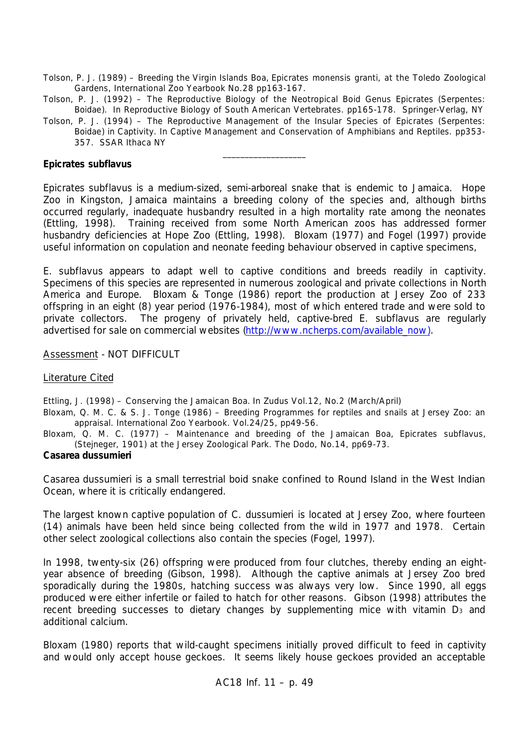- Tolson, P. J. (1989) Breeding the Virgin Islands Boa, *Epicrates monensis granti*, at the Toledo Zoological Gardens, International Zoo Yearbook No.28 pp163-167.
- Tolson, P. J. (1992) The Reproductive Biology of the Neotropical Boid Genus Epicrates (Serpentes: *Boidae*). *In* Reproductive Biology of South American Vertebrates. pp165-178. Springer-Verlag, NY
- Tolson, P. J. (1994) The Reproductive Management of the Insular Species of Epicrates (Serpentes: *Boidae*) in Captivity. *In* Captive Management and Conservation of Amphibians and Reptiles. pp353- 357. SSAR Ithaca NY

\_\_\_\_\_\_\_\_\_\_\_\_\_\_\_\_\_\_\_

## *Epicrates subflavus*

*Epicrates subflavus* is a medium-sized, semi-arboreal snake that is endemic to Jamaica. Hope Zoo in Kingston, Jamaica maintains a breeding colony of the species and, although births occurred regularly, inadequate husbandry resulted in a high mortality rate among the neonates (Ettling, 1998). Training received from some North American zoos has addressed former husbandry deficiencies at Hope Zoo (Ettling, 1998). Bloxam (1977) and Fogel (1997) provide useful information on copulation and neonate feeding behaviour observed in captive specimens,

*E. subflavus* appears to adapt well to captive conditions and breeds readily in captivity. Specimens of this species are represented in numerous zoological and private collections in North America and Europe. Bloxam & Tonge (1986) report the production at Jersey Zoo of 233 offspring in an eight (8) year period (1976-1984), most of which entered trade and were sold to private collectors. The progeny of privately held, captive-bred *E. subflavus* are regularly advertised for sale on commercial websites (http://www.ncherps.com/available\_now).

Assessment - NOT DIFFICULT

# Literature Cited

Ettling, J. (1998) – Conserving the Jamaican Boa. *In* Zudus Vol.12, No.2 (March/April)

- Bloxam, Q. M. C. & S. J. Tonge (1986) Breeding Programmes for reptiles and snails at Jersey Zoo: an appraisal. International Zoo Yearbook. Vol.24/25, pp49-56.
- Bloxam, Q. M. C. (1977) Maintenance and breeding of the Jamaican Boa, *Epicrates subflavus*, (Stejneger, 1901) at the Jersey Zoological Park. The Dodo, No.14, pp69-73.

## *Casarea dussumieri*

*Casarea dussumieri* is a small terrestrial boid snake confined to Round Island in the West Indian Ocean, where it is critically endangered.

The largest known captive population of *C. dussumieri* is located at Jersey Zoo, where fourteen (14) animals have been held since being collected from the wild in 1977 and 1978. Certain other select zoological collections also contain the species (Fogel, 1997).

In 1998, twenty-six (26) offspring were produced from four clutches, thereby ending an eightyear absence of breeding (Gibson, 1998). Although the captive animals at Jersey Zoo bred sporadically during the 1980s, hatching success was always very low. Since 1990, all eggs produced were either infertile or failed to hatch for other reasons. Gibson (1998) attributes the recent breeding successes to dietary changes by supplementing mice with vitamin D<sub>3</sub> and additional calcium.

Bloxam (1980) reports that wild-caught specimens initially proved difficult to feed in captivity and would only accept house geckoes. It seems likely house geckoes provided an acceptable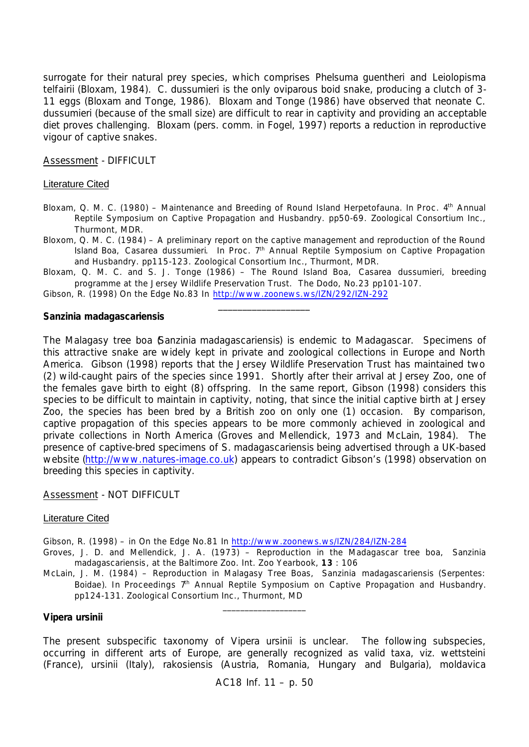surrogate for their natural prey species, which comprises *Phelsuma guentheri* and *Leiolopisma telfairii* (Bloxam, 1984). *C. dussumieri* is the only oviparous boid snake, producing a clutch of 3- 11 eggs (Bloxam and Tonge, 1986). Bloxam and Tonge (1986) have observed that neonate *C. dussumieri* (because of the small size) are difficult to rear in captivity and providing an acceptable diet proves challenging. Bloxam (pers. comm. in Fogel, 1997) reports a reduction in reproductive vigour of captive snakes.

Assessment - DIFFICULT

## Literature Cited

- Bloxam, Q. M. C. (1980) Maintenance and Breeding of Round Island Herpetofauna. I*n* Proc. 4th Annual Reptile Symposium on Captive Propagation and Husbandry. pp50-69. Zoological Consortium Inc., Thurmont, MDR.
- Bloxom, Q. M. C. (1984) A preliminary report on the captive management and reproduction of the Round Island Boa, *Casarea dussumieri*. *In* Proc. 7th Annual Reptile Symposium on Captive Propagation and Husbandry. pp115-123. Zoological Consortium Inc., Thurmont, MDR.

Bloxam, Q. M. C. and S. J. Tonge (1986) – The Round Island Boa, *Casarea dussumieri*, breeding programme at the Jersey Wildlife Preservation Trust. The Dodo, No.23 pp101-107.

\_\_\_\_\_\_\_\_\_\_\_\_\_\_\_\_\_\_\_

Gibson, R. (1998) On the Edge No.83 *In* http://www.zoonews.ws/IZN/292/IZN-292

#### *Sanzinia madagascariensis*

The Malagasy tree boa (*Sanzinia madagascariensis*) is endemic to Madagascar. Specimens of this attractive snake are widely kept in private and zoological collections in Europe and North America. Gibson (1998) reports that the Jersey Wildlife Preservation Trust has maintained two (2) wild-caught pairs of the species since 1991. Shortly after their arrival at Jersey Zoo, one of the females gave birth to eight (8) offspring. In the same report, Gibson (1998) considers this species to be difficult to maintain in captivity, noting, that since the initial captive birth at Jersey Zoo, the species has been bred by a British zoo on only one (1) occasion. By comparison, captive propagation of this species appears to be more commonly achieved in zoological and private collections in North America (Groves and Mellendick, 1973 and McLain, 1984). The presence of captive-bred specimens of *S. madagascariensis* being advertised through a UK-based website (http://www.natures-image.co.uk) appears to contradict Gibson's (1998) observation on breeding this species in captivity.

Assessment - NOT DIFFICULT

#### Literature Cited

- Gibson, R. (1998) in On the Edge No.81 In http://www.zoonews.ws/IZN/284/IZN-284
- Groves, J. D. and Mellendick, J. A. (1973) Reproduction in the Madagascar tree boa, *Sanzinia madagascariensis*, at the Baltimore Zoo. Int. Zoo Yearbook, **13** : 106
- McLain, J. M. (1984) Reproduction in Malagasy Tree Boas, *Sanzinia madagascariensis* (Serpentes: *Boidae*). *In* Proceedings 7<sup>th</sup> Annual Reptile Symposium on Captive Propagation and Husbandry. pp124-131. Zoological Consortium Inc., Thurmont, MD

\_\_\_\_\_\_\_\_\_\_\_\_\_\_\_\_\_\_\_

#### *Vipera ursinii*

The present subspecific taxonomy of *Vipera ursinii* is unclear. The following subspecies, occurring in different arts of Europe, are generally recognized as valid taxa*, viz. wettsteini* (France), *ursinii* (Italy), *rakosiensis* (Austria, Romania, Hungary and Bulgaria), *moldavica*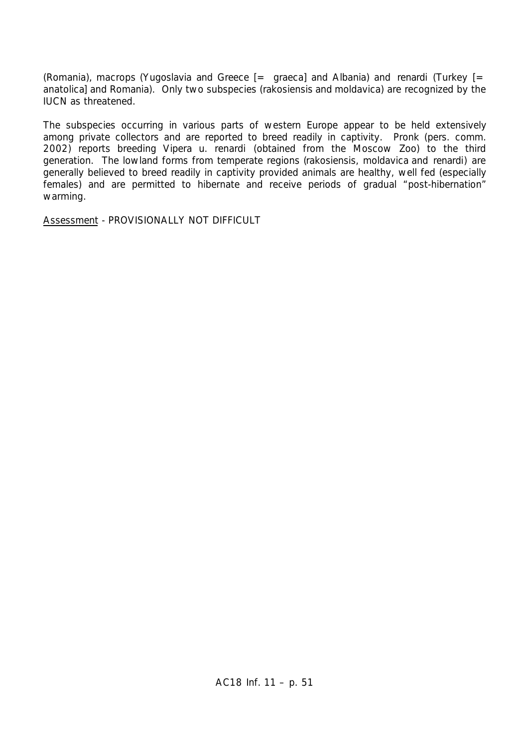(Romania), *macrops* (Yugoslavia and Greece [= *graeca*] and Albania) and *renardi* (Turkey [= *anatolica*] and Romania). Only two subspecies (*rakosiensis* and *moldavica*) are recognized by the IUCN as threatened.

The subspecies occurring in various parts of western Europe appear to be held extensively among private collectors and are reported to breed readily in captivity. Pronk (pers. comm. 2002) reports breeding *Vipera u. renardi* (obtained from the Moscow Zoo) to the third generation. The lowland forms from temperate regions (*rakosiensis, moldavica* and *renardi*) are generally believed to breed readily in captivity provided animals are healthy, well fed (especially females) and are permitted to hibernate and receive periods of gradual "post-hibernation" warming.

Assessment - PROVISIONALLY NOT DIFFICULT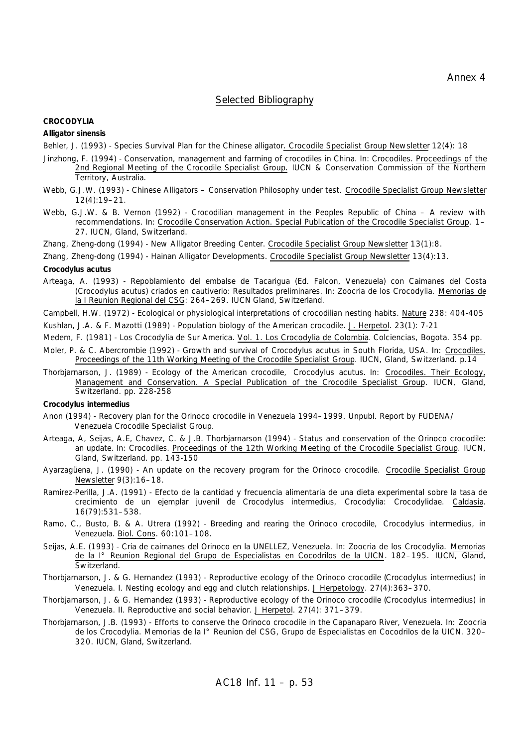#### Selected Bibliography

#### **CROCODYLIA**

*Alligator sinensis*

- Behler, J. (1993) Species Survival Plan for the Chinese alligator. Crocodile Specialist Group Newsletter 12(4): 18
- Jinzhong, F. (1994) Conservation, management and farming of crocodiles in China. In: *Crocodiles.* Proceedings of the 2nd Regional Meeting of the Crocodile Specialist Group. IUCN & Conservation Commission of the Northern Territory, Australia.
- Webb, G.J.W. (1993) Chinese Alligators Conservation Philosophy under test. Crocodile Specialist Group Newsletter 12(4):19–21.
- Webb, G.J.W. & B. Vernon (1992) Crocodilian management in the Peoples Republic of China A review with recommendations. *In:* Crocodile Conservation Action. Special Publication of the Crocodile Specialist Group. 1– 27. IUCN, Gland, Switzerland.
- Zhang, Zheng-dong (1994) New Alligator Breeding Center. Crocodile Specialist Group Newsletter 13(1):8.

Zhang, Zheng-dong (1994) - Hainan Alligator Developments. Crocodile Specialist Group Newsletter 13(4):13.

#### *Crocodylus acutus*

- Arteaga, A. (1993) Repoblamiento del embalse de Tacarigua (Ed. Falcon, Venezuela) con Caimanes del Costa (*Crocodylus acutus*) criados en cautiverio: Resultados preliminares. *In:* Zoocria de los Crocodylia. Memorias de la I Reunion Regional del CSG: 264–269. IUCN Gland, Switzerland.
- Campbell, H.W. (1972) Ecological or physiological interpretations of crocodilian nesting habits. Nature 238: 404-405
- Kushlan, J.A. & F. Mazotti (1989) Population biology of the American crocodile. J. Herpetol*.* 23(1): 7-21
- Medem, F. (1981) *Los Crocodylia de Sur America.* Vol. 1. Los Crocodylia de Colombia*.* Colciencias, Bogota. 354 pp.
- Moler, P. & C. Abercrombie (1992) Growth and survival of *Crocodylus acutus* in South Florida, USA. In: Crocodiles. Proceedings of the 11th Working Meeting of the Crocodile Specialist Group*.* IUCN, Gland, Switzerland. p.14
- Thorbjarnarson, J. (1989) Ecology of the American crocodile, *Crocodylus acutus*. In: Crocodiles. Their Ecology, Management and Conservation. A Special Publication of the Crocodile Specialist Group*.* IUCN, Gland, Switzerland. pp. 228-258

#### *Crocodylus intermedius*

- Anon (1994) Recovery plan for the Orinoco crocodile in Venezuela 1994–1999. Unpubl. Report by FUDENA/ Venezuela Crocodile Specialist Group.
- Arteaga, A, Seijas, A.E, Chavez, C. & J.B. Thorbjarnarson (1994) Status and conservation of the Orinoco crocodile: an update. In: *Crocodiles.* Proceedings of the 12th Working Meeting of the Crocodile Specialist Group*.* IUCN, Gland, Switzerland. pp. 143-150
- Ayarzagüena, J. (1990) An update on the recovery program for the Orinoco crocodile. Crocodile Specialist Group Newsletter 9(3):16–18.
- Ramirez-Perilla, J.A. (1991) Efecto de la cantidad y frecuencia alimentaria de una dieta experimental sobre la tasa de crecimiento de un ejemplar juvenil de *Crocodylus intermedius*, Crocodylia: Crocodylidae. Caldasia. 16(79):531–538.
- Ramo, C., Busto, B. & A. Utrera (1992) Breeding and rearing the Orinoco crocodile, *Crocodylus intermedius*, in Venezuela. Biol. Cons. 60:101–108.
- Seijas, A.E. (1993) Cría de caimanes del Orinoco en la UNELLEZ, Venezuela. *In:* Zoocria de los Crocodylia. Memorias de la I° Reunion Regional del Grupo de Especialistas en Cocodrilos de la UICN. 182–195. IUCN, Gland, Switzerland.
- Thorbjarnarson, J. & G. Hernandez (1993) Reproductive ecology of the Orinoco crocodile (*Crocodylus intermedius*) in Venezuela. I. Nesting ecology and egg and clutch relationships. J Herpetology. 27(4):363-370.
- Thorbjarnarson, J. & G. Hernandez (1993) Reproductive ecology of the Orinoco crocodile (*Crocodylus intermedius*) in Venezuela. II. Reproductive and social behavior. J Herpetol. 27(4): 371–379.
- Thorbjarnarson, J.B. (1993) Efforts to conserve the Orinoco crocodile in the Capanaparo River, Venezuela. *In:* Zoocria de los Crocodylia. Memorias de la I° Reunion del CSG, Grupo de Especialistas en Cocodrilos de la UICN. 320– 320. IUCN, Gland, Switzerland.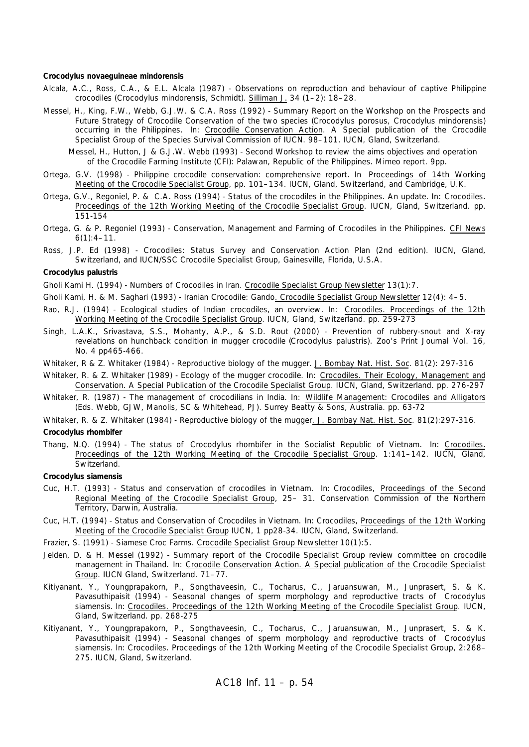#### *Crocodylus novaeguineae mindorensis*

- Alcala, A.C., Ross, C.A., & E.L. Alcala (1987) Observations on reproduction and behaviour of captive Philippine crocodiles (*Crocodylus mindorensis*, Schmidt). Silliman J. 34 (1–2): 18–28.
- Messel, H., King, F.W., Webb, G.J.W. & C.A. Ross (1992) Summary Report on the Workshop on the Prospects and Future Strategy of Crocodile Conservation of the two species (*Crocodylus porosus, Crocodylus mindorensis*) occurring in the Philippines. *In:* Crocodile Conservation Action. A Special publication of the Crocodile Specialist Group of the Species Survival Commission of IUCN. 98–101. IUCN, Gland, Switzerland.

Messel, H., Hutton, J & G.J.W. Webb (1993) - Second Workshop to review the aims objectives and operation of the Crocodile Farming Institute (CFI): Palawan, Republic of the Philippines. Mimeo report. 9pp.

- Ortega, G.V. (1998) Philippine crocodile conservation: comprehensive report. In Proceedings of 14th Working Meeting of the Crocodile Specialist Group, pp. 101–134. IUCN, Gland, Switzerland, and Cambridge, U.K.
- Ortega, G.V., Regoniel, P. & C.A. Ross (1994) Status of the crocodiles in the Philippines. An update. In: *Crocodiles.* Proceedings of the 12th Working Meeting of the Crocodile Specialist Group*.* IUCN, Gland, Switzerland. pp. 151-154
- Ortega, G. & P. Regoniel (1993) Conservation, Management and Farming of Crocodiles in the Philippines. CFI News  $6(1):4-11.$
- Ross, J.P. Ed (1998) Crocodiles: Status Survey and Conservation Action Plan (2nd edition). IUCN, Gland, Switzerland, and IUCN/SSC Crocodile Specialist Group, Gainesville, Florida, U.S.A.

#### *Crocodylus palustris*

Gholi Kami H. (1994) - Numbers of Crocodiles in Iran. Crocodile Specialist Group Newsletter 13(1):7.

Gholi Kami, H. & M. Saghari (1993) - Iranian Crocodile: Gando. Crocodile Specialist Group Newsletter 12(4): 4–5.

- Rao, R.J. (1994) Ecological studies of Indian crocodiles, an overview. In: Crocodiles. Proceedings of the 12th Working Meeting of the Crocodile Specialist Group*.* IUCN, Gland, Switzerland. pp. 259-273
- Singh, L.A.K., Srivastava, S.S., Mohanty, A.P., & S.D. Rout (2000) Prevention of rubbery-snout and X-ray revelations on hunchback condition in mugger crocodile (*Crocodylus palustris*). *Zoo's Print Journal* Vol. 16, No. 4 pp465-466.
- Whitaker, R & Z. Whitaker (1984) Reproductive biology of the mugger. J. Bombay Nat. Hist. Soc. 81(2): 297-316
- Whitaker, R. & Z. Whitaker (1989) Ecology of the mugger crocodile. In: Crocodiles. Their Ecology, Management and Conservation. A Special Publication of the Crocodile Specialist Group*.* IUCN, Gland, Switzerland. pp. 276-297
- Whitaker, R. (1987) The management of crocodilians in India. In: Wildlife Management: Crocodiles and Alligators (Eds. Webb, GJW, Manolis, SC & Whitehead, PJ). Surrey Beatty & Sons, Australia. pp. 63-72

Whitaker, R. & Z. Whitaker (1984) - Reproductive biology of the mugger. J. Bombay Nat. Hist. Soc. 81(2):297-316. *Crocodylus rhombifer*

Thang, N.Q. (1994) - The status of *Crocodylus rhombifer* in the Socialist Republic of Vietnam. *In:* Crocodiles. Proceedings of the 12th Working Meeting of the Crocodile Specialist Group. 1:141–142. IUCN, Gland, Switzerland.

#### *Crocodylus siamensis*

- Cuc, H.T. (1993) Status and conservation of crocodiles in Vietnam. *In:* Crocodiles, Proceedings of the Second Regional Meeting of the Crocodile Specialist Group, 25– 31. Conservation Commission of the Northern Territory, Darwin, Australia.
- Cuc, H.T. (1994) Status and Conservation of Crocodiles in Vietnam. *In:* Crocodiles, Proceedings of the 12th Working Meeting of the Crocodile Specialist Group IUCN, 1 pp28-34. IUCN, Gland, Switzerland.
- Frazier, S. (1991) Siamese Croc Farms. Crocodile Specialist Group Newsletter 10(1):5.
- Jelden, D. & H. Messel (1992) Summary report of the Crocodile Specialist Group review committee on crocodile management in Thailand. *In:* Crocodile Conservation Action. A Special publication of the Crocodile Specialist Group. IUCN Gland, Switzerland. 71–77.
- Kitiyanant, Y., Youngprapakorn, P., Songthaveesin, C., Tocharus, C., Jaruansuwan, M., Junprasert, S. & K. Pavasuthipaisit (1994) - Seasonal changes of sperm morphology and reproductive tracts of *Crocodylus siamensis*. In: Crocodiles. Proceedings of the 12th Working Meeting of the Crocodile Specialist Group*.* IUCN, Gland, Switzerland. pp. 268-275
- Kitiyanant, Y., Youngprapakorn, P., Songthaveesin, C., Tocharus, C., Jaruansuwan, M., Junprasert, S. & K. Pavasuthipaisit (1994) - Seasonal changes of sperm morphology and reproductive tracts of *Crocodylus siamensis*. *In:* Crocodiles. Proceedings of the 12th Working Meeting of the Crocodile Specialist Group, 2:268– 275. IUCN, Gland, Switzerland.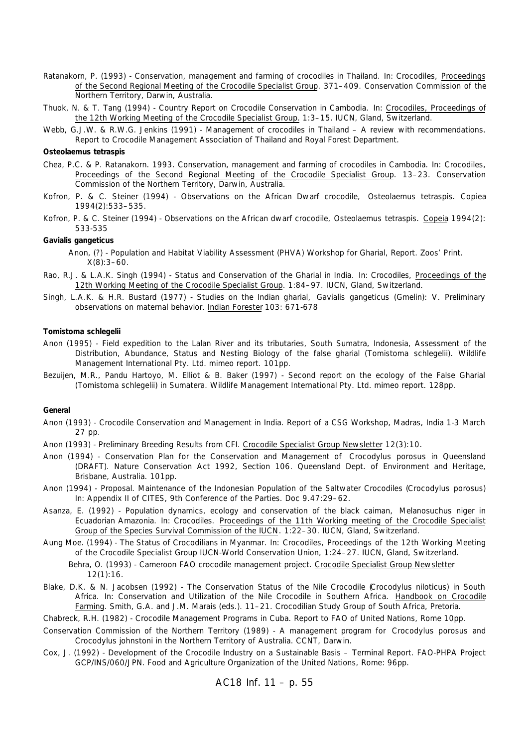- Ratanakorn, P. (1993) Conservation, management and farming of crocodiles in Thailand. *In:* Crocodiles, Proceedings of the Second Regional Meeting of the Crocodile Specialist Group. 371–409. Conservation Commission of the Northern Territory, Darwin, Australia.
- Thuok, N. & T. Tang (1994) Country Report on Crocodile Conservation in Cambodia. *In:* Crocodiles, Proceedings of the 12th Working Meeting of the Crocodile Specialist Group. 1:3-15. IUCN, Gland, Switzerland.
- Webb, G.J.W. & R.W.G. Jenkins (1991) Management of crocodiles in Thailand A review with recommendations. Report to Crocodile Management Association of Thailand and Royal Forest Department.

#### *Osteolaemus tetraspis*

- Chea, P.C. & P. Ratanakorn. 1993. Conservation, management and farming of crocodiles in Cambodia. *In:* Crocodiles, Proceedings of the Second Regional Meeting of the Crocodile Specialist Group. 13–23. Conservation Commission of the Northern Territory, Darwin, Australia.
- Kofron, P. & C. Steiner (1994) Observations on the African Dwarf crocodile, *Osteolaemus tetraspis*. Copiea 1994(2):533–535.
- Kofron, P. & C. Steiner (1994) Observations on the African dwarf crocodile, *Osteolaemus tetraspis*. Copeia 1994(2): 533-535

#### *Gavialis gangeticus*

- Anon, (?) Population and Habitat Viability Assessment (PHVA) Workshop for Gharial, Report. Zoos' Print.  $X(8):3-60.$
- Rao, R.J. & L.A.K. Singh (1994) Status and Conservation of the Gharial in India. *In:* Crocodiles, Proceedings of the 12th Working Meeting of the Crocodile Specialist Group. 1:84–97. IUCN, Gland, Switzerland.
- Singh, L.A.K. & H.R. Bustard (1977) Studies on the Indian gharial, *Gavialis gangeticus* (Gmelin): V. Preliminary observations on maternal behavior. Indian Forester 103: 671-678

#### *Tomistoma schlegelii*

- Anon (1995) Field expedition to the Lalan River and its tributaries, South Sumatra, Indonesia, Assessment of the Distribution, Abundance, Status and Nesting Biology of the false gharial (*Tomistoma schlegelii*). Wildlife Management International Pty. Ltd. mimeo report. 101pp.
- Bezuijen, M.R., Pandu Hartoyo, M. Elliot & B. Baker (1997) Second report on the ecology of the False Gharial (*Tomistoma schlegelii*) in Sumatera. Wildlife Management International Pty. Ltd. mimeo report. 128pp.

#### **General**

- Anon (1993) Crocodile Conservation and Management in India. Report of a CSG Workshop, Madras, India 1-3 March 27 pp.
- Anon (1993) Preliminary Breeding Results from CFI. Crocodile Specialist Group Newsletter 12(3):10.
- Anon (1994) Conservation Plan for the Conservation and Management of *Crocodylus porosus* in Queensland (DRAFT). Nature Conservation Act 1992, Section 106. Queensland Dept. of Environment and Heritage, Brisbane, Australia. 101pp.
- Anon (1994) Proposal. Maintenance of the Indonesian Population of the Saltwater Crocodiles (*Crocodylus porosus*) *In:* Appendix II of CITES, 9th Conference of the Parties. Doc 9.47:29–62.
- Asanza, E. (1992) Population dynamics, ecology and conservation of the black caiman, *Melanosuchus niger* in Ecuadorian Amazonia. *In:* Crocodiles. Proceedings of the 11th Working meeting of the Crocodile Specialist Group of the Species Survival Commission of the IUCN. 1:22–30. IUCN, Gland, Switzerland.
- Aung Moe. (1994) The Status of Crocodilians in Myanmar. *In:* Crocodiles, Proceedings of the 12th Working Meeting of the Crocodile Specialist Group IUCN-World Conservation Union, 1:24–27. IUCN, Gland, Switzerland.
	- Behra, O. (1993) Cameroon FAO crocodile management project. Crocodile Specialist Group Newsletter 12(1):16.
- Blake, D.K. & N. Jacobsen (1992) The Conservation Status of the Nile Crocodile (*Crocodylus niloticus*) in South Africa. *In:* Conservation and Utilization of the Nile Crocodile in Southern Africa. Handbook on Crocodile Farming. Smith, G.A. and J.M. Marais (eds.). 11–21. Crocodilian Study Group of South Africa, Pretoria.

Chabreck, R.H. (1982) - Crocodile Management Programs in Cuba. Report to FAO of United Nations, Rome 10pp.

- Conservation Commission of the Northern Territory (1989) A management program for *Crocodylus porosus* and *Crocodylus johnstoni* in the Northern Territory of Australia. CCNT, Darwin.
- Cox, J. (1992) Development of the Crocodile Industry on a Sustainable Basis Terminal Report. FAO-PHPA Project GCP/INS/060/JPN. Food and Agriculture Organization of the United Nations, Rome: 96pp.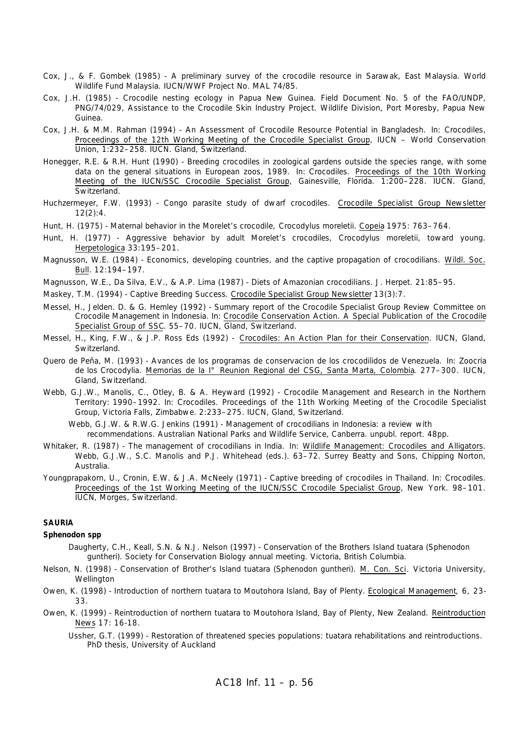- Cox, J., & F. Gombek (1985) A preliminary survey of the crocodile resource in Sarawak, East Malaysia. World Wildlife Fund Malaysia. IUCN/WWF Project No. MAL 74/85.
- Cox, J.H. (1985) Crocodile nesting ecology in Papua New Guinea. Field Document No. 5 of the FAO/UNDP, PNG/74/029, Assistance to the Crocodile Skin Industry Project. Wildlife Division, Port Moresby, Papua New Guinea.
- Cox, J.H. & M.M. Rahman (1994) An Assessment of Crocodile Resource Potential in Bangladesh. *In:* Crocodiles, Proceedings of the 12th Working Meeting of the Crocodile Specialist Group, IUCN – World Conservation Union, 1:232–258. IUCN. Gland, Switzerland.
- Honegger, R.E. & R.H. Hunt (1990) Breeding crocodiles in zoological gardens outside the species range, with some data on the general situations in European zoos, 1989. *In:* Crocodiles. Proceedings of the 10th Working Meeting of the IUCN/SSC Crocodile Specialist Group, Gainesville, Florida. 1:200–228. IUCN. Gland, Switzerland.
- Huchzermeyer, F.W. (1993) Congo parasite study of dwarf crocodiles. Crocodile Specialist Group Newsletter 12(2):4.
- Hunt, H. (1975) Maternal behavior in the Morelet's crocodile, *Crocodylus moreletii*. Copeia 1975: 763–764.
- Hunt, H. (1977) Aggressive behavior by adult Morelet's crocodiles, *Crocodylus moreletii*, toward young. Herpetologica 33:195–201.
- Magnusson, W.E. (1984) Economics, developing countries, and the captive propagation of crocodilians. Wildl. Soc. Bull. 12:194–197.
- Magnusson, W.E., Da Silva, E.V., & A.P. Lima (1987) Diets of Amazonian crocodilians. J. Herpet. 21:85–95.
- Maskey, T.M. (1994) Captive Breeding Success. Crocodile Specialist Group Newsletter 13(3):7.
- Messel, H., Jelden. D. & G. Hemley (1992) Summary report of the Crocodile Specialist Group Review Committee on Crocodile Management in Indonesia. *In:* Crocodile Conservation Action. A Special Publication of the Crocodile Specialist Group of SSC. 55–70. IUCN, Gland, Switzerland.
- Messel, H., King, F.W., & J.P. Ross Eds (1992) Crocodiles: An Action Plan for their Conservation. IUCN, Gland, Switzerland.
- Quero de Peña, M. (1993) Avances de los programas de conservacion de los crocodilidos de Venezuela. *In:* Zoocria de los Crocodylia. Memorias de la I° Reunion Regional del CSG, Santa Marta, Colombia. 277–300. IUCN, Gland, Switzerland.
- Webb, G.J.W., Manolis, C., Otley, B. & A. Heyward (1992) Crocodile Management and Research in the Northern Territory: 1990–1992. *In:* Crocodiles. Proceedings of the 11th Working Meeting of the Crocodile Specialist Group, Victoria Falls, Zimbabwe. 2:233–275. IUCN, Gland, Switzerland.

Webb, G.J.W. & R.W.G. Jenkins (1991) - Management of crocodilians in Indonesia: a review with recommendations. Australian National Parks and Wildlife Service, Canberra. unpubl. report. 48pp.

- Whitaker, R. (1987) The management of crocodilians in India. *In:* Wildlife Management: Crocodiles and Alligators. Webb, G.J.W., S.C. Manolis and P.J. Whitehead (eds.). 63-72. Surrey Beatty and Sons, Chipping Norton, Australia.
- Youngprapakorn, U., Cronin, E.W. & J.A. McNeely (1971) Captive breeding of crocodiles in Thailand. *In:* Crocodiles. Proceedings of the 1st Working Meeting of the IUCN/SSC Crocodile Specialist Group, New York. 98–101. IUCN, Morges, Switzerland.

#### **SAURIA**

#### **Sphenodon spp**

- Daugherty, C.H., Keall, S.N. & N.J. Nelson (1997) Conservation of the Brothers Island tuatara (Sphenodon guntheri). Society for Conservation Biology annual meeting. Victoria, British Columbia.
- Nelson, N. (1998) Conservation of Brother's Island tuatara (Sphenodon guntheri). M. Con. Sci. Victoria University, Wellington
- Owen, K. (1998) Introduction of northern tuatara to Moutohora Island, Bay of Plenty. Ecological Management, 6, 23- 33.
- Owen, K. (1999) Reintroduction of northern tuatara to Moutohora Island, Bay of Plenty, New Zealand. Reintroduction News 17: 16-18.
	- Ussher, G.T. (1999) Restoration of threatened species populations: tuatara rehabilitations and reintroductions. PhD thesis, University of Auckland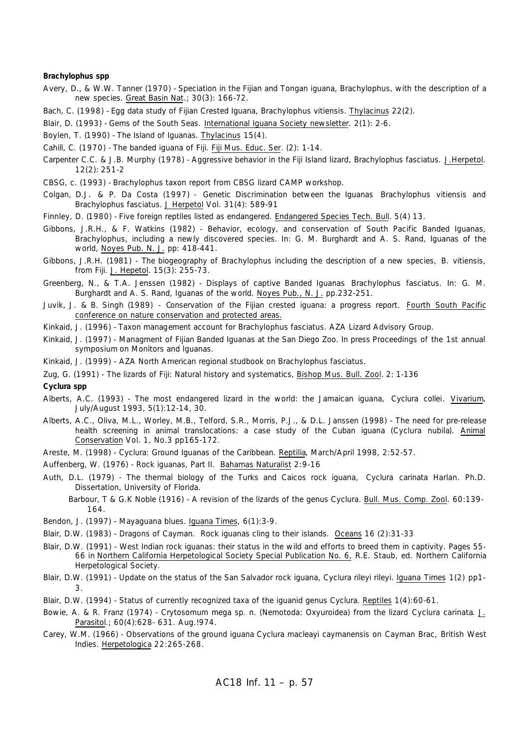#### **Brachylophus spp**

Avery, D., & W.W. Tanner (1970) - Speciation in the Fijian and Tongan iguana, *Brachylophus*, with the description of a new species. Great Basin Nat.; 30(3): 166-72.

Bach, C. (1998) - Egg data study of Fijian Crested Iguana, *Brachylophus vitiensis*. Thylacinus 22(2).

- Blair, D. (1993) Gems of the South Seas. International Iguana Society newsletter. 2(1): 2-6.
- Boylen, T. (1990) The Island of Iguanas. Thylacinus 15(4).
- Cahill, C. (1970) The banded iguana of Fiji. Fiji Mus. Educ. Ser. (2): 1-14.
- Carpenter C.C. & J.B. Murphy (1978) Aggressive behavior in the Fiji Island lizard, *Brachylophus fasciatus*. J.Herpetol. 12(2): 251-2
- CBSG, c. (1993) *Brachylophus* taxon report from CBSG lizard CAMP workshop.
- Colgan, D.J. & P. Da Costa (1997) Genetic Discrimination between the Iguanas *Brachylophus vitiensis* and *Brachylophus fasciatus*. J Herpetol Vol. 31(4): 589-91
- Finnley, D. (1980) Five foreign reptiles listed as endangered. Endangered Species Tech. Bull. 5(4) 13.
- Gibbons, J.R.H., & F. Watkins (1982) Behavior, ecology, and conservation of South Pacific Banded Iguanas, *Brachylophus*, including a newly discovered species. In: G. M. Burghardt and A. S. Rand, Iguanas of the world, Noyes Pub. N. J. pp: 418-441.
- Gibbons, J.R.H. (1981) The biogeography of *Brachylophus* including the description of a new species, *B. vitiensis*, from Fiji. J. Hepetol. 15(3): 255-73.
- Greenberg, N., & T.A. Jenssen (1982) Displays of captive Banded Iguanas *Brachylophus fasciatus*. In: G. M. Burghardt and A. S. Rand, Iguanas of the world. Noyes Pub., N. J. pp.232-251.
- Juvik, J. & B. Singh (1989) Conservation of the Fijian crested iguana: a progress report. Fourth South Pacific conference on nature conservation and protected areas.
- Kinkaid, J. (1996) Taxon management account for *Brachylophus fasciatus.* AZA Lizard Advisory Group.
- Kinkaid, J. (1997) Managment of Fijian Banded Iguanas at the San Diego Zoo. In press Proceedings of the 1st annual symposium on Monitors and Iguanas.
- Kinkaid, J. (1999) AZA North American regional studbook on *Brachylophus fasciatus.*
- Zug, G. (1991) The lizards of Fiji: Natural history and systematics, Bishop Mus. Bull. Zool. 2: 1-136

**Cyclura spp**

- Alberts, A.C. (1993) The most endangered lizard in the world: the Jamaican iguana, *Cyclura collei*. Vivarium, July/August 1993, 5(1):12-14, 30.
- Alberts, A.C., Oliva, M.L., Worley, M.B., Telford, S.R., Morris, P.J., & D.L. Janssen (1998) The need for pre-release health screening in animal translocations: a case study of the Cuban iguana (*Cyclura nubila*). Animal Conservation Vol. 1, No.3 pp165-172.

Areste, M. (1998) - *Cyclura*: Ground Iguanas of the Caribbean. Reptilia, March/April 1998, 2:52-57.

- Auffenberg, W. (1976) Rock iguanas, Part II. Bahamas Naturalist 2:9-16
- Auth, D.L. (1979) The thermal biology of the Turks and Caicos rock iguana, *Cyclura carinata* Harlan. Ph.D. Dissertation, University of Florida.
	- Barbour, T & G.K Noble (1916) A revision of the lizards of the genus Cyclura. Bull. Mus. Comp. Zool. 60:139- 164.
- Bendon, J. (1997) Mayaguana blues. Iguana Times, 6(1):3-9.
- Blair, D.W. (1983) Dragons of Cayman. Rock iguanas cling to their islands. Oceans 16 (2):31-33
- Blair, D.W. (1991) West Indian rock iguanas: their status in the wild and efforts to breed them in captivity. Pages 55- 66 in Northern California Herpetological Society Special Publication No. 6, R.E. Staub, ed. Northern California Herpetological Society.
- Blair, D.W. (1991) Update on the status of the San Salvador rock iguana, *Cyclura rileyi rileyi.* Iguana Times 1(2) pp1- 3.
- Blair, D.W. (1994) Status of currently recognized taxa of the iguanid genus *Cyclura*. Reptiles 1(4):60-61.
- Bowie, A. & R. Franz (1974) Crytosomum mega sp. n. (Nemotoda: Oxyuroidea) from the lizard *Cyclura carinata*. J. Parasitol.; 60(4):628- 631. Aug. ! 974.
- Carey, W.M. (1966) Observations of the ground iguana *Cyclura macleayi caymanensis* on Cayman Brac, British West Indies. Herpetologica 22:265-268.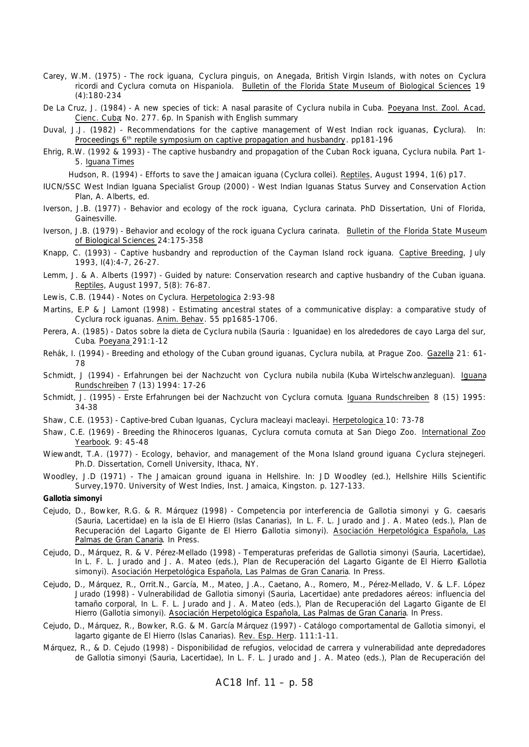- Carey, W.M. (1975) The rock iguana, *Cyclura pinguis*, on Anegada, British Virgin Islands, with notes on *Cyclura ricordi* and *Cyclura cornuta* on Hispaniola. Bulletin of the Florida State Museum of Biological Sciences 19 (4):180-234
- De La Cruz, J. (1984) A new species of tick: A nasal parasite of *Cyclura nubila* in Cuba. Poeyana Inst. Zool. Acad. Cienc. Cuba; No. 277. 6p. In Spanish with English summary
- Duval, J.J. (1982) Recommendations for the captive management of West Indian rock iguanas, (*Cyclura*). In: Proceedings 6th reptile symposium on captive propagation and husbandry*.* pp181-196
- Ehrig, R.W. (1992 & 1993) The captive husbandry and propagation of the Cuban Rock iguana, *Cyclura nubila*. Part 1- 5. Iguana Times

Hudson, R. (1994) - Efforts to save the Jamaican iguana (*Cyclura collei*). Reptiles, August 1994, 1(6) p17.

- IUCN/SSC West Indian Iguana Specialist Group (2000) West Indian Iguanas Status Survey and Conservation Action Plan, A. Alberts, ed.
- Iverson, J.B. (1977) Behavior and ecology of the rock iguana, *Cyclura carinata*. PhD Dissertation, Uni of Florida, Gainesville.
- Iverson, J.B. (1979) Behavior and ecology of the rock iguana *Cyclura carinata.* Bulletin of the Florida State Museum of Biological Sciences 24:175-358
- Knapp, C. (1993) Captive husbandry and reproduction of the Cayman Island rock iguana. Captive Breeding, July 1993, I(4):4-7, 26-27.
- Lemm, J. & A. Alberts (1997) Guided by nature: Conservation research and captive husbandry of the Cuban iguana. Reptiles, August 1997, 5(8): 76-87.
- Lewis, C.B. (1944) Notes on *Cyclura*. Herpetologica 2:93-98
- Martins, E.P & J Lamont (1998) Estimating ancestral states of a communicative display: a comparative study of *Cyclura* rock iguanas. Anim. Behav. 55 pp1685-1706.
- Perera, A. (1985) Datos sobre la dieta de *Cyclura nubila* (Sauria : Iguanidae) en los alrededores de cayo Larga del sur, Cuba*.* Poeyana 291:1-12
- Rehák, I. (1994) Breeding and ethology of the Cuban ground iguanas, *Cyclura nubila*, at Prague Zoo. Gazella 21: 61- 78
- Schmidt, J (1994) Erfahrungen bei der Nachzucht von *Cyclura nubila nubila* (Kuba Wirtelschwanzleguan). Iguana Rundschreiben 7 (13) 1994: 17-26
- Schmidt, J. (1995) Erste Erfahrungen bei der Nachzucht von *Cyclura cornuta*. Iguana Rundschreiben 8 (15) 1995: 34-38
- Shaw, C.E. (1953) Captive-bred Cuban Iguanas, *Cyclura macleayi macleayi*. Herpetologica 10: 73-78
- Shaw, C.E. (1969) Breeding the Rhinoceros Iguanas, *Cyclura cornuta cornuta* at San Diego Zoo. International Zoo Yearbook. 9: 45-48
- Wiewandt, T.A. (1977) Ecology, behavior, and management of the Mona Island ground iguana *Cyclura stejnegeri.* Ph.D. Dissertation, Cornell University, Ithaca, NY.
- Woodley, J.D (1971) The Jamaican ground iguana in Hellshire. In: JD Woodley (ed.), Hellshire Hills Scientific Survey,1970. University of West Indies, Inst. Jamaica, Kingston. p. 127-133.

*Gallotia simonyi*

- Cejudo, D., Bowker, R.G. & R. Márquez (1998) Competencia por interferencia de *Gallotia simonyi* y *G. caesaris* (Sauria, Lacertidae) en la isla de El Hierro (Islas Canarias), *In* L. F. L. Jurado and J. A. Mateo (eds.), Plan de Recuperación del Lagarto Gigante de El Hierro (*Gallotia simonyi*). Asociación Herpetológica Española, Las Palmas de Gran Canaria. In Press.
- Cejudo, D., Márquez, R. & V. Pérez-Mellado (1998) Temperaturas preferidas de *Gallotia simonyi* (Sauria, Lacertidae), *In* L. F. L. Jurado and J. A. Mateo (eds.), Plan de Recuperación del Lagarto Gigante de El Hierro (*Gallotia simonyi*). Asociación Herpetológica Española, Las Palmas de Gran Canaria. In Press.
- Cejudo, D., Márquez, R., Orrit.N., García, M., Mateo, J.A., Caetano, A., Romero, M., Pérez-Mellado, V. & L.F. López Jurado (1998) - Vulnerabilidad de *Gallotia simonyi* (Sauria, Lacertidae) ante predadores aéreos: influencia del tamaño corporal, *In* L. F. L. Jurado and J. A. Mateo (eds.), Plan de Recuperación del Lagarto Gigante de El Hierro (*Gallotia simonyi*). Asociación Herpetológica Española, Las Palmas de Gran Canaria. In Press.
- Cejudo, D., Márquez, R., Bowker, R.G. & M. García Márquez (1997) Catálogo comportamental de *Gallotia simonyi*, el lagarto gigante de El Hierro (Islas Canarias). Rev. Esp. Herp. 111:1-11.
- Márquez, R., & D. Cejudo (1998) Disponibilidad de refugios, velocidad de carrera y vulnerabilidad ante depredadores de *Gallotia simonyi* (Sauria, Lacertidae), *In* L. F. L. Jurado and J. A. Mateo (eds.), Plan de Recuperación del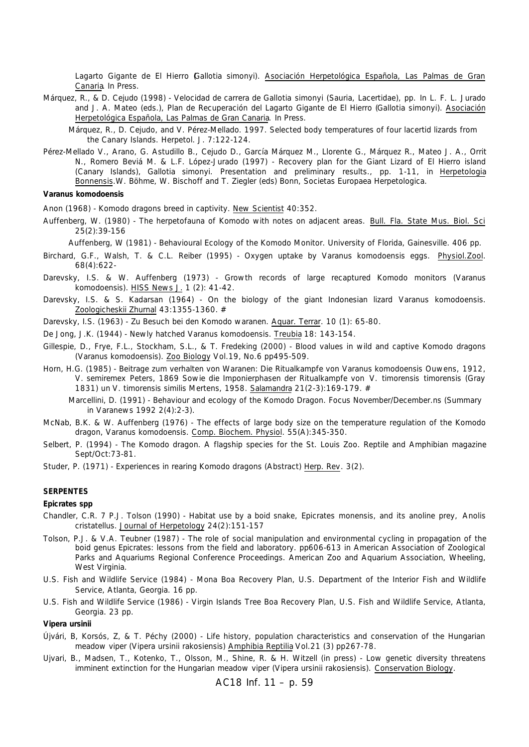Lagarto Gigante de El Hierro (Gallotia simonyi). Asociación Herpetológica Española, Las Palmas de Gran Canaria. In Press.

Márquez, R., & D. Cejudo (1998) - Velocidad de carrera de *Gallotia simonyi* (Sauria, Lacertidae), pp. *In* L. F. L. Jurado and J. A. Mateo (eds.), Plan de Recuperación del Lagarto Gigante de El Hierro (*Gallotia simonyi*). Asociación Herpetológica Española, Las Palmas de Gran Canaria. In Press.

Márquez, R., D. Cejudo, and V. Pérez-Mellado. 1997. Selected body temperatures of four lacertid lizards from the Canary Islands. Herpetol. J. 7:122-124.

Pérez-Mellado V., Arano, G. Astudillo B., Cejudo D., García Márquez M., Llorente G., Márquez R., Mateo J. A., Orrit N., Romero Beviá M. & L.F. López-Jurado (1997) - Recovery plan for the Giant Lizard of El Hierro island (Canary Islands), *Gallotia simonyi*. Presentation and preliminary results., pp. 1-11, in Herpetologia Bonnensis.W. Böhme, W. Bischoff and T. Ziegler (eds) Bonn, Societas Europaea Herpetologica.

#### *Varanus komodoensis*

Anon (1968) - Komodo dragons breed in captivity. New Scientist 40:352.

Auffenberg, W. (1980) - The herpetofauna of Komodo with notes on adjacent areas. Bull. Fla. State Mus. Biol. Sci 25(2):39-156

Auffenberg, W (1981) - Behavioural Ecology of the Komodo Monitor. University of Florida, Gainesville. 406 pp.

- Birchard, G.F., Walsh, T. & C.L. Reiber (1995) Oxygen uptake by Varanus komodoensis eggs. Physiol.Zool. 68(4):622-
- Darevsky, I.S. & W. Auffenberg (1973) Growth records of large recaptured Komodo monitors (*Varanus komodoensis*). HISS News J. 1 (2): 41-42.
- Darevsky, I.S. & S. Kadarsan (1964) On the biology of the giant Indonesian lizard *Varanus komodoensis*. Zoologicheskii Zhurnal 43:1355-1360. #
- Darevsky, I.S. (1963) Zu Besuch bei den Komodo waranen. Aquar. Terrar. 10 (1): 65-80.
- De Jong, J.K. (1944) Newly hatched *Varanus komodoensis*. Treubia 18: 143-154.
- Gillespie, D., Frye, F.L., Stockham, S.L., & T. Fredeking (2000) Blood values in wild and captive Komodo dragons (*Varanus komodoensis*). Zoo Biology Vol.19, No.6 pp495-509.
- Horn, H.G. (1985) Beitrage zum verhalten von Waranen: Die Ritualkampfe von *Varanus komodoensis* Ouwens, 1912, *V. semiremex* Peters, 1869 Sowie die Imponierphasen der Ritualkampfe von *V. timorensis timorensis* (Gray 1831) un *V. timorensis similis* Mertens, 1958. Salamandra 21(2-3):169-179. #
	- Marcellini, D. (1991) Behaviour and ecology of the Komodo Dragon. Focus November/December.ns (Summary in Varanews 1992 2(4):2-3).
- McNab, B.K. & W. Auffenberg (1976) The effects of large body size on the temperature regulation of the Komodo dragon, *Varanus komodoensis*. Comp. Biochem. Physiol. 55(A):345-350.
- Selbert, P. (1994) The Komodo dragon. A flagship species for the St. Louis Zoo. Reptile and Amphibian magazine Sept/Oct:73-81.
- Studer, P. (1971) Experiences in rearing Komodo dragons (Abstract) Herp. Rev. 3(2).

#### **SERPENTES**

#### **Epicrates spp**

- Chandler, C.R. 7 P.J. Tolson (1990) Habitat use by a boid snake, *Epicrates monensis*, and its anoline prey, *Anolis cristatellus*. Journal of Herpetology 24(2):151-157
- Tolson, P.J. & V.A. Teubner (1987) The role of social manipulation and environmental cycling in propagation of the boid genus *Epicrates*: lessons from the field and laboratory. pp606-613 in American Association of Zoological Parks and Aquariums Regional Conference Proceedings. American Zoo and Aquarium Association, Wheeling, West Virginia.
- U.S. Fish and Wildlife Service (1984) Mona Boa Recovery Plan, U.S. Department of the Interior Fish and Wildlife Service, Atlanta, Georgia. 16 pp.
- U.S. Fish and Wildlife Service (1986) Virgin Islands Tree Boa Recovery Plan, U.S. Fish and Wildlife Service, Atlanta, Georgia. 23 pp.

#### *Vipera ursinii*

- Újvári, B, Korsós, Z, & T. Péchy (2000) Life history, population characteristics and conservation of the Hungarian meadow viper (*Vipera ursinii rakosiensis)* Amphibia Reptilia Vol.21 (3) pp267-78.
- Ujvari, B., Madsen, T., Kotenko, T., Olsson, M., Shine, R. & H. Witzell (in press) Low genetic diversity threatens imminent extinction for the Hungarian meadow viper (*Vipera ursinii rakosiensis*). Conservation Biology.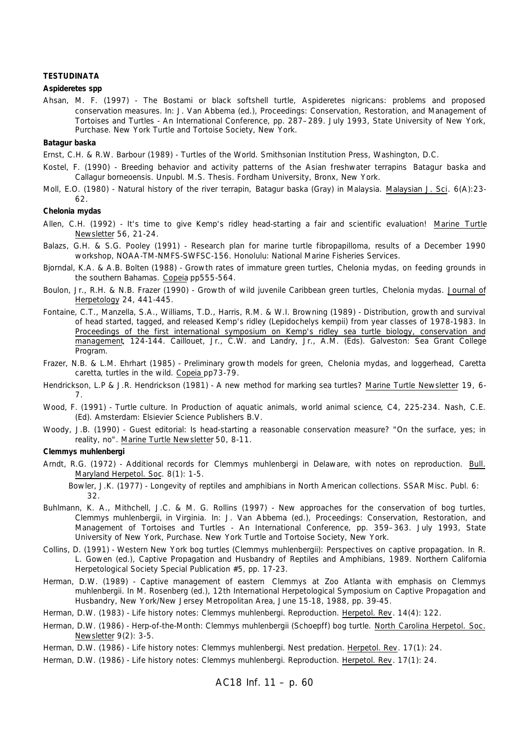#### **TESTUDINATA**

#### **Aspideretes spp**

Ahsan, M. F. (1997) - The Bostami or black softshell turtle, *Aspideretes nigricans*: problems and proposed conservation measures. *In*: J. Van Abbema (ed.), Proceedings: Conservation, Restoration, and Management of Tortoises and Turtles - An International Conference, pp. 287–289. July 1993, State University of New York, Purchase. New York Turtle and Tortoise Society, New York.

#### *Batagur baska*

Ernst, C.H. & R.W. Barbour (1989) - Turtles of the World. Smithsonian Institution Press, Washington, D.C.

- Kostel, F. (1990) Breeding behavior and activity patterns of the Asian freshwater terrapins *Batagur baska* and *Callagur borneoensis*. Unpubl. M.S. Thesis. Fordham University, Bronx, New York.
- Moll, E.O. (1980) Natural history of the river terrapin, *Batagur baska* (Gray) in Malaysia. Malaysian J. Sci. 6(A):23- 62.

#### *Chelonia mydas*

- Allen, C.H. (1992) It's time to give Kemp's ridley head-starting a fair and scientific evaluation! Marine Turtle Newsletter 56, 21-24.
- Balazs, G.H. & S.G. Pooley (1991) Research plan for marine turtle fibropapilloma, results of a December 1990 workshop, NOAA-TM-NMFS-SWFSC-156. Honolulu: National Marine Fisheries Services.
- Bjorndal, K.A. & A.B. Bolten (1988) Growth rates of immature green turtles, *Chelonia mydas*, on feeding grounds in the southern Bahamas. Copeia pp555-564.
- Boulon, Jr., R.H. & N.B. Frazer (1990) Growth of wild juvenile Caribbean green turtles, *Chelonia mydas.* Journal of Herpetology 24, 441-445.
- Fontaine, C.T., Manzella, S.A., Williams, T.D., Harris, R.M. & W.I. Browning (1989) Distribution, growth and survival of head started, tagged, and released Kemp's ridley *(Lepidochelys kempii)* from year classes of 1978-1983. In Proceedings of the first international symposium on Kemp's ridley sea turtle biology, conservation and management, 124-144. Caillouet, Jr., C.W. and Landry, Jr., A.M. (Eds). Galveston: Sea Grant College Program.
- Frazer, N.B. & L.M. Ehrhart (1985) Preliminary growth models for green, *Chelonia mydas*, and loggerhead, *Caretta caretta*, turtles in the wild. Copeia pp73-79.
- Hendrickson, L.P & J.R. Hendrickson (1981) A new method for marking sea turtles? Marine Turtle Newsletter 19, 6-7.
- Wood, F. (1991) Turtle culture. In *Production of aquatic animals, world animal science*, C4, 225-234. Nash, C.E. (Ed). Amsterdam: Elsievier Science Publishers B.V.
- Woody, J.B. (1990) Guest editorial: Is head-starting a reasonable conservation measure? "On the surface, yes; in reality, no". Marine Turtle Newsletter 50, 8-11.

#### *Clemmys muhlenbergi*

Arndt, R.G. (1972) - Additional records for *Clemmys muhlenbergi* in Delaware, with notes on reproduction. Bull. Maryland Herpetol. Soc. 8(1): 1-5.

Bowler, J.K. (1977) - Longevity of reptiles and amphibians in North American collections. SSAR Misc. Publ. 6: 32.

- Buhlmann, K. A., Mithchell, J.C. & M. G. Rollins (1997) New approaches for the conservation of bog turtles, *Clemmys muhlenbergii*, in Virginia. *In*: J. Van Abbema (ed.), Proceedings: Conservation, Restoration, and Management of Tortoises and Turtles - An International Conference, pp. 359-363. July 1993, State University of New York, Purchase. New York Turtle and Tortoise Society, New York.
- Collins, D. (1991) Western New York bog turtles (*Clemmys muhlenbergii*): Perspectives on captive propagation. In R. L. Gowen (ed.), Captive Propagation and Husbandry of Reptiles and Amphibians, 1989. Northern California Herpetological Society Special Publication #5, pp. 17-23.
- Herman, D.W. (1989) Captive management of eastern *Clemmys* at Zoo Atlanta with emphasis on *Clemmys muhlenbergii*. In M. Rosenberg (ed.), 12th International Herpetological Symposium on Captive Propagation and Husbandry, New York/New Jersey Metropolitan Area, June 15-18, 1988, pp. 39-45.
- Herman, D.W. (1983) Life history notes: *Clemmys muhlenbergi*. Reproduction. Herpetol. Rev. 14(4): 122.
- Herman, D.W. (1986) Herp-of-the-Month: *Clemmys muhlenbergii* (Schoepff) bog turtle. North Carolina Herpetol. Soc. Newsletter 9(2): 3-5.

Herman, D.W. (1986) - Life history notes: *Clemmys muhlenbergi*. Nest predation. Herpetol. Rev. 17(1): 24.

Herman, D.W. (1986) - Life history notes: *Clemmys muhlenbergi*. Reproduction. Herpetol. Rev. 17(1): 24.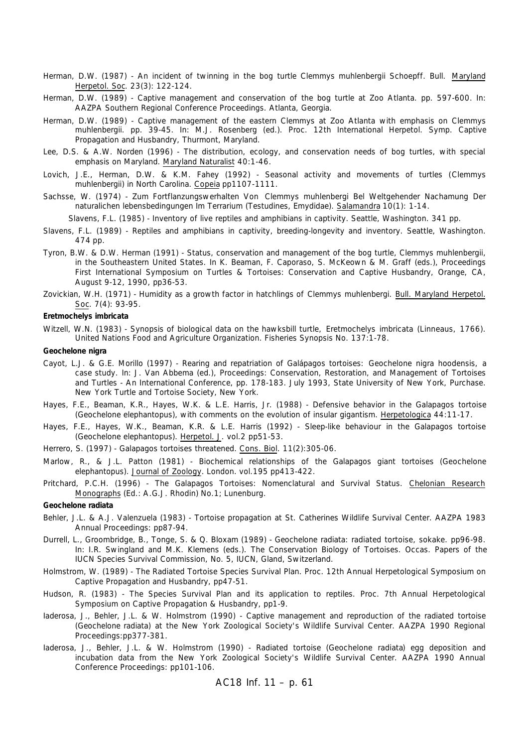- Herman, D.W. (1987) An incident of twinning in the bog turtle Clemmys muhlenbergii Schoepff. Bull. Maryland Herpetol. Soc. 23(3): 122-124.
- Herman, D.W. (1989) Captive management and conservation of the bog turtle at Zoo Atlanta. pp. 597-600. In: AAZPA Southern Regional Conference Proceedings. Atlanta, Georgia.
- Herman, D.W. (1989) Captive management of the eastern Clemmys at Zoo Atlanta with emphasis on Clemmys muhlenbergii. pp. 39-45. In: M.J. Rosenberg (ed.). Proc. 12th International Herpetol. Symp. Captive Propagation and Husbandry, Thurmont, Maryland.
- Lee, D.S. & A.W. Norden (1996) The distribution, ecology, and conservation needs of bog turtles, with special emphasis on Maryland. Maryland Naturalist 40:1-46.
- Lovich, J.E., Herman, D.W. & K.M. Fahey (1992) Seasonal activity and movements of turtles (*Clemmys muhlenbergii*) in North Carolina. Copeia pp1107-1111.
- Sachsse, W. (1974) Zum Fortflanzungswerhalten Von *Clemmys muhlenbergi* Bel Weltgehender Nachamung Der naturalichen lebensbedingungen Im Terrarium (Testudines, Emydidae). Salamandra 10(1): 1-14.

Slavens, F.L. (1985) - Inventory of live reptiles and amphibians in captivity. Seattle, Washington. 341 pp.

- Slavens, F.L. (1989) Reptiles and amphibians in captivity, breeding-longevity and inventory. Seattle, Washington. 474 pp.
- Tyron, B.W. & D.W. Herman (1991) Status, conservation and management of the bog turtle, Clemmys muhlenbergii, in the Southeastern United States. In K. Beaman, F. Caporaso, S. McKeown & M. Graff (eds.), Proceedings First International Symposium on Turtles & Tortoises: Conservation and Captive Husbandry, Orange, CA, August 9-12, 1990, pp36-53.
- Zovickian, W.H. (1971) Humidity as a growth factor in hatchlings of *Clemmys muhlenbergi.* Bull. Maryland Herpetol. Soc. 7(4): 93-95.

#### *Eretmochelys imbricata*

Witzell, W.N. (1983) - Synopsis of biological data on the hawksbill turtle, *Eretmochelys imbricata* (Linneaus, 1766). United Nations Food and Agriculture Organization. Fisheries Synopsis No. 137:1-78.

#### *Geochelone nigra*

- Cayot, L.J. & G.E. Morillo (1997) Rearing and repatriation of Galápagos tortoises: *Geochelone nigra hoodensis*, a case study. *In*: J. Van Abbema (ed.), Proceedings: Conservation, Restoration, and Management of Tortoises and Turtles - An International Conference, pp. 178-183. July 1993, State University of New York, Purchase. New York Turtle and Tortoise Society, New York.
- Hayes, F.E., Beaman, K.R., Hayes, W.K. & L.E. Harris, Jr. (1988) Defensive behavior in the Galapagos tortoise (*Geochelone elephantopus*), with comments on the evolution of insular gigantism. Herpetologica 44:11-17.
- Hayes, F.E., Hayes, W.K., Beaman, K.R. & L.E. Harris (1992) Sleep-like behaviour in the Galapagos tortoise (*Geochelone elephantopus*). Herpetol. J. vol.2 pp51-53.
- Herrero, S. (1997) Galapagos tortoises threatened. Cons. Biol. 11(2):305-06.
- Marlow, R., & J.L. Patton (1981) Biochemical relationships of the Galapagos giant tortoises (*Geochelone elephantopus*). Journal of Zoology. London. vol.195 pp413-422.
- Pritchard, P.C.H. (1996) The Galapagos Tortoises: Nomenclatural and Survival Status. Chelonian Research Monographs (Ed.: A.G.J. Rhodin) No.1; Lunenburg.

#### *Geochelone radiata*

- Behler, J.L. & A.J. Valenzuela (1983) Tortoise propagation at St. Catherines Wildlife Survival Center. AAZPA 1983 Annual Proceedings: pp87-94.
- Durrell, L., Groombridge, B., Tonge, S. & Q. Bloxam (1989) *Geochelone radiata*: radiated tortoise, sokake. pp96-98. In: I.R. Swingland and M.K. Klemens (eds.). The Conservation Biology of Tortoises. Occas. Papers of the IUCN Species Survival Commission, No. 5, IUCN, Gland, Switzerland.
- Holmstrom, W. (1989) The Radiated Tortoise Species Survival Plan. Proc. 12th Annual Herpetological Symposium on Captive Propagation and Husbandry, pp47-51.
- Hudson, R. (1983) The Species Survival Plan and its application to reptiles. Proc. 7th Annual Herpetological Symposium on Captive Propagation & Husbandry, pp1-9.
- Iaderosa, J., Behler, J.L. & W. Holmstrom (1990) Captive management and reproduction of the radiated tortoise (*Geochelone radiata*) at the New York Zoological Society's Wildlife Survival Center. AAZPA 1990 Regional Proceedings:pp377-381.
- Iaderosa, J., Behler, J.L. & W. Holmstrom (1990) Radiated tortoise (*Geochelone radiata*) egg deposition and incubation data from the New York Zoological Society's Wildlife Survival Center. AAZPA 1990 Annual Conference Proceedings: pp101-106.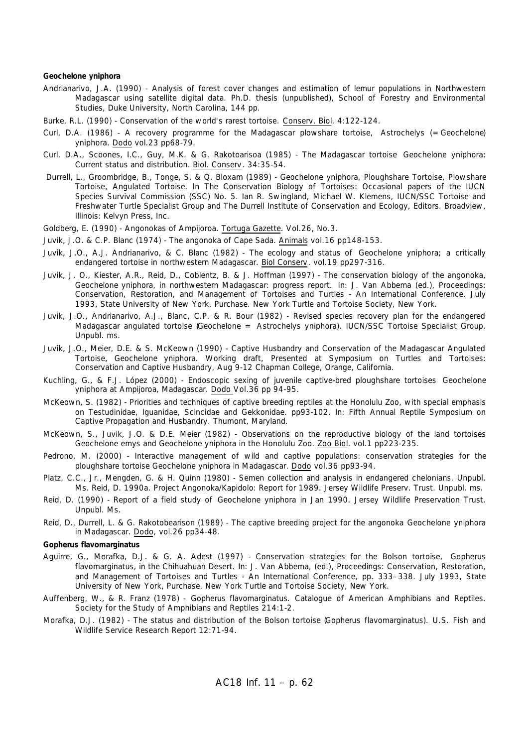#### *Geochelone yniphora*

- Andrianarivo, J.A. (1990) Analysis of forest cover changes and estimation of lemur populations in Northwestern Madagascar using satellite digital data. Ph.D. thesis (unpublished), School of Forestry and Environmental Studies, Duke University, North Carolina, 144 pp.
- Burke, R.L. (1990) Conservation of the world's rarest tortoise. Conserv. Biol. 4:122-124.
- Curl, D.A. (1986) A recovery programme for the Madagascar plowshare tortoise, *Astrochelys* (=*Geochelone*) *yniphora*. Dodo vol.23 pp68-79.
- Curl, D.A., Scoones, I.C., Guy, M.K. & G. Rakotoarisoa (1985) The Madagascar tortoise *Geochelone yniphora*: Current status and distribution. Biol. Conserv. 34:35-54.
- Durrell, L., Groombridge, B., Tonge, S. & Q. Bloxam (1989) *Geochelone yniphora*, Ploughshare Tortoise, Plowshare Tortoise, Angulated Tortoise. In The Conservation Biology of Tortoises: Occasional papers of the IUCN Species Survival Commission (SSC) No. 5. Ian R. Swingland, Michael W. Klemens, IUCN/SSC Tortoise and Freshwater Turtle Specialist Group and The Durrell Institute of Conservation and Ecology, Editors. Broadview, Illinois: Kelvyn Press, Inc.
- Goldberg, E. (1990) Angonokas of Ampijoroa. Tortuga Gazette. Vol.26, No.3.
- Juvik, J.O. & C.P. Blanc (1974) The angonoka of Cape Sada. Animals vol.16 pp148-153.
- Juvik, J.O., A.J. Andrianarivo, & C. Blanc (1982) The ecology and status of *Geochelone yniphora*; a critically endangered tortoise in northwestern Madagascar. Biol Conserv. vol.19 pp297-316.
- Juvik, J. O., Kiester, A.R., Reid, D., Coblentz, B. & J. Hoffman (1997) The conservation biology of the angonoka, *Geochelone yniphora*, in northwestern Madagascar: progress report. *In*: J. Van Abbema (ed.), Proceedings: Conservation, Restoration, and Management of Tortoises and Turtles - An International Conference. July 1993, State University of New York, Purchase. New York Turtle and Tortoise Society, New York.
- Juvik, J.O., Andrianarivo, A.J., Blanc, C.P. & R. Bour (1982) Revised species recovery plan for the endangered Madagascar angulated tortoise (*Geochelone* = *Astrochelys yniphora*). IUCN/SSC Tortoise Specialist Group. Unpubl. ms.
- Juvik, J.O., Meier, D.E. & S. McKeown (1990) Captive Husbandry and Conservation of the Madagascar Angulated Tortoise, *Geochelone yniphora*. Working draft, Presented at Symposium on Turtles and Tortoises: Conservation and Captive Husbandry, Aug 9-12 Chapman College, Orange, California.
- Kuchling, G., & F.J. López (2000) Endoscopic sexing of juvenile captive-bred ploughshare tortoises *Geochelone yniphora* at Ampijoroa, Madagascar. Dodo Vol.36 pp 94-95.
- McKeown, S. (1982) Priorities and techniques of captive breeding reptiles at the Honolulu Zoo, with special emphasis on Testudinidae, Iguanidae, Scincidae and Gekkonidae. pp93-102. In: Fifth Annual Reptile Symposium on Captive Propagation and Husbandry. Thumont, Maryland.
- McKeown, S., Juvik, J.O. & D.E. Meier (1982) Observations on the reproductive biology of the land tortoises *Geochelone emys* and *Geochelone yniphora* in the Honolulu Zoo. Zoo Biol. vol.1 pp223-235.
- Pedrono, M. (2000) Interactive management of wild and captive populations: conservation strategies for the ploughshare tortoise *Geochelone yniphora* in Madagascar. Dodo vol.36 pp93-94.
- Platz, C.C., Jr., Mengden, G. & H. Quinn (1980) Semen collection and analysis in endangered chelonians. Unpubl. Ms. Reid, D. 1990a. Project Angonoka/Kapidolo: Report for 1989. Jersey Wildlife Preserv. Trust. Unpubl. ms.
- Reid, D. (1990) Report of a field study of *Geochelone yniphora* in Jan 1990. Jersey Wildlife Preservation Trust. Unpubl. Ms.
- Reid, D., Durrell, L. & G. Rakotobearison (1989) The captive breeding project for the angonoka *Geochelone yniphora* in Madagascar. Dodo, vol.26 pp34-48.

#### *Gopherus flavomarginatus*

- Aguirre, G., Morafka, D.J. & G. A. Adest (1997) Conservation strategies for the Bolson tortoise, *Gopherus flavomarginatus*, in the Chihuahuan Desert. *In*: J. Van Abbema, (ed.), Proceedings: Conservation, Restoration, and Management of Tortoises and Turtles - An International Conference, pp. 333–338. July 1993, State University of New York, Purchase. New York Turtle and Tortoise Society, New York.
- Auffenberg, W., & R. Franz (1978) *Gopherus flavomarginatus*. Catalogue of American Amphibians and Reptiles. Society for the Study of Amphibians and Reptiles 214:1-2.
- Morafka, D.J. (1982) The status and distribution of the Bolson tortoise (*Gopherus flavomarginatus*). U.S. Fish and Wildlife Service Research Report 12:71-94.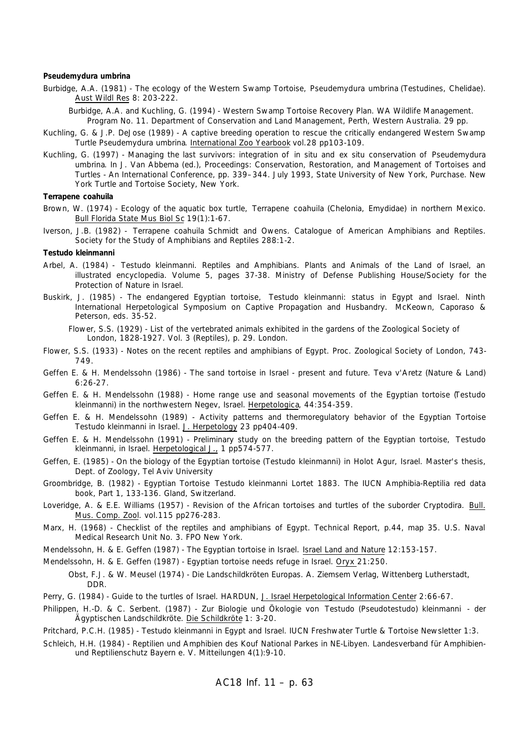#### *Pseudemydura umbrina*

Burbidge, A.A. (1981) - The ecology of the Western Swamp Tortoise, *Pseudemydura umbrina* (Testudines, Chelidae). Aust Wildl Res 8: 203-222.

Burbidge, A.A. and Kuchling, G. (1994) - Western Swamp Tortoise Recovery Plan. WA Wildlife Management. Program No. 11. Department of Conservation and Land Management, Perth, Western Australia. 29 pp.

- Kuchling, G. & J.P. DeJose (1989) A captive breeding operation to rescue the critically endangered Western Swamp Turtle *Pseudemydura umbrina*. International Zoo Yearbook vol.28 pp103-109.
- Kuchling, G. (1997) Managing the last survivors: integration of *in situ* and *ex situ* conservation of *Pseudemydura umbrina*. In J. Van Abbema (ed.), Proceedings: Conservation, Restoration, and Management of Tortoises and Turtles - An International Conference, pp. 339–344. July 1993, State University of New York, Purchase. New York Turtle and Tortoise Society, New York.

#### *Terrapene coahuila*

- Brown, W. (1974) Ecology of the aquatic box turtle, *Terrapene coahuila* (Chelonia, Emydidae) in northern Mexico. Bull Florida State Mus Biol Sc 19(1):1-67.
- Iverson, J.B. (1982) *Terrapene coahuila* Schmidt and Owens. Catalogue of American Amphibians and Reptiles. Society for the Study of Amphibians and Reptiles 288:1-2.

#### *Testudo kleinmanni*

- Arbel, A. (1984) *Testudo kleinmanni*. Reptiles and Amphibians. Plants and Animals of the Land of Israel, an illustrated encyclopedia. Volume 5, pages 37-38. Ministry of Defense Publishing House/Society for the Protection of Nature in Israel.
- Buskirk, J. (1985) The endangered Egyptian tortoise, *Testudo kleinmanni*: status in Egypt and Israel. Ninth International Herpetological Symposium on Captive Propagation and Husbandry. McKeown, Caporaso & Peterson, eds. 35-52.

Flower, S.S. (1929) - List of the vertebrated animals exhibited in the gardens of the Zoological Society of London, 1828-1927. Vol. 3 (Reptiles), p. 29. London.

- Flower, S.S. (1933) Notes on the recent reptiles and amphibians of Egypt. Proc. Zoological Society of London, 743- 749.
- Geffen E. & H. Mendelssohn (1986) The sand tortoise in Israel present and future. Teva v'Aretz (Nature & Land) 6:26-27.
- Geffen E. & H. Mendelssohn (1988) Home range use and seasonal movements of the Egyptian tortoise (*Testudo kleinmanni*) in the northwestern Negev, Israel. Herpetologica, 44:354-359.
- Geffen E. & H. Mendelssohn (1989) Activity patterns and thermoregulatory behavior of the Egyptian Tortoise *Testudo kleinmanni* in Israel. J. Herpetology 23 pp404-409.
- Geffen E. & H. Mendelssohn (1991) Preliminary study on the breeding pattern of the Egyptian tortoise, *Testudo kleinmanni*, in Israel. Herpetological J., 1 pp574-577.
- Geffen, E. (1985) On the biology of the Egyptian tortoise (*Testudo kleinmanni*) in Holot Agur, Israel. Master's thesis, Dept. of Zoology, Tel Aviv University
- Groombridge, B. (1982) Egyptian Tortoise *Testudo kleinmanni* Lortet 1883. The IUCN Amphibia-Reptilia red data book, Part 1, 133-136. Gland, Switzerland.
- Loveridge, A. & E.E. Williams (1957) Revision of the African tortoises and turtles of the suborder Cryptodira. Bull. Mus. Comp. Zool. vol.115 pp276-283.
- Marx, H. (1968) Checklist of the reptiles and amphibians of Egypt. Technical Report, p.44, map 35. U.S. Naval Medical Research Unit No. 3. FPO New York.
- Mendelssohn, H. & E. Geffen (1987) The Egyptian tortoise in Israel. Israel Land and Nature 12:153-157.
- Mendelssohn, H. & E. Geffen (1987) Egyptian tortoise needs refuge in Israel. Oryx 21:250.

Obst, F.J. & W. Meusel (1974) - Die Landschildkröten Europas. A. Ziemsem Verlag, Wittenberg Lutherstadt, DDR.

- Perry, G. (1984) Guide to the turtles of Israel. HARDUN, J. Israel Herpetological Information Center 2:66-67.
- Philippen, H.-D. & C. Serbent. (1987) Zur Biologie und Ökologie von *Testudo (Pseudotestudo) kleinmanni*  der Ägyptischen Landschildkröte. Die Schildkröte 1: 3-20.

Pritchard, P.C.H. (1985) - *Testudo kleinmanni* in Egypt and Israel. IUCN Freshwater Turtle & Tortoise Newsletter 1:3.

Schleich, H.H. (1984) - Reptilien und Amphibien des Kouf National Parkes in NE-Libyen. Landesverband für Amphibienund Reptilienschutz Bayern e. V. Mitteilungen 4(1):9-10.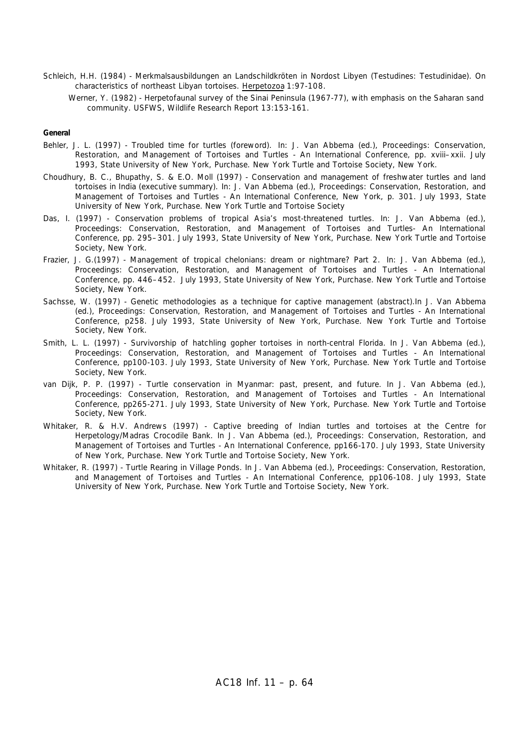- Schleich, H.H. (1984) Merkmalsausbildungen an Landschildkröten in Nordost Libyen (Testudines: Testudinidae). On characteristics of northeast Libyan tortoises. Herpetozoa 1:97-108.
	- Werner, Y. (1982) Herpetofaunal survey of the Sinai Peninsula (1967-77), with emphasis on the Saharan sand community. USFWS, Wildlife Research Report 13:153-161.

#### **General**

- Behler, J. L. (1997) Troubled time for turtles (foreword). *In*: J. Van Abbema (ed.), Proceedings: Conservation, Restoration, and Management of Tortoises and Turtles - An International Conference, pp. xviii–xxii. July 1993, State University of New York, Purchase. New York Turtle and Tortoise Society, New York.
- Choudhury, B. C., Bhupathy, S. & E.O. Moll (1997) Conservation and management of freshwater turtles and land tortoises in India (executive summary). *In*: J. Van Abbema (ed.), Proceedings: Conservation, Restoration, and Management of Tortoises and Turtles - An International Conference, New York, p. 301. July 1993, State University of New York, Purchase. New York Turtle and Tortoise Society
- Das, I. (1997) Conservation problems of tropical Asia's most-threatened turtles. *In*: J. Van Abbema (ed.), Proceedings: Conservation, Restoration, and Management of Tortoises and Turtles- An International Conference, pp. 295–301. July 1993, State University of New York, Purchase. New York Turtle and Tortoise Society, New York.
- Frazier, J. G.(1997) Management of tropical chelonians: dream or nightmare? Part 2. *In*: J. Van Abbema (ed.), Proceedings: Conservation, Restoration, and Management of Tortoises and Turtles - An International Conference, pp. 446–452. July 1993, State University of New York, Purchase. New York Turtle and Tortoise Society, New York.
- Sachsse, W. (1997) Genetic methodologies as a technique for captive management (abstract).In J. Van Abbema (ed.), Proceedings: Conservation, Restoration, and Management of Tortoises and Turtles - An International Conference, p258. July 1993, State University of New York, Purchase. New York Turtle and Tortoise Society, New York.
- Smith, L. L. (1997) Survivorship of hatchling gopher tortoises in north-central Florida. In J. Van Abbema (ed.), Proceedings: Conservation, Restoration, and Management of Tortoises and Turtles - An International Conference, pp100-103. July 1993, State University of New York, Purchase. New York Turtle and Tortoise Society, New York.
- van Dijk, P. P. (1997) Turtle conservation in Myanmar: past, present, and future. In J. Van Abbema (ed.), Proceedings: Conservation, Restoration, and Management of Tortoises and Turtles - An International Conference, pp265-271. July 1993, State University of New York, Purchase. New York Turtle and Tortoise Society, New York.
- Whitaker, R. & H.V. Andrews (1997) Captive breeding of Indian turtles and tortoises at the Centre for Herpetology/Madras Crocodile Bank. In J. Van Abbema (ed.), Proceedings: Conservation, Restoration, and Management of Tortoises and Turtles - An International Conference, pp166-170. July 1993, State University of New York, Purchase. New York Turtle and Tortoise Society, New York.
- Whitaker, R. (1997) Turtle Rearing in Village Ponds. In J. Van Abbema (ed.), Proceedings: Conservation, Restoration, and Management of Tortoises and Turtles - An International Conference, pp106-108. July 1993, State University of New York, Purchase. New York Turtle and Tortoise Society, New York.